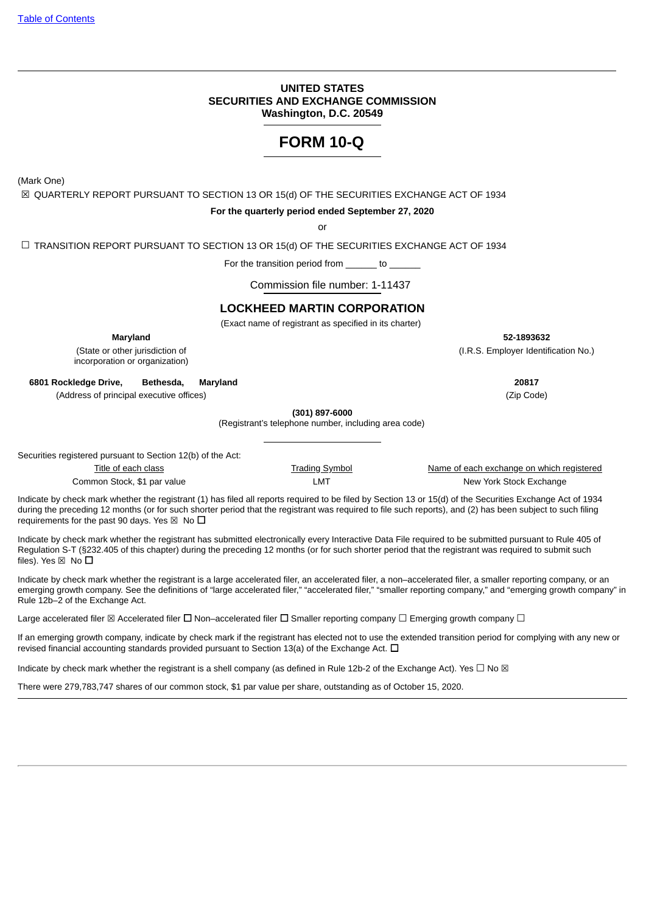### **UNITED STATES SECURITIES AND EXCHANGE COMMISSION Washington, D.C. 20549**

# **FORM 10-Q**

(Mark One)

☒ QUARTERLY REPORT PURSUANT TO SECTION 13 OR 15(d) OF THE SECURITIES EXCHANGE ACT OF 1934

**For the quarterly period ended September 27, 2020**

or

 $\Box$  TRANSITION REPORT PURSUANT TO SECTION 13 OR 15(d) OF THE SECURITIES EXCHANGE ACT OF 1934

For the transition period from to

Commission file number: 1-11437

# **LOCKHEED MARTIN CORPORATION**

(Exact name of registrant as specified in its charter)

**Maryland 52-1893632**

(State or other jurisdiction of incorporation or organization)

**6801 Rockledge Drive, Bethesda, Maryland 20817**

(Address of principal executive offices) (Zip Code)

**(301) 897-6000**

(Registrant's telephone number, including area code)

Securities registered pursuant to Section 12(b) of the Act:

Title of each class Trading Symbol Name of each exchange on which registered Common Stock, \$1 par value  $\blacksquare$  LMT New York Stock Exchange

Indicate by check mark whether the registrant (1) has filed all reports required to be filed by Section 13 or 15(d) of the Securities Exchange Act of 1934 during the preceding 12 months (or for such shorter period that the registrant was required to file such reports), and (2) has been subject to such filing requirements for the past 90 days. Yes  $\boxtimes$  No  $\square$ 

Indicate by check mark whether the registrant has submitted electronically every Interactive Data File required to be submitted pursuant to Rule 405 of Regulation S-T (§232.405 of this chapter) during the preceding 12 months (or for such shorter period that the registrant was required to submit such files). Yes ⊠ No □

Indicate by check mark whether the registrant is a large accelerated filer, an accelerated filer, a non–accelerated filer, a smaller reporting company, or an emerging growth company. See the definitions of "large accelerated filer," "accelerated filer," "smaller reporting company," and "emerging growth company" in Rule 12b–2 of the Exchange Act.

Large accelerated filer  $\boxtimes$  Accelerated filer  $\square$  Non–accelerated filer  $\square$  Smaller reporting company  $\square$  Emerging growth company  $\square$ 

If an emerging growth company, indicate by check mark if the registrant has elected not to use the extended transition period for complying with any new or revised financial accounting standards provided pursuant to Section 13(a) of the Exchange Act.  $\Box$ 

Indicate by check mark whether the registrant is a shell company (as defined in Rule 12b-2 of the Exchange Act). Yes  $\Box$  No  $\boxtimes$ 

<span id="page-0-0"></span>There were 279,783,747 shares of our common stock, \$1 par value per share, outstanding as of October 15, 2020.

(I.R.S. Employer Identification No.)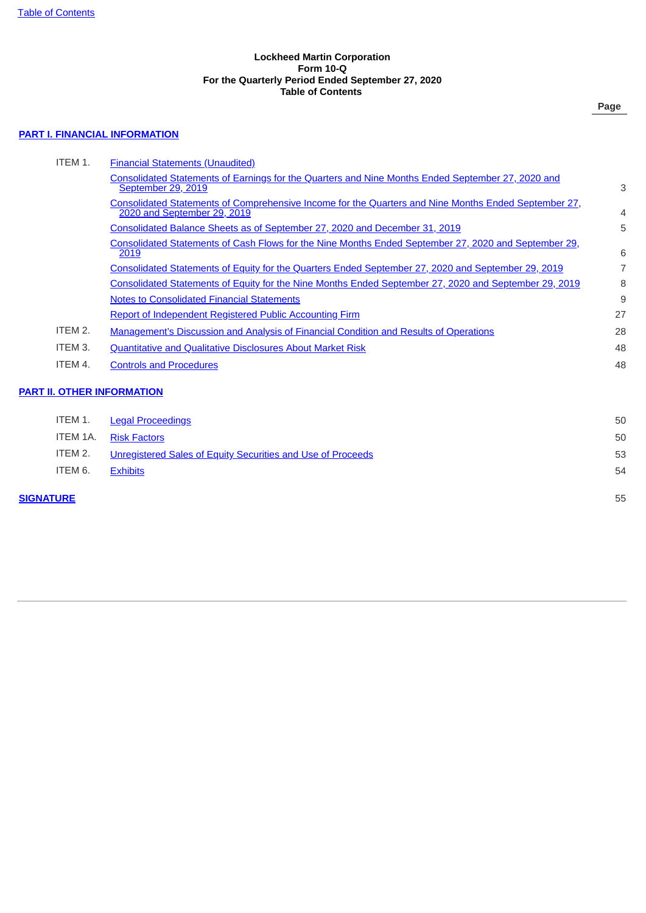### **Lockheed Martin Corporation Form 10-Q For the Quarterly Period Ended September 27, 2020 Table of Contents**

### **PART I. FINANCIAL [INFORMATION](#page-1-0)**

**Page**

| ITEM 1. | <b>Financial Statements (Unaudited)</b>                                                                                             |    |
|---------|-------------------------------------------------------------------------------------------------------------------------------------|----|
|         | Consolidated Statements of Earnings for the Quarters and Nine Months Ended September 27, 2020 and<br>September 29, 2019             | 3  |
|         | Consolidated Statements of Comprehensive Income for the Quarters and Nine Months Ended September 27,<br>2020 and September 29, 2019 | 4  |
|         | Consolidated Balance Sheets as of September 27, 2020 and December 31, 2019                                                          | 5  |
|         | Consolidated Statements of Cash Flows for the Nine Months Ended September 27, 2020 and September 29,<br>2019                        | 6  |
|         | Consolidated Statements of Equity for the Quarters Ended September 27, 2020 and September 29, 2019                                  | 7  |
|         | Consolidated Statements of Equity for the Nine Months Ended September 27, 2020 and September 29, 2019                               | 8  |
|         | <b>Notes to Consolidated Financial Statements</b>                                                                                   | 9  |
|         | Report of Independent Registered Public Accounting Firm                                                                             | 27 |
| ITEM 2. | <b>Management's Discussion and Analysis of Financial Condition and Results of Operations</b>                                        | 28 |
| ITEM 3. | <b>Quantitative and Qualitative Disclosures About Market Risk</b>                                                                   | 48 |
| ITEM 4. | <b>Controls and Procedures</b>                                                                                                      | 48 |
|         | <b>PART II. OTHER INFORMATION</b>                                                                                                   |    |

<span id="page-1-0"></span>

|                  | ITEM 1.  | <u>Legal Proceedings</u>                                    | 50 |
|------------------|----------|-------------------------------------------------------------|----|
|                  | ITEM 1A. | <b>Risk Factors</b>                                         | 50 |
|                  | ITEM 2.  | Unregistered Sales of Equity Securities and Use of Proceeds | 53 |
|                  | ITEM 6.  | <b>Exhibits</b>                                             | 54 |
|                  |          |                                                             |    |
| <b>SIGNATURE</b> |          |                                                             | 55 |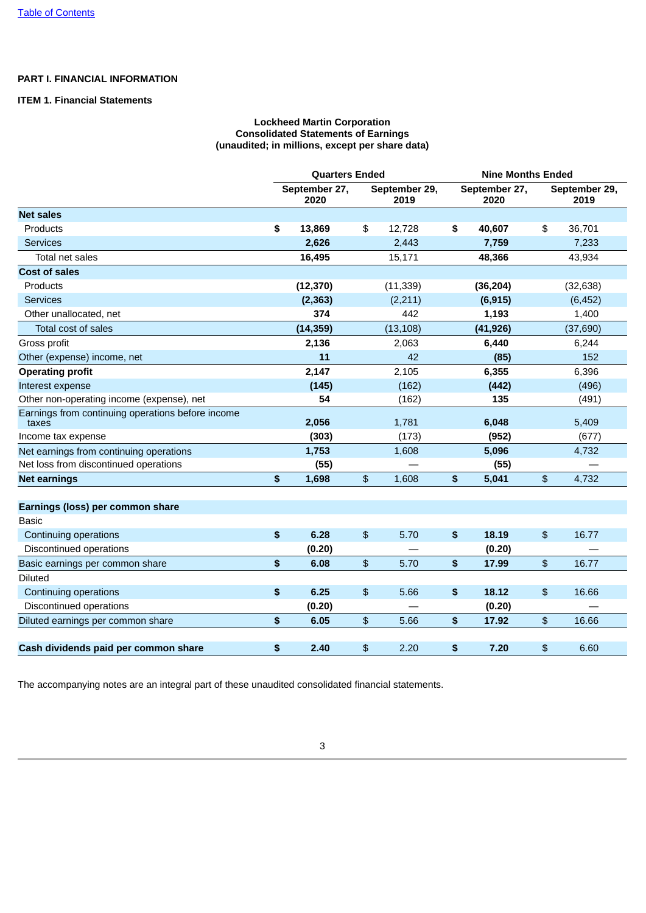### **PART I. FINANCIAL INFORMATION**

### <span id="page-2-1"></span><span id="page-2-0"></span>**ITEM 1. Financial Statements**

### **Lockheed Martin Corporation Consolidated Statements of Earnings (unaudited; in millions, except per share data)**

|                                                            | <b>Quarters Ended</b> |                |                       | <b>Nine Months Ended</b> |                |                       |
|------------------------------------------------------------|-----------------------|----------------|-----------------------|--------------------------|----------------|-----------------------|
|                                                            | September 27,<br>2020 |                | September 29,<br>2019 | September 27,<br>2020    |                | September 29,<br>2019 |
| <b>Net sales</b>                                           |                       |                |                       |                          |                |                       |
| Products                                                   | \$<br>13,869          | \$             | 12,728                | \$<br>40,607             | \$             | 36,701                |
| <b>Services</b>                                            | 2,626                 |                | 2,443                 | 7,759                    |                | 7,233                 |
| Total net sales                                            | 16,495                |                | 15,171                | 48,366                   |                | 43,934                |
| <b>Cost of sales</b>                                       |                       |                |                       |                          |                |                       |
| Products                                                   | (12, 370)             |                | (11, 339)             | (36, 204)                |                | (32, 638)             |
| <b>Services</b>                                            | (2, 363)              |                | (2, 211)              | (6, 915)                 |                | (6, 452)              |
| Other unallocated, net                                     | 374                   |                | 442                   | 1,193                    |                | 1,400                 |
| Total cost of sales                                        | (14, 359)             |                | (13, 108)             | (41, 926)                |                | (37,690)              |
| Gross profit                                               | 2,136                 |                | 2,063                 | 6,440                    |                | 6,244                 |
| Other (expense) income, net                                | 11                    |                | 42                    | (85)                     |                | 152                   |
| <b>Operating profit</b>                                    | 2,147                 |                | 2,105                 | 6,355                    |                | 6,396                 |
| Interest expense                                           | (145)                 |                | (162)                 | (442)                    |                | (496)                 |
| Other non-operating income (expense), net                  | 54                    |                | (162)                 | 135                      |                | (491)                 |
| Earnings from continuing operations before income<br>taxes | 2,056                 |                | 1,781                 | 6,048                    |                | 5,409                 |
| Income tax expense                                         | (303)                 |                | (173)                 | (952)                    |                | (677)                 |
| Net earnings from continuing operations                    | 1,753                 |                | 1,608                 | 5,096                    |                | 4,732                 |
| Net loss from discontinued operations                      | (55)                  |                |                       | (55)                     |                |                       |
| <b>Net earnings</b>                                        | \$<br>1,698           | $\pmb{\$}$     | 1,608                 | \$<br>5,041              | \$             | 4,732                 |
| Earnings (loss) per common share                           |                       |                |                       |                          |                |                       |
| <b>Basic</b>                                               |                       |                |                       |                          |                |                       |
| Continuing operations                                      | \$<br>6.28            | $\pmb{\$}$     | 5.70                  | \$<br>18.19              | $\frac{1}{2}$  | 16.77                 |
| Discontinued operations                                    | (0.20)                |                |                       | (0.20)                   |                |                       |
| Basic earnings per common share                            | \$<br>6.08            | $\pmb{\$}$     | 5.70                  | \$<br>17.99              | \$             | 16.77                 |
| <b>Diluted</b>                                             |                       |                |                       |                          |                |                       |
| Continuing operations                                      | \$<br>6.25            | $\mathfrak{P}$ | 5.66                  | \$<br>18.12              | $\mathfrak{L}$ | 16.66                 |
| Discontinued operations                                    | (0.20)                |                |                       | (0.20)                   |                |                       |
| Diluted earnings per common share                          | \$<br>6.05            | \$             | 5.66                  | \$<br>17.92              | \$             | 16.66                 |
| Cash dividends paid per common share                       | \$<br>2.40            | $\frac{1}{2}$  | 2.20                  | \$<br>7.20               | \$             | 6.60                  |
|                                                            |                       |                |                       |                          |                |                       |

<span id="page-2-2"></span>The accompanying notes are an integral part of these unaudited consolidated financial statements.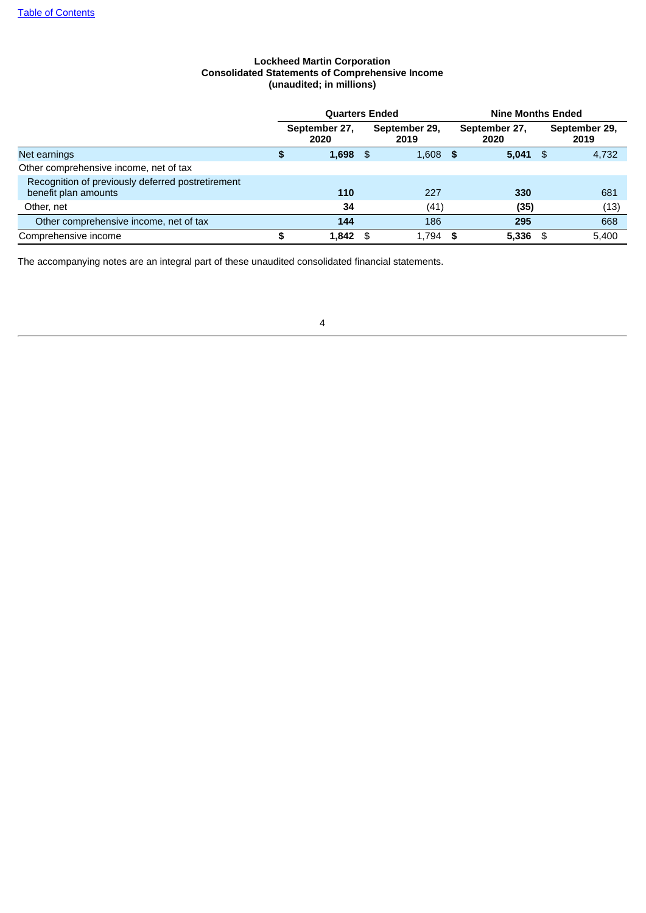### **Lockheed Martin Corporation Consolidated Statements of Comprehensive Income (unaudited; in millions)**

|                                                                           | <b>Ouarters Ended</b> |                       | <b>Nine Months Ended</b> |                       |  |                       |  |  |
|---------------------------------------------------------------------------|-----------------------|-----------------------|--------------------------|-----------------------|--|-----------------------|--|--|
|                                                                           | September 27,<br>2020 | September 29,<br>2019 |                          | September 27,<br>2020 |  | September 29,<br>2019 |  |  |
| Net earnings                                                              | \$<br>$1,698$ \$      | 1,608                 | - \$                     | $5,041$ \$            |  | 4,732                 |  |  |
| Other comprehensive income, net of tax                                    |                       |                       |                          |                       |  |                       |  |  |
| Recognition of previously deferred postretirement<br>benefit plan amounts | 110                   | 227                   |                          | 330                   |  | 681                   |  |  |
| Other, net                                                                | 34                    | (41)                  |                          | (35)                  |  | (13)                  |  |  |
| Other comprehensive income, net of tax                                    | 144                   | 186                   |                          | 295                   |  | 668                   |  |  |
| Comprehensive income                                                      | \$<br>$1,842$ \$      | 1,794                 | - \$                     | 5,336                 |  | 5.400                 |  |  |

<span id="page-3-0"></span>The accompanying notes are an integral part of these unaudited consolidated financial statements.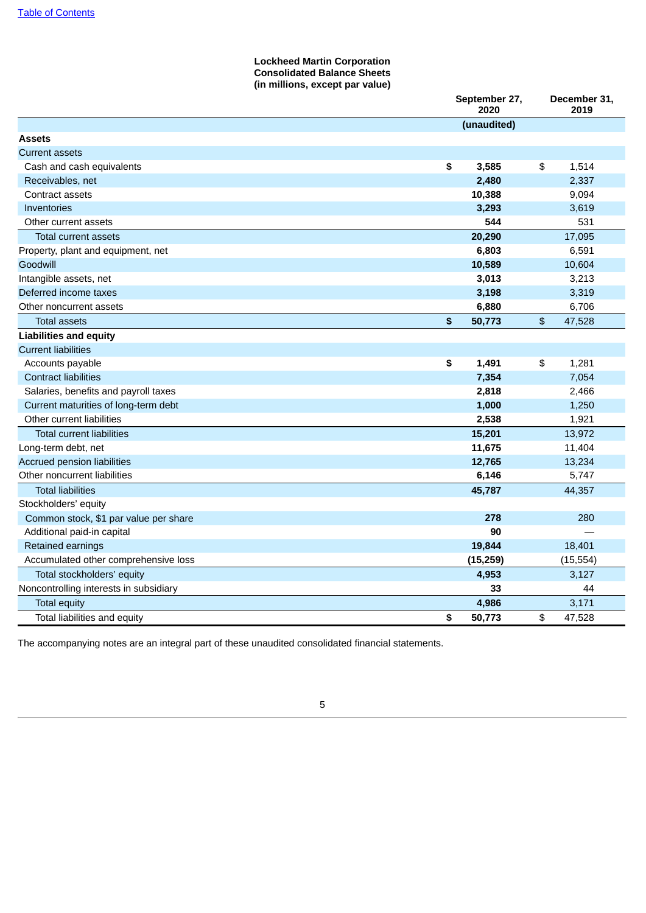### **Lockheed Martin Corporation Consolidated Balance Sheets (in millions, except par value)**

|                                        | September 27,<br>2020 | December 31,<br>2019 |
|----------------------------------------|-----------------------|----------------------|
|                                        | (unaudited)           |                      |
| <b>Assets</b>                          |                       |                      |
| <b>Current assets</b>                  |                       |                      |
| Cash and cash equivalents              | \$<br>3,585           | 1,514<br>\$          |
| Receivables, net                       | 2,480                 | 2,337                |
| Contract assets                        | 10,388                | 9,094                |
| <b>Inventories</b>                     | 3,293                 | 3,619                |
| Other current assets                   | 544                   | 531                  |
| Total current assets                   | 20,290                | 17,095               |
| Property, plant and equipment, net     | 6,803                 | 6,591                |
| Goodwill                               | 10,589                | 10,604               |
| Intangible assets, net                 | 3,013                 | 3,213                |
| Deferred income taxes                  | 3,198                 | 3,319                |
| Other noncurrent assets                | 6,880                 | 6,706                |
| <b>Total assets</b>                    | \$<br>50,773          | \$<br>47,528         |
| <b>Liabilities and equity</b>          |                       |                      |
| <b>Current liabilities</b>             |                       |                      |
| Accounts payable                       | 1,491<br>\$           | \$<br>1,281          |
| <b>Contract liabilities</b>            | 7,354                 | 7,054                |
| Salaries, benefits and payroll taxes   | 2,818                 | 2,466                |
| Current maturities of long-term debt   | 1,000                 | 1,250                |
| Other current liabilities              | 2,538                 | 1,921                |
| <b>Total current liabilities</b>       | 15,201                | 13,972               |
| Long-term debt, net                    | 11,675                | 11,404               |
| Accrued pension liabilities            | 12,765                | 13,234               |
| Other noncurrent liabilities           | 6,146                 | 5,747                |
| <b>Total liabilities</b>               | 45,787                | 44,357               |
| Stockholders' equity                   |                       |                      |
| Common stock, \$1 par value per share  | 278                   | 280                  |
| Additional paid-in capital             | 90                    |                      |
| Retained earnings                      | 19,844                | 18,401               |
| Accumulated other comprehensive loss   | (15, 259)             | (15, 554)            |
| Total stockholders' equity             | 4,953                 | 3,127                |
| Noncontrolling interests in subsidiary | 33                    | 44                   |
| Total equity                           | 4,986                 | 3,171                |
| Total liabilities and equity           | \$<br>50,773          | \$<br>47,528         |

<span id="page-4-0"></span>The accompanying notes are an integral part of these unaudited consolidated financial statements.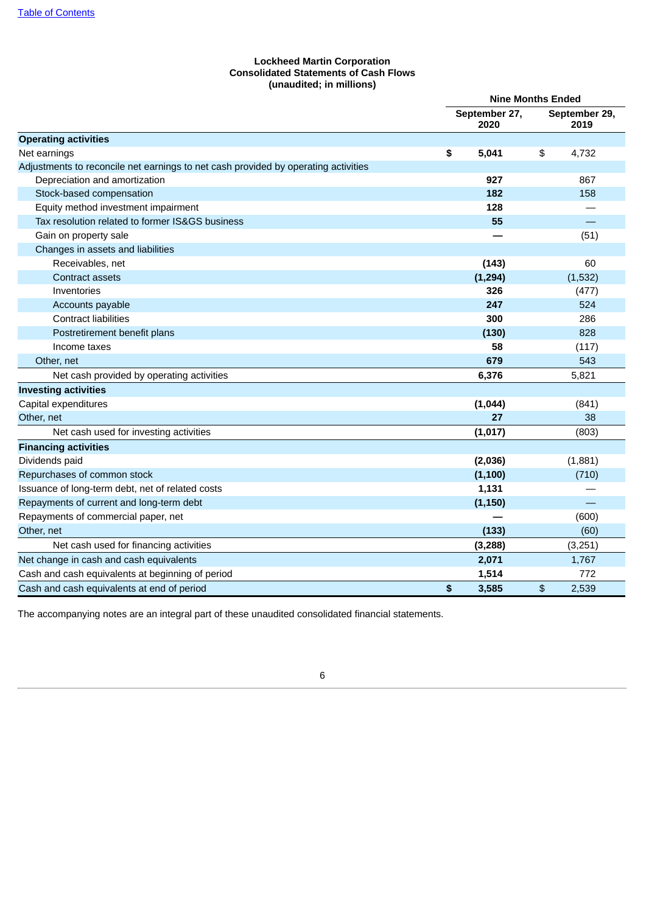### **Lockheed Martin Corporation Consolidated Statements of Cash Flows (unaudited; in millions)**

|                                                                                    | <b>Nine Months Ended</b> |                       |    |                       |  |
|------------------------------------------------------------------------------------|--------------------------|-----------------------|----|-----------------------|--|
|                                                                                    |                          | September 27,<br>2020 |    | September 29,<br>2019 |  |
| <b>Operating activities</b>                                                        |                          |                       |    |                       |  |
| Net earnings                                                                       | \$                       | 5,041                 | \$ | 4,732                 |  |
| Adjustments to reconcile net earnings to net cash provided by operating activities |                          |                       |    |                       |  |
| Depreciation and amortization                                                      |                          | 927                   |    | 867                   |  |
| Stock-based compensation                                                           |                          | 182                   |    | 158                   |  |
| Equity method investment impairment                                                |                          | 128                   |    |                       |  |
| Tax resolution related to former IS&GS business                                    |                          | 55                    |    |                       |  |
| Gain on property sale                                                              |                          |                       |    | (51)                  |  |
| Changes in assets and liabilities                                                  |                          |                       |    |                       |  |
| Receivables, net                                                                   |                          | (143)                 |    | 60                    |  |
| <b>Contract assets</b>                                                             |                          | (1, 294)              |    | (1, 532)              |  |
| Inventories                                                                        |                          | 326                   |    | (477)                 |  |
| Accounts payable                                                                   |                          | 247                   |    | 524                   |  |
| <b>Contract liabilities</b>                                                        |                          | 300                   |    | 286                   |  |
| Postretirement benefit plans                                                       |                          | (130)                 |    | 828                   |  |
| Income taxes                                                                       |                          | 58                    |    | (117)                 |  |
| Other, net                                                                         |                          | 679                   |    | 543                   |  |
| Net cash provided by operating activities                                          |                          | 6,376                 |    | 5,821                 |  |
| <b>Investing activities</b>                                                        |                          |                       |    |                       |  |
| Capital expenditures                                                               |                          | (1,044)               |    | (841)                 |  |
| Other, net                                                                         |                          | 27                    |    | 38                    |  |
| Net cash used for investing activities                                             |                          | (1,017)               |    | (803)                 |  |
| <b>Financing activities</b>                                                        |                          |                       |    |                       |  |
| Dividends paid                                                                     |                          | (2,036)               |    | (1,881)               |  |
| Repurchases of common stock                                                        |                          | (1, 100)              |    | (710)                 |  |
| Issuance of long-term debt, net of related costs                                   |                          | 1,131                 |    |                       |  |
| Repayments of current and long-term debt                                           |                          | (1, 150)              |    |                       |  |
| Repayments of commercial paper, net                                                |                          |                       |    | (600)                 |  |
| Other, net                                                                         |                          | (133)                 |    | (60)                  |  |
| Net cash used for financing activities                                             |                          | (3, 288)              |    | (3,251)               |  |
| Net change in cash and cash equivalents                                            |                          | 2,071                 |    | 1,767                 |  |
| Cash and cash equivalents at beginning of period                                   |                          | 1,514                 |    | 772                   |  |
| Cash and cash equivalents at end of period                                         | \$                       | 3.585                 | \$ | 2,539                 |  |

<span id="page-5-0"></span>The accompanying notes are an integral part of these unaudited consolidated financial statements.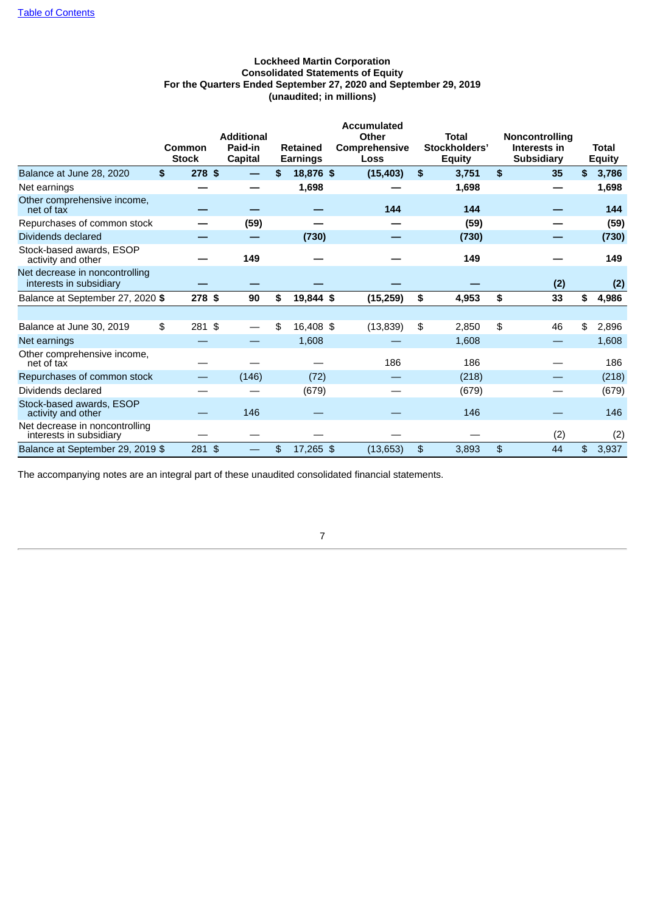### **Lockheed Martin Corporation Consolidated Statements of Equity For the Quarters Ended September 27, 2020 and September 29, 2019 (unaudited; in millions)**

|                                                           | Common       |        | <b>Additional</b><br>Paid-in | <b>Retained</b> | <b>Accumulated</b><br><b>Other</b><br>Comprehensive | <b>Total</b><br>Stockholders' | <b>Noncontrolling</b><br>Interests in | <b>Total</b>  |
|-----------------------------------------------------------|--------------|--------|------------------------------|-----------------|-----------------------------------------------------|-------------------------------|---------------------------------------|---------------|
|                                                           | <b>Stock</b> |        | Capital                      | <b>Earnings</b> | <b>Loss</b>                                         | <b>Equity</b>                 | <b>Subsidiary</b>                     | <b>Equity</b> |
| Balance at June 28, 2020                                  | \$           | 278 \$ |                              | \$<br>18,876 \$ | (15, 403)                                           | \$<br>3,751                   | \$<br>35                              | \$<br>3,786   |
| Net earnings                                              |              |        |                              | 1,698           |                                                     | 1,698                         |                                       | 1,698         |
| Other comprehensive income,<br>net of tax                 |              |        |                              |                 | 144                                                 | 144                           |                                       | 144           |
| Repurchases of common stock                               |              |        | (59)                         |                 |                                                     | (59)                          |                                       | (59)          |
| Dividends declared                                        |              |        |                              | (730)           |                                                     | (730)                         |                                       | (730)         |
| Stock-based awards, ESOP<br>activity and other            |              |        | 149                          |                 |                                                     | 149                           |                                       | 149           |
| Net decrease in noncontrolling<br>interests in subsidiary |              |        |                              |                 |                                                     |                               | (2)                                   | (2)           |
| Balance at September 27, 2020 \$                          |              | 278 \$ | 90                           | \$<br>19,844 \$ | (15, 259)                                           | \$<br>4,953                   | \$<br>33                              | \$<br>4,986   |
|                                                           |              |        |                              |                 |                                                     |                               |                                       |               |
| Balance at June 30, 2019                                  | \$           | 281 \$ |                              | \$<br>16,408 \$ | (13, 839)                                           | \$<br>2,850                   | \$<br>46                              | \$<br>2,896   |
| Net earnings                                              |              |        |                              | 1,608           |                                                     | 1,608                         |                                       | 1,608         |
| Other comprehensive income,<br>net of tax                 |              |        |                              |                 | 186                                                 | 186                           |                                       | 186           |
| Repurchases of common stock                               |              |        | (146)                        | (72)            |                                                     | (218)                         |                                       | (218)         |
| Dividends declared                                        |              |        |                              | (679)           |                                                     | (679)                         |                                       | (679)         |
| Stock-based awards, ESOP<br>activity and other            |              |        | 146                          |                 |                                                     | 146                           |                                       | 146           |
| Net decrease in noncontrolling<br>interests in subsidiary |              |        |                              |                 |                                                     |                               | (2)                                   | (2)           |
| Balance at September 29, 2019 \$                          |              | 281 \$ |                              | \$<br>17,265 \$ | (13, 653)                                           | \$<br>3,893                   | \$<br>44                              | \$<br>3,937   |

<span id="page-6-0"></span>The accompanying notes are an integral part of these unaudited consolidated financial statements.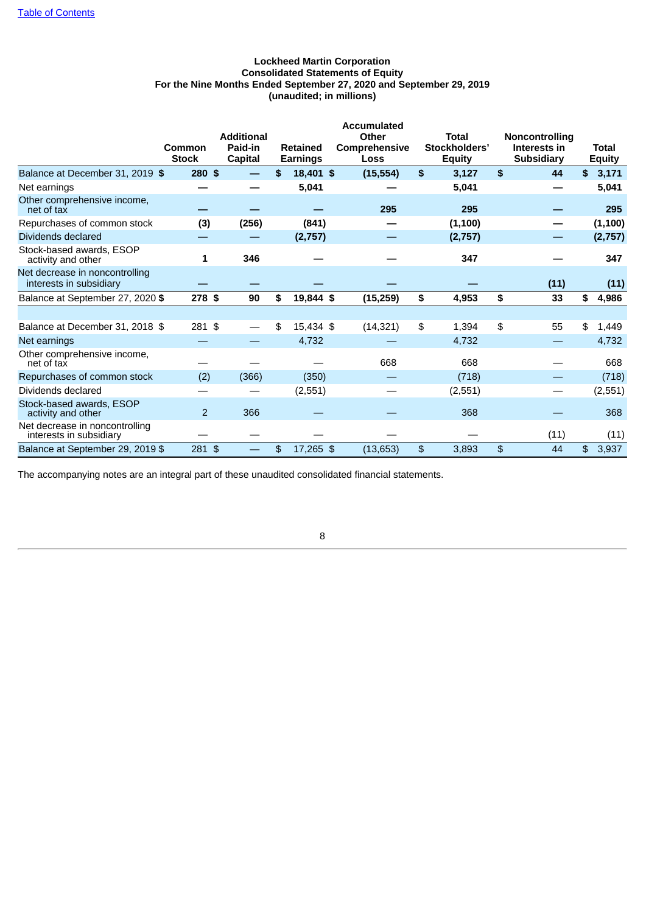### **Lockheed Martin Corporation Consolidated Statements of Equity For the Nine Months Ended September 27, 2020 and September 29, 2019 (unaudited; in millions)**

|                                                           | <b>Common</b><br><b>Stock</b> | <b>Additional</b><br>Paid-in<br>Capital | <b>Retained</b><br><b>Earnings</b> | <b>Accumulated</b><br><b>Other</b><br>Comprehensive<br>Loss | <b>Total</b><br>Stockholders'<br><b>Equity</b> | <b>Noncontrolling</b><br>Interests in<br><b>Subsidiary</b> | <b>Total</b><br><b>Equity</b> |
|-----------------------------------------------------------|-------------------------------|-----------------------------------------|------------------------------------|-------------------------------------------------------------|------------------------------------------------|------------------------------------------------------------|-------------------------------|
| Balance at December 31, 2019 \$                           | 280 \$                        |                                         | \$<br>18,401 \$                    | (15, 554)                                                   | \$<br>3,127                                    | \$<br>44                                                   | \$<br>3,171                   |
| Net earnings                                              |                               |                                         | 5,041                              |                                                             | 5,041                                          |                                                            | 5,041                         |
| Other comprehensive income,<br>net of tax                 |                               |                                         |                                    | 295                                                         | 295                                            |                                                            | 295                           |
| Repurchases of common stock                               | (3)                           | (256)                                   | (841)                              |                                                             | (1, 100)                                       |                                                            | (1, 100)                      |
| Dividends declared                                        |                               |                                         | (2,757)                            |                                                             | (2,757)                                        |                                                            | (2,757)                       |
| Stock-based awards, ESOP<br>activity and other            | 1                             | 346                                     |                                    |                                                             | 347                                            |                                                            | 347                           |
| Net decrease in noncontrolling<br>interests in subsidiary |                               |                                         |                                    |                                                             |                                                | (11)                                                       | (11)                          |
| Balance at September 27, 2020 \$                          | 278 \$                        | 90                                      | \$<br>19,844 \$                    | (15, 259)                                                   | \$<br>4,953                                    | \$<br>33                                                   | \$<br>4,986                   |
|                                                           |                               |                                         |                                    |                                                             |                                                |                                                            |                               |
| Balance at December 31, 2018 \$                           | 281 \$                        |                                         | \$<br>15,434 \$                    | (14, 321)                                                   | \$<br>1,394                                    | \$<br>55                                                   | \$<br>1,449                   |
| Net earnings                                              |                               |                                         | 4,732                              |                                                             | 4,732                                          |                                                            | 4,732                         |
| Other comprehensive income,<br>net of tax                 |                               |                                         |                                    | 668                                                         | 668                                            |                                                            | 668                           |
| Repurchases of common stock                               | (2)                           | (366)                                   | (350)                              |                                                             | (718)                                          |                                                            | (718)                         |
| Dividends declared                                        |                               |                                         | (2,551)                            |                                                             | (2,551)                                        |                                                            | (2, 551)                      |
| Stock-based awards, ESOP<br>activity and other            | 2                             | 366                                     |                                    |                                                             | 368                                            |                                                            | 368                           |
| Net decrease in noncontrolling<br>interests in subsidiary |                               |                                         |                                    |                                                             |                                                | (11)                                                       | (11)                          |
| Balance at September 29, 2019 \$                          | 281 \$                        |                                         | \$<br>17,265 \$                    | (13, 653)                                                   | \$<br>3,893                                    | \$<br>44                                                   | \$<br>3,937                   |

<span id="page-7-0"></span>The accompanying notes are an integral part of these unaudited consolidated financial statements.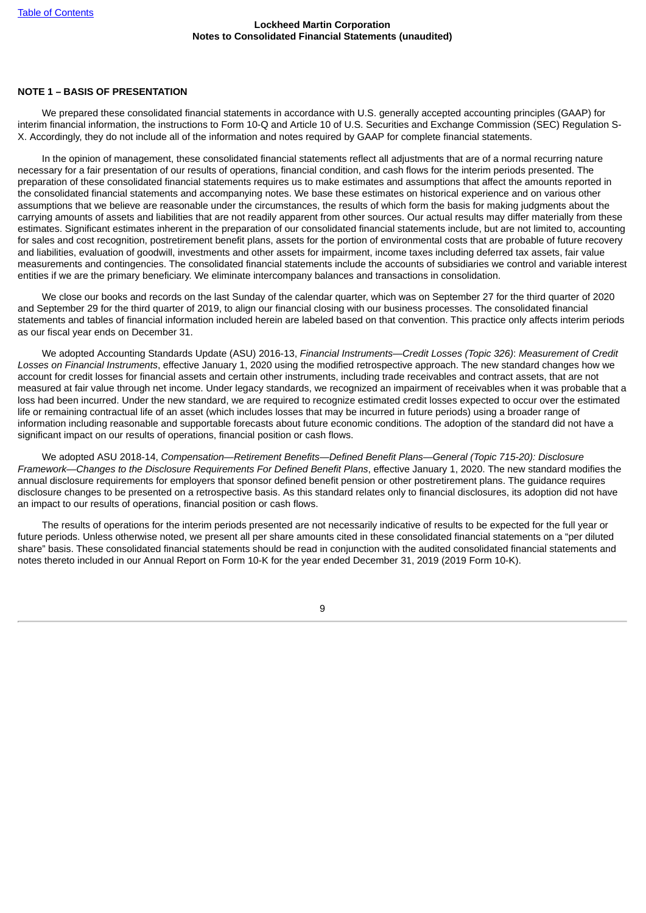### **NOTE 1 – BASIS OF PRESENTATION**

We prepared these consolidated financial statements in accordance with U.S. generally accepted accounting principles (GAAP) for interim financial information, the instructions to Form 10-Q and Article 10 of U.S. Securities and Exchange Commission (SEC) Regulation S-X. Accordingly, they do not include all of the information and notes required by GAAP for complete financial statements.

In the opinion of management, these consolidated financial statements reflect all adjustments that are of a normal recurring nature necessary for a fair presentation of our results of operations, financial condition, and cash flows for the interim periods presented. The preparation of these consolidated financial statements requires us to make estimates and assumptions that affect the amounts reported in the consolidated financial statements and accompanying notes. We base these estimates on historical experience and on various other assumptions that we believe are reasonable under the circumstances, the results of which form the basis for making judgments about the carrying amounts of assets and liabilities that are not readily apparent from other sources. Our actual results may differ materially from these estimates. Significant estimates inherent in the preparation of our consolidated financial statements include, but are not limited to, accounting for sales and cost recognition, postretirement benefit plans, assets for the portion of environmental costs that are probable of future recovery and liabilities, evaluation of goodwill, investments and other assets for impairment, income taxes including deferred tax assets, fair value measurements and contingencies. The consolidated financial statements include the accounts of subsidiaries we control and variable interest entities if we are the primary beneficiary. We eliminate intercompany balances and transactions in consolidation.

We close our books and records on the last Sunday of the calendar quarter, which was on September 27 for the third quarter of 2020 and September 29 for the third quarter of 2019, to align our financial closing with our business processes. The consolidated financial statements and tables of financial information included herein are labeled based on that convention. This practice only affects interim periods as our fiscal year ends on December 31.

We adopted Accounting Standards Update (ASU) 2016-13, *Financial Instruments—Credit Losses (Topic 326)*: *Measurement of Credit Losses on Financial Instruments*, effective January 1, 2020 using the modified retrospective approach. The new standard changes how we account for credit losses for financial assets and certain other instruments, including trade receivables and contract assets, that are not measured at fair value through net income. Under legacy standards, we recognized an impairment of receivables when it was probable that a loss had been incurred. Under the new standard, we are required to recognize estimated credit losses expected to occur over the estimated life or remaining contractual life of an asset (which includes losses that may be incurred in future periods) using a broader range of information including reasonable and supportable forecasts about future economic conditions. The adoption of the standard did not have a significant impact on our results of operations, financial position or cash flows.

We adopted ASU 2018-14, *Compensation—Retirement Benefits—Defined Benefit Plans—General (Topic 715-20): Disclosure Framework—Changes to the Disclosure Requirements For Defined Benefit Plans*, effective January 1, 2020. The new standard modifies the annual disclosure requirements for employers that sponsor defined benefit pension or other postretirement plans. The guidance requires disclosure changes to be presented on a retrospective basis. As this standard relates only to financial disclosures, its adoption did not have an impact to our results of operations, financial position or cash flows.

The results of operations for the interim periods presented are not necessarily indicative of results to be expected for the full year or future periods. Unless otherwise noted, we present all per share amounts cited in these consolidated financial statements on a "per diluted share" basis. These consolidated financial statements should be read in conjunction with the audited consolidated financial statements and notes thereto included in our Annual Report on Form 10-K for the year ended December 31, 2019 (2019 Form 10-K).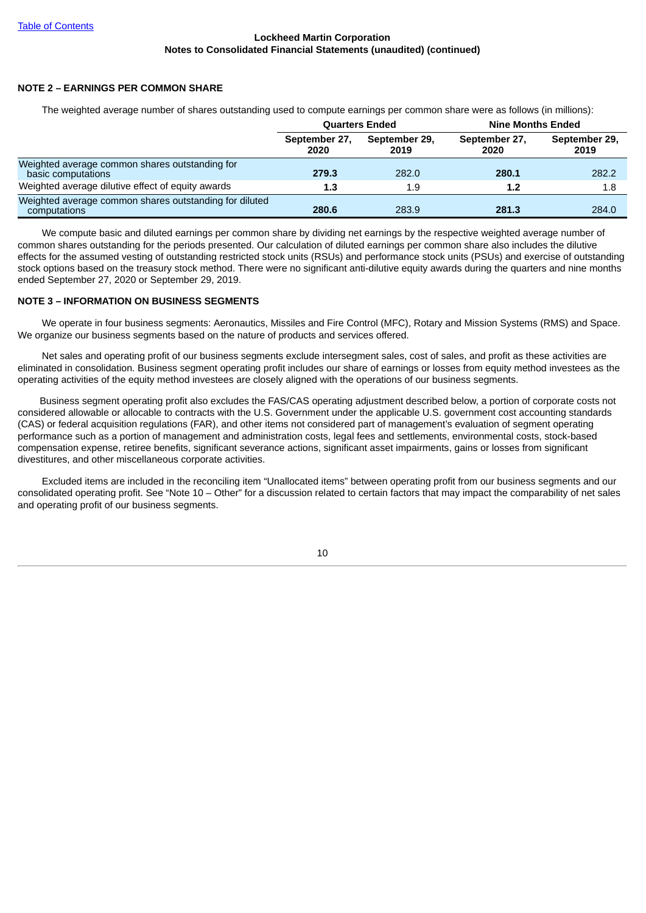### **NOTE 2 – EARNINGS PER COMMON SHARE**

The weighted average number of shares outstanding used to compute earnings per common share were as follows (in millions):

|                                                                        |                       | <b>Ouarters Ended</b> | Nine Months Ended     |                       |  |  |  |  |
|------------------------------------------------------------------------|-----------------------|-----------------------|-----------------------|-----------------------|--|--|--|--|
|                                                                        | September 27,<br>2020 | September 29,<br>2019 | September 27,<br>2020 | September 29,<br>2019 |  |  |  |  |
| Weighted average common shares outstanding for<br>basic computations   | 279.3                 | 282.0                 | 280.1                 | 282.2                 |  |  |  |  |
| Weighted average dilutive effect of equity awards                      | 1.3                   | 1.9                   | 1.2                   | 1.8                   |  |  |  |  |
| Weighted average common shares outstanding for diluted<br>computations | 280.6                 | 283.9                 | 281.3                 | 284.0                 |  |  |  |  |

We compute basic and diluted earnings per common share by dividing net earnings by the respective weighted average number of common shares outstanding for the periods presented. Our calculation of diluted earnings per common share also includes the dilutive effects for the assumed vesting of outstanding restricted stock units (RSUs) and performance stock units (PSUs) and exercise of outstanding stock options based on the treasury stock method. There were no significant anti-dilutive equity awards during the quarters and nine months ended September 27, 2020 or September 29, 2019.

### **NOTE 3 – INFORMATION ON BUSINESS SEGMENTS**

We operate in four business segments: Aeronautics, Missiles and Fire Control (MFC), Rotary and Mission Systems (RMS) and Space. We organize our business segments based on the nature of products and services offered.

Net sales and operating profit of our business segments exclude intersegment sales, cost of sales, and profit as these activities are eliminated in consolidation. Business segment operating profit includes our share of earnings or losses from equity method investees as the operating activities of the equity method investees are closely aligned with the operations of our business segments.

Business segment operating profit also excludes the FAS/CAS operating adjustment described below, a portion of corporate costs not considered allowable or allocable to contracts with the U.S. Government under the applicable U.S. government cost accounting standards (CAS) or federal acquisition regulations (FAR), and other items not considered part of management's evaluation of segment operating performance such as a portion of management and administration costs, legal fees and settlements, environmental costs, stock-based compensation expense, retiree benefits, significant severance actions, significant asset impairments, gains or losses from significant divestitures, and other miscellaneous corporate activities.

Excluded items are included in the reconciling item "Unallocated items" between operating profit from our business segments and our consolidated operating profit. See "Note 10 – Other" for a discussion related to certain factors that may impact the comparability of net sales and operating profit of our business segments.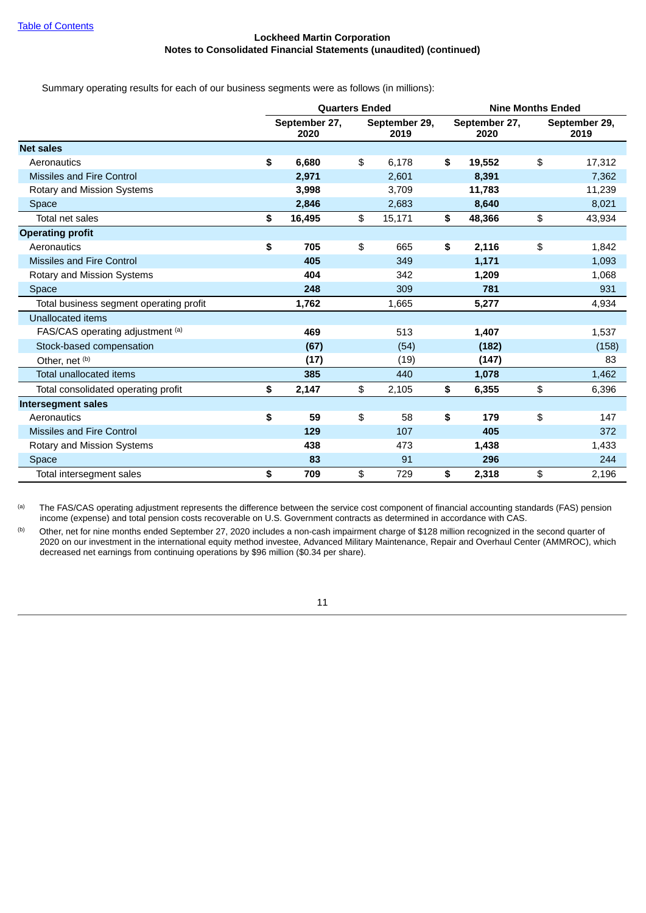Summary operating results for each of our business segments were as follows (in millions):

|                                         | <b>Ouarters Ended</b> |                       | <b>Nine Months Ended</b> |                       |    |                       |  |  |  |
|-----------------------------------------|-----------------------|-----------------------|--------------------------|-----------------------|----|-----------------------|--|--|--|
|                                         | September 27,<br>2020 | September 29,<br>2019 |                          | September 27,<br>2020 |    | September 29,<br>2019 |  |  |  |
| <b>Net sales</b>                        |                       |                       |                          |                       |    |                       |  |  |  |
| Aeronautics                             | \$<br>6,680           | \$<br>6,178           | \$                       | 19,552                | \$ | 17,312                |  |  |  |
| <b>Missiles and Fire Control</b>        | 2,971                 | 2,601                 |                          | 8,391                 |    | 7.362                 |  |  |  |
| Rotary and Mission Systems              | 3,998                 | 3,709                 |                          | 11,783                |    | 11,239                |  |  |  |
| <b>Space</b>                            | 2,846                 | 2,683                 |                          | 8,640                 |    | 8,021                 |  |  |  |
| Total net sales                         | \$<br>16,495          | \$<br>15,171          | \$                       | 48,366                | \$ | 43,934                |  |  |  |
| <b>Operating profit</b>                 |                       |                       |                          |                       |    |                       |  |  |  |
| Aeronautics                             | \$<br>705             | \$<br>665             | \$                       | 2,116                 | \$ | 1,842                 |  |  |  |
| Missiles and Fire Control               | 405                   | 349                   |                          | 1,171                 |    | 1,093                 |  |  |  |
| Rotary and Mission Systems              | 404                   | 342                   |                          | 1,209                 |    | 1,068                 |  |  |  |
| Space                                   | 248                   | 309                   |                          | 781                   |    | 931                   |  |  |  |
| Total business segment operating profit | 1,762                 | 1,665                 |                          | 5,277                 |    | 4,934                 |  |  |  |
| <b>Unallocated items</b>                |                       |                       |                          |                       |    |                       |  |  |  |
| FAS/CAS operating adjustment (a)        | 469                   | 513                   |                          | 1,407                 |    | 1,537                 |  |  |  |
| Stock-based compensation                | (67)                  | (54)                  |                          | (182)                 |    | (158)                 |  |  |  |
| Other, net (b)                          | (17)                  | (19)                  |                          | (147)                 |    | 83                    |  |  |  |
| <b>Total unallocated items</b>          | 385                   | 440                   |                          | 1,078                 |    | 1,462                 |  |  |  |
| Total consolidated operating profit     | \$<br>2,147           | \$<br>2,105           | \$                       | 6,355                 | \$ | 6,396                 |  |  |  |
| <b>Intersegment sales</b>               |                       |                       |                          |                       |    |                       |  |  |  |
| Aeronautics                             | \$<br>59              | \$<br>58              | \$                       | 179                   | \$ | 147                   |  |  |  |
| Missiles and Fire Control               | 129                   | 107                   |                          | 405                   |    | 372                   |  |  |  |
| Rotary and Mission Systems              | 438                   | 473                   |                          | 1,438                 |    | 1,433                 |  |  |  |
| Space                                   | 83                    | 91                    |                          | 296                   |    | 244                   |  |  |  |
| Total intersegment sales                | \$<br>709             | \$<br>729             | \$                       | 2,318                 | \$ | 2,196                 |  |  |  |

(a) The FAS/CAS operating adjustment represents the difference between the service cost component of financial accounting standards (FAS) pension income (expense) and total pension costs recoverable on U.S. Government contracts as determined in accordance with CAS.

(b) Other, net for nine months ended September 27, 2020 includes a non-cash impairment charge of \$128 million recognized in the second quarter of 2020 on our investment in the international equity method investee, Advanced Military Maintenance, Repair and Overhaul Center (AMMROC), which decreased net earnings from continuing operations by \$96 million (\$0.34 per share).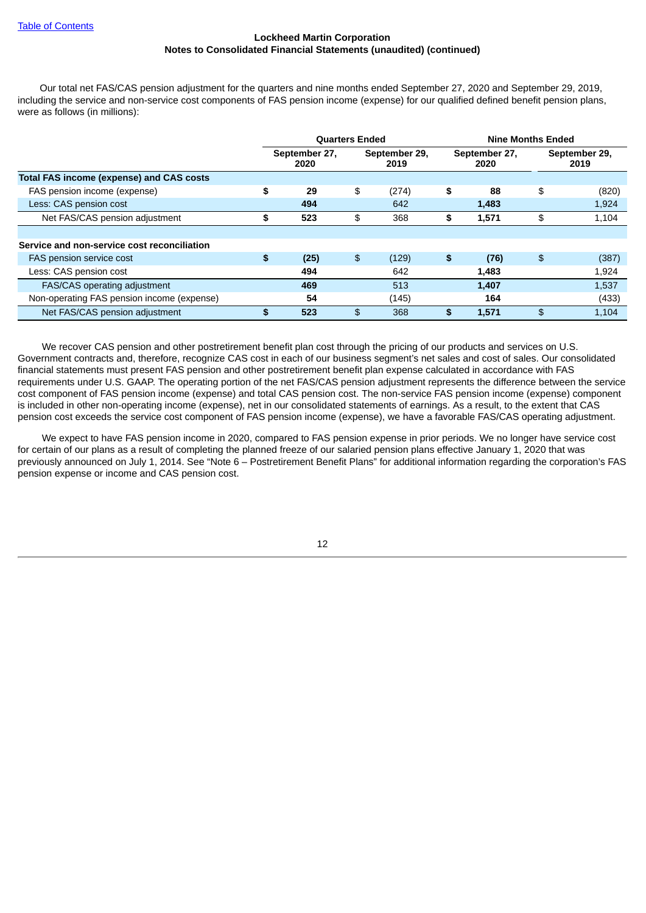Our total net FAS/CAS pension adjustment for the quarters and nine months ended September 27, 2020 and September 29, 2019, including the service and non-service cost components of FAS pension income (expense) for our qualified defined benefit pension plans, were as follows (in millions):

|                                             | <b>Ouarters Ended</b> |                       |               |                       | Nine Months Ended |  |  |  |
|---------------------------------------------|-----------------------|-----------------------|---------------|-----------------------|-------------------|--|--|--|
|                                             | September 27,<br>2020 | September 29,<br>2019 | September 27, | September 29.<br>2019 |                   |  |  |  |
| Total FAS income (expense) and CAS costs    |                       |                       |               |                       |                   |  |  |  |
| FAS pension income (expense)                | \$<br>29              | \$<br>(274)           | \$            | 88                    | \$<br>(820)       |  |  |  |
| Less: CAS pension cost                      | 494                   | 642                   |               | 1,483                 | 1,924             |  |  |  |
| Net FAS/CAS pension adjustment              | \$<br>523             | \$<br>368             | S             | 1,571                 | \$<br>1,104       |  |  |  |
|                                             |                       |                       |               |                       |                   |  |  |  |
| Service and non-service cost reconciliation |                       |                       |               |                       |                   |  |  |  |
| FAS pension service cost                    | \$<br>(25)            | \$<br>(129)           | \$            | (76)                  | \$<br>(387)       |  |  |  |
| Less: CAS pension cost                      | 494                   | 642                   |               | 1,483                 | 1,924             |  |  |  |
| FAS/CAS operating adjustment                | 469                   | 513                   |               | 1,407                 | 1,537             |  |  |  |
| Non-operating FAS pension income (expense)  | 54                    | (145)                 |               | 164                   | (433)             |  |  |  |
| Net FAS/CAS pension adjustment              | \$<br>523             | \$<br>368             | S             | 1,571                 | \$<br>1,104       |  |  |  |

We recover CAS pension and other postretirement benefit plan cost through the pricing of our products and services on U.S. Government contracts and, therefore, recognize CAS cost in each of our business segment's net sales and cost of sales. Our consolidated financial statements must present FAS pension and other postretirement benefit plan expense calculated in accordance with FAS requirements under U.S. GAAP. The operating portion of the net FAS/CAS pension adjustment represents the difference between the service cost component of FAS pension income (expense) and total CAS pension cost. The non-service FAS pension income (expense) component is included in other non-operating income (expense), net in our consolidated statements of earnings. As a result, to the extent that CAS pension cost exceeds the service cost component of FAS pension income (expense), we have a favorable FAS/CAS operating adjustment.

We expect to have FAS pension income in 2020, compared to FAS pension expense in prior periods. We no longer have service cost for certain of our plans as a result of completing the planned freeze of our salaried pension plans effective January 1, 2020 that was previously announced on July 1, 2014. See "Note 6 – Postretirement Benefit Plans" for additional information regarding the corporation's FAS pension expense or income and CAS pension cost.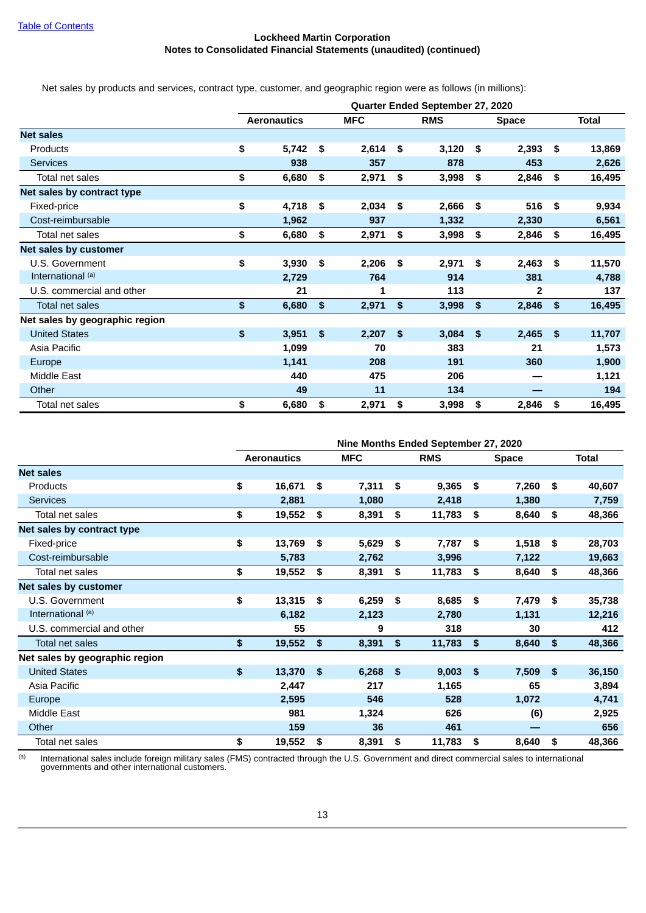Net sales by products and services, contract type, customer, and geographic region were as follows (in millions):

|                                | Quarter Ended September 27, 2020 |    |            |    |            |     |              |    |              |  |  |  |
|--------------------------------|----------------------------------|----|------------|----|------------|-----|--------------|----|--------------|--|--|--|
|                                | <b>Aeronautics</b>               |    | <b>MFC</b> |    | <b>RMS</b> |     | <b>Space</b> |    | <b>Total</b> |  |  |  |
| <b>Net sales</b>               |                                  |    |            |    |            |     |              |    |              |  |  |  |
| <b>Products</b>                | \$<br>5,742                      | \$ | 2,614      | \$ | 3,120      | Ŝ.  | 2,393        | \$ | 13,869       |  |  |  |
| <b>Services</b>                | 938                              |    | 357        |    | 878        |     | 453          |    | 2,626        |  |  |  |
| Total net sales                | \$<br>6,680                      | \$ | 2,971      | \$ | 3,998      | \$  | 2,846        | \$ | 16,495       |  |  |  |
| Net sales by contract type     |                                  |    |            |    |            |     |              |    |              |  |  |  |
| Fixed-price                    | \$<br>4,718                      | \$ | 2,034      | \$ | 2,666      | \$  | 516          | \$ | 9,934        |  |  |  |
| Cost-reimbursable              | 1,962                            |    | 937        |    | 1,332      |     | 2,330        |    | 6,561        |  |  |  |
| Total net sales                | \$<br>6,680                      | \$ | 2,971      | \$ | 3,998      | \$  | 2,846        | \$ | 16,495       |  |  |  |
| Net sales by customer          |                                  |    |            |    |            |     |              |    |              |  |  |  |
| U.S. Government                | \$<br>3,930                      | \$ | 2,206      | \$ | 2,971      | \$  | 2,463        | \$ | 11,570       |  |  |  |
| International (a)              | 2,729                            |    | 764        |    | 914        |     | 381          |    | 4,788        |  |  |  |
| U.S. commercial and other      | 21                               |    | 1          |    | 113        |     | 2            |    | 137          |  |  |  |
| Total net sales                | \$<br>6,680                      | \$ | 2,971      | \$ | 3,998      | \$  | 2,846        | \$ | 16,495       |  |  |  |
| Net sales by geographic region |                                  |    |            |    |            |     |              |    |              |  |  |  |
| <b>United States</b>           | \$<br>3,951                      | \$ | 2,207      | \$ | 3,084      | -\$ | 2,465        | \$ | 11,707       |  |  |  |
| Asia Pacific                   | 1,099                            |    | 70         |    | 383        |     | 21           |    | 1,573        |  |  |  |
| Europe                         | 1,141                            |    | 208        |    | 191        |     | 360          |    | 1,900        |  |  |  |
| Middle East                    | 440                              |    | 475        |    | 206        |     |              |    | 1,121        |  |  |  |
| Other                          | 49                               |    | 11         |    | 134        |     |              |    | 194          |  |  |  |
| Total net sales                | \$<br>6,680                      | \$ | 2,971      | \$ | 3,998      | \$  | 2,846        | \$ | 16,495       |  |  |  |

|                                |                    |              |            | Nine Months Ended September 27, 2020 |              |              |
|--------------------------------|--------------------|--------------|------------|--------------------------------------|--------------|--------------|
|                                | <b>Aeronautics</b> |              | <b>MFC</b> | <b>RMS</b>                           | <b>Space</b> | <b>Total</b> |
| <b>Net sales</b>               |                    |              |            |                                      |              |              |
| Products                       | \$<br>16,671       | \$           | 7,311      | \$<br>9,365                          | \$<br>7,260  | \$<br>40,607 |
| <b>Services</b>                | 2,881              |              | 1,080      | 2,418                                | 1,380        | 7,759        |
| Total net sales                | \$<br>19,552       | \$           | 8,391      | \$<br>11,783                         | \$<br>8,640  | \$<br>48,366 |
| Net sales by contract type     |                    |              |            |                                      |              |              |
| Fixed-price                    | \$<br>13,769       | \$           | 5,629      | \$<br>7,787                          | \$<br>1,518  | \$<br>28,703 |
| Cost-reimbursable              | 5,783              |              | 2,762      | 3,996                                | 7,122        | 19,663       |
| Total net sales                | \$<br>19,552       | \$           | 8,391      | \$<br>11,783                         | \$<br>8,640  | \$<br>48,366 |
| Net sales by customer          |                    |              |            |                                      |              |              |
| U.S. Government                | \$<br>13,315       | \$           | 6,259      | \$<br>8,685                          | \$<br>7,479  | \$<br>35,738 |
| International (a)              | 6,182              |              | 2,123      | 2,780                                | 1,131        | 12,216       |
| U.S. commercial and other      | 55                 |              | 9          | 318                                  | 30           | 412          |
| Total net sales                | \$<br>19,552       | \$           | 8,391      | \$<br>11,783                         | \$<br>8,640  | \$<br>48,366 |
| Net sales by geographic region |                    |              |            |                                      |              |              |
| <b>United States</b>           | \$<br>13,370       | $\mathbf{s}$ | 6,268      | \$<br>9,003                          | \$<br>7,509  | \$<br>36,150 |
| Asia Pacific                   | 2,447              |              | 217        | 1,165                                | 65           | 3,894        |
| Europe                         | 2,595              |              | 546        | 528                                  | 1,072        | 4,741        |
| Middle East                    | 981                |              | 1,324      | 626                                  | (6)          | 2,925        |
| Other                          | 159                |              | 36         | 461                                  |              | 656          |
| Total net sales                | \$<br>19,552       | \$           | 8,391      | \$<br>11,783                         | \$<br>8,640  | \$<br>48,366 |

(a) International sales include foreign military sales (FMS) contracted through the U.S. Government and direct commercial sales to international governments and other international customers.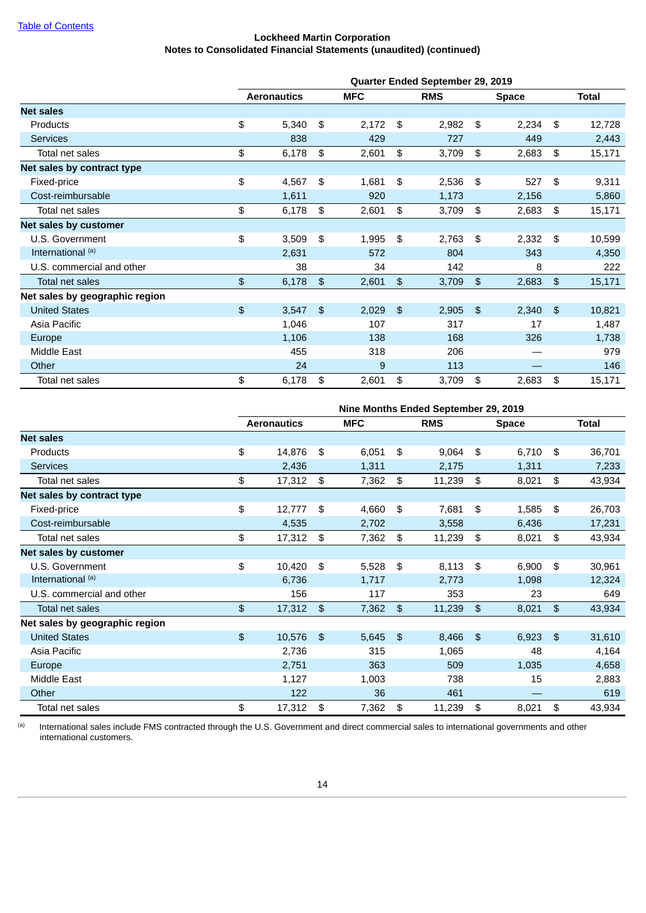|                                |                |                    |                |            |                | Quarter Ended September 29, 2019 |              |                |              |  |
|--------------------------------|----------------|--------------------|----------------|------------|----------------|----------------------------------|--------------|----------------|--------------|--|
|                                |                | <b>Aeronautics</b> |                | <b>MFC</b> |                | <b>RMS</b>                       | <b>Space</b> |                | <b>Total</b> |  |
| <b>Net sales</b>               |                |                    |                |            |                |                                  |              |                |              |  |
| Products                       | \$             | 5,340              | \$             | 2,172      | \$             | 2,982                            | \$<br>2,234  | \$             | 12,728       |  |
| <b>Services</b>                |                | 838                |                | 429        |                | 727                              | 449          |                | 2,443        |  |
| Total net sales                | \$             | 6,178              | \$             | 2,601      | \$             | 3,709                            | \$<br>2,683  | \$             | 15,171       |  |
| Net sales by contract type     |                |                    |                |            |                |                                  |              |                |              |  |
| Fixed-price                    | \$             | 4,567              | \$             | 1,681      | \$             | 2,536                            | \$<br>527    | \$             | 9,311        |  |
| Cost-reimbursable              |                | 1,611              |                | 920        |                | 1,173                            | 2,156        |                | 5,860        |  |
| Total net sales                | \$             | 6,178              | \$             | 2,601      | \$             | 3,709                            | \$<br>2,683  | \$             | 15,171       |  |
| Net sales by customer          |                |                    |                |            |                |                                  |              |                |              |  |
| U.S. Government                | \$             | 3,509              | \$             | 1,995      | \$             | 2,763                            | \$<br>2,332  | \$             | 10,599       |  |
| International (a)              |                | 2,631              |                | 572        |                | 804                              | 343          |                | 4,350        |  |
| U.S. commercial and other      |                | 38                 |                | 34         |                | 142                              | 8            |                | 222          |  |
| Total net sales                | \$             | 6,178              | $\mathfrak{F}$ | 2,601      | $\mathfrak{P}$ | 3,709                            | \$<br>2,683  | $\mathfrak{P}$ | 15,171       |  |
| Net sales by geographic region |                |                    |                |            |                |                                  |              |                |              |  |
| <b>United States</b>           | $\mathfrak{P}$ | 3,547              | \$             | 2,029      | $\mathfrak{P}$ | 2,905                            | \$<br>2,340  | $\mathfrak{P}$ | 10,821       |  |
| Asia Pacific                   |                | 1,046              |                | 107        |                | 317                              | 17           |                | 1,487        |  |
| Europe                         |                | 1,106              |                | 138        |                | 168                              | 326          |                | 1,738        |  |
| Middle East                    |                | 455                |                | 318        |                | 206                              |              |                | 979          |  |
| Other                          |                | 24                 |                | 9          |                | 113                              |              |                | 146          |  |
| Total net sales                | \$             | 6,178              | \$             | 2,601      | \$             | 3,709                            | \$<br>2,683  | \$             | 15,171       |  |

|                                |                    |                |            |                | Nine Months Ended September 29, 2019 |              |                |              |
|--------------------------------|--------------------|----------------|------------|----------------|--------------------------------------|--------------|----------------|--------------|
|                                | <b>Aeronautics</b> |                | <b>MFC</b> |                | <b>RMS</b>                           | <b>Space</b> |                | <b>Total</b> |
| <b>Net sales</b>               |                    |                |            |                |                                      |              |                |              |
| Products                       | \$<br>14,876       | \$             | 6,051      | \$             | 9,064                                | \$<br>6,710  | \$             | 36,701       |
| <b>Services</b>                | 2,436              |                | 1,311      |                | 2,175                                | 1,311        |                | 7,233        |
| Total net sales                | \$<br>17,312       | \$             | 7,362      | \$             | 11,239                               | \$<br>8,021  | \$             | 43,934       |
| Net sales by contract type     |                    |                |            |                |                                      |              |                |              |
| Fixed-price                    | \$<br>12,777       | \$             | 4,660      | \$             | 7,681                                | \$<br>1,585  | \$             | 26,703       |
| Cost-reimbursable              | 4,535              |                | 2,702      |                | 3,558                                | 6,436        |                | 17,231       |
| Total net sales                | \$<br>17,312       | \$             | 7,362      | \$             | 11,239                               | \$<br>8,021  | \$             | 43,934       |
| Net sales by customer          |                    |                |            |                |                                      |              |                |              |
| U.S. Government                | \$<br>10,420       | \$             | 5,528      | \$             | 8,113                                | \$<br>6,900  | \$             | 30,961       |
| International (a)              | 6,736              |                | 1,717      |                | 2,773                                | 1,098        |                | 12,324       |
| U.S. commercial and other      | 156                |                | 117        |                | 353                                  | 23           |                | 649          |
| Total net sales                | \$<br>17,312       | $\mathfrak{P}$ | 7,362      | $\frac{4}{5}$  | 11,239                               | \$<br>8,021  | $\mathfrak{L}$ | 43,934       |
| Net sales by geographic region |                    |                |            |                |                                      |              |                |              |
| <b>United States</b>           | \$<br>10,576       | $\mathfrak{P}$ | 5,645      | $\mathfrak{F}$ | 8,466                                | \$<br>6,923  | \$             | 31,610       |
| Asia Pacific                   | 2,736              |                | 315        |                | 1,065                                | 48           |                | 4,164        |
| Europe                         | 2,751              |                | 363        |                | 509                                  | 1,035        |                | 4,658        |
| Middle East                    | 1,127              |                | 1,003      |                | 738                                  | 15           |                | 2,883        |
| Other                          | 122                |                | 36         |                | 461                                  |              |                | 619          |
| Total net sales                | \$<br>17,312       | \$             | 7,362      | \$             | 11,239                               | \$<br>8,021  | \$             | 43,934       |

(a) International sales include FMS contracted through the U.S. Government and direct commercial sales to international governments and other international customers.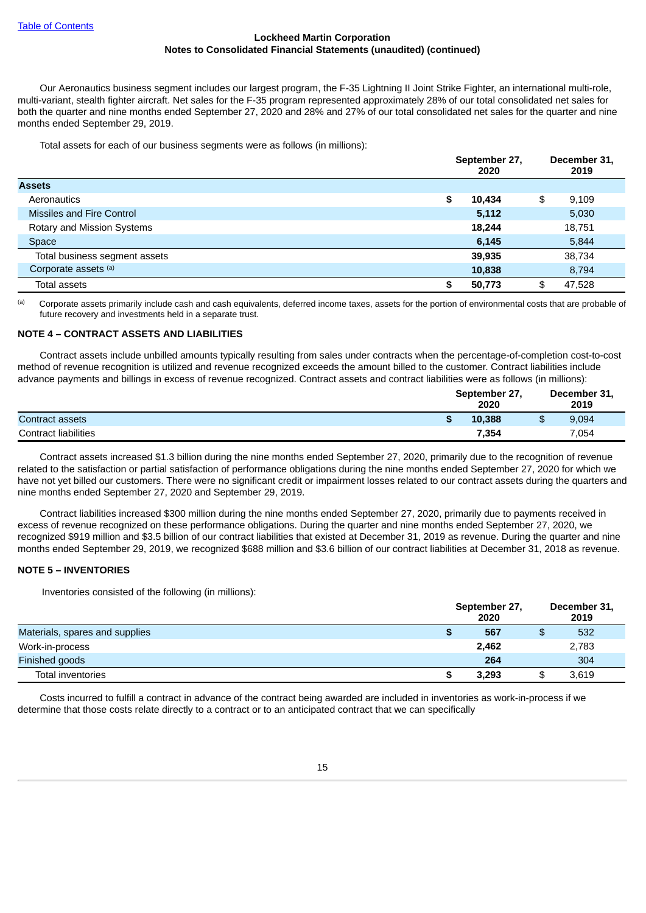Our Aeronautics business segment includes our largest program, the F-35 Lightning II Joint Strike Fighter, an international multi-role, multi-variant, stealth fighter aircraft. Net sales for the F-35 program represented approximately 28% of our total consolidated net sales for both the quarter and nine months ended September 27, 2020 and 28% and 27% of our total consolidated net sales for the quarter and nine months ended September 29, 2019.

Total assets for each of our business segments were as follows (in millions):

|                               | September 27,<br>2020 | December 31,<br>2019 |
|-------------------------------|-----------------------|----------------------|
| <b>Assets</b>                 |                       |                      |
| Aeronautics                   | \$<br>10,434          | \$<br>9,109          |
| Missiles and Fire Control     | 5,112                 | 5,030                |
| Rotary and Mission Systems    | 18,244                | 18,751               |
| Space                         | 6,145                 | 5,844                |
| Total business segment assets | 39,935                | 38,734               |
| Corporate assets (a)          | 10,838                | 8,794                |
| <b>Total assets</b>           | \$<br>50,773          | \$<br>47,528         |

(a) Corporate assets primarily include cash and cash equivalents, deferred income taxes, assets for the portion of environmental costs that are probable of future recovery and investments held in a separate trust.

#### **NOTE 4 – CONTRACT ASSETS AND LIABILITIES**

Contract assets include unbilled amounts typically resulting from sales under contracts when the percentage-of-completion cost-to-cost method of revenue recognition is utilized and revenue recognized exceeds the amount billed to the customer. Contract liabilities include advance payments and billings in excess of revenue recognized. Contract assets and contract liabilities were as follows (in millions):

|                        | September 27.<br>2020 | December 31,<br>2019 |
|------------------------|-----------------------|----------------------|
| <b>Contract assets</b> | 10.388                | \$<br>9,094          |
| Contract liabilities   | 7,354                 | 7,054                |

Contract assets increased \$1.3 billion during the nine months ended September 27, 2020, primarily due to the recognition of revenue related to the satisfaction or partial satisfaction of performance obligations during the nine months ended September 27, 2020 for which we have not yet billed our customers. There were no significant credit or impairment losses related to our contract assets during the quarters and nine months ended September 27, 2020 and September 29, 2019.

Contract liabilities increased \$300 million during the nine months ended September 27, 2020, primarily due to payments received in excess of revenue recognized on these performance obligations. During the quarter and nine months ended September 27, 2020, we recognized \$919 million and \$3.5 billion of our contract liabilities that existed at December 31, 2019 as revenue. During the quarter and nine months ended September 29, 2019, we recognized \$688 million and \$3.6 billion of our contract liabilities at December 31, 2018 as revenue.

#### **NOTE 5 – INVENTORIES**

Inventories consisted of the following (in millions):

|                                | September 27,<br>2020 | December 31,<br>2019 |
|--------------------------------|-----------------------|----------------------|
| Materials, spares and supplies | 567                   | 532                  |
| Work-in-process                | 2,462                 | 2,783                |
| Finished goods                 | 264                   | 304                  |
| Total inventories              | 3,293                 | \$<br>3,619          |

Costs incurred to fulfill a contract in advance of the contract being awarded are included in inventories as work-in-process if we determine that those costs relate directly to a contract or to an anticipated contract that we can specifically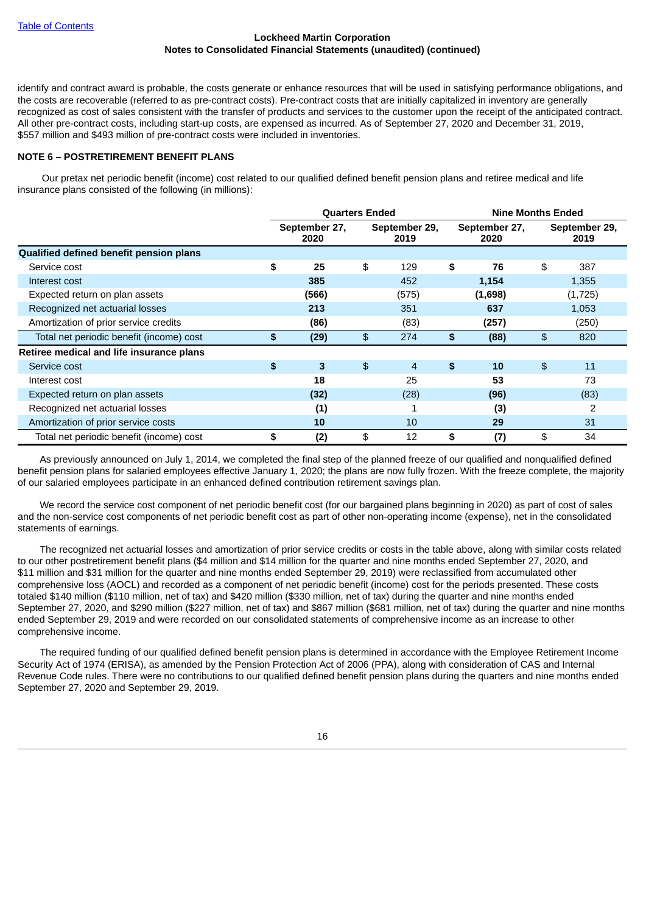identify and contract award is probable, the costs generate or enhance resources that will be used in satisfying performance obligations, and the costs are recoverable (referred to as pre-contract costs). Pre-contract costs that are initially capitalized in inventory are generally recognized as cost of sales consistent with the transfer of products and services to the customer upon the receipt of the anticipated contract. All other pre-contract costs, including start-up costs, are expensed as incurred. As of September 27, 2020 and December 31, 2019, \$557 million and \$493 million of pre-contract costs were included in inventories.

### **NOTE 6 – POSTRETIREMENT BENEFIT PLANS**

Our pretax net periodic benefit (income) cost related to our qualified defined benefit pension plans and retiree medical and life insurance plans consisted of the following (in millions):

|                                          | <b>Ouarters Ended</b> |    |                       | <b>Nine Months Ended</b> |                       |                |                       |  |
|------------------------------------------|-----------------------|----|-----------------------|--------------------------|-----------------------|----------------|-----------------------|--|
|                                          | September 27,<br>2020 |    | September 29,<br>2019 |                          | September 27,<br>2020 |                | September 29,<br>2019 |  |
| Qualified defined benefit pension plans  |                       |    |                       |                          |                       |                |                       |  |
| Service cost                             | \$<br>25              | \$ | 129                   | \$                       | 76                    | \$             | 387                   |  |
| Interest cost                            | 385                   |    | 452                   |                          | 1,154                 |                | 1,355                 |  |
| Expected return on plan assets           | (566)                 |    | (575)                 |                          | (1,698)               |                | (1, 725)              |  |
| Recognized net actuarial losses          | 213                   |    | 351                   |                          | 637                   |                | 1,053                 |  |
| Amortization of prior service credits    | (86)                  |    | (83)                  |                          | (257)                 |                | (250)                 |  |
| Total net periodic benefit (income) cost | \$<br>(29)            | \$ | 274                   | \$                       | (88)                  | \$             | 820                   |  |
| Retiree medical and life insurance plans |                       |    |                       |                          |                       |                |                       |  |
| Service cost                             | \$<br>3               | \$ | $\overline{4}$        | \$                       | 10                    | $\mathfrak{P}$ | 11                    |  |
| Interest cost                            | 18                    |    | 25                    |                          | 53                    |                | 73                    |  |
| Expected return on plan assets           | (32)                  |    | (28)                  |                          | (96)                  |                | (83)                  |  |
| Recognized net actuarial losses          | (1)                   |    |                       |                          | (3)                   |                | 2                     |  |
| Amortization of prior service costs      | <b>10</b>             |    | 10                    |                          | 29                    |                | 31                    |  |
| Total net periodic benefit (income) cost | \$<br>(2)             | \$ | 12                    | \$                       | (7)                   | \$             | 34                    |  |

As previously announced on July 1, 2014, we completed the final step of the planned freeze of our qualified and nonqualified defined benefit pension plans for salaried employees effective January 1, 2020; the plans are now fully frozen. With the freeze complete, the majority of our salaried employees participate in an enhanced defined contribution retirement savings plan.

We record the service cost component of net periodic benefit cost (for our bargained plans beginning in 2020) as part of cost of sales and the non-service cost components of net periodic benefit cost as part of other non-operating income (expense), net in the consolidated statements of earnings.

The recognized net actuarial losses and amortization of prior service credits or costs in the table above, along with similar costs related to our other postretirement benefit plans (\$4 million and \$14 million for the quarter and nine months ended September 27, 2020, and \$11 million and \$31 million for the quarter and nine months ended September 29, 2019) were reclassified from accumulated other comprehensive loss (AOCL) and recorded as a component of net periodic benefit (income) cost for the periods presented. These costs totaled \$140 million (\$110 million, net of tax) and \$420 million (\$330 million, net of tax) during the quarter and nine months ended September 27, 2020, and \$290 million (\$227 million, net of tax) and \$867 million (\$681 million, net of tax) during the quarter and nine months ended September 29, 2019 and were recorded on our consolidated statements of comprehensive income as an increase to other comprehensive income.

The required funding of our qualified defined benefit pension plans is determined in accordance with the Employee Retirement Income Security Act of 1974 (ERISA), as amended by the Pension Protection Act of 2006 (PPA), along with consideration of CAS and Internal Revenue Code rules. There were no contributions to our qualified defined benefit pension plans during the quarters and nine months ended September 27, 2020 and September 29, 2019.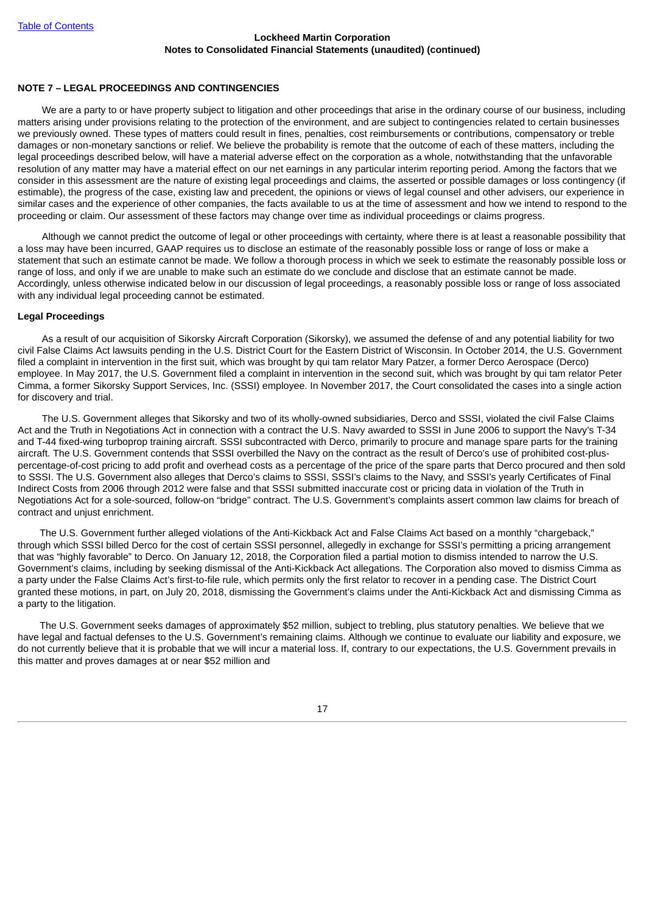### **NOTE 7 – LEGAL PROCEEDINGS AND CONTINGENCIES**

We are a party to or have property subject to litigation and other proceedings that arise in the ordinary course of our business, including matters arising under provisions relating to the protection of the environment, and are subject to contingencies related to certain businesses we previously owned. These types of matters could result in fines, penalties, cost reimbursements or contributions, compensatory or treble damages or non-monetary sanctions or relief. We believe the probability is remote that the outcome of each of these matters, including the legal proceedings described below, will have a material adverse effect on the corporation as a whole, notwithstanding that the unfavorable resolution of any matter may have a material effect on our net earnings in any particular interim reporting period. Among the factors that we consider in this assessment are the nature of existing legal proceedings and claims, the asserted or possible damages or loss contingency (if estimable), the progress of the case, existing law and precedent, the opinions or views of legal counsel and other advisers, our experience in similar cases and the experience of other companies, the facts available to us at the time of assessment and how we intend to respond to the proceeding or claim. Our assessment of these factors may change over time as individual proceedings or claims progress.

Although we cannot predict the outcome of legal or other proceedings with certainty, where there is at least a reasonable possibility that a loss may have been incurred, GAAP requires us to disclose an estimate of the reasonably possible loss or range of loss or make a statement that such an estimate cannot be made. We follow a thorough process in which we seek to estimate the reasonably possible loss or range of loss, and only if we are unable to make such an estimate do we conclude and disclose that an estimate cannot be made. Accordingly, unless otherwise indicated below in our discussion of legal proceedings, a reasonably possible loss or range of loss associated with any individual legal proceeding cannot be estimated.

#### **Legal Proceedings**

As a result of our acquisition of Sikorsky Aircraft Corporation (Sikorsky), we assumed the defense of and any potential liability for two civil False Claims Act lawsuits pending in the U.S. District Court for the Eastern District of Wisconsin. In October 2014, the U.S. Government filed a complaint in intervention in the first suit, which was brought by qui tam relator Mary Patzer, a former Derco Aerospace (Derco) employee. In May 2017, the U.S. Government filed a complaint in intervention in the second suit, which was brought by qui tam relator Peter Cimma, a former Sikorsky Support Services, Inc. (SSSI) employee. In November 2017, the Court consolidated the cases into a single action for discovery and trial.

The U.S. Government alleges that Sikorsky and two of its wholly-owned subsidiaries, Derco and SSSI, violated the civil False Claims Act and the Truth in Negotiations Act in connection with a contract the U.S. Navy awarded to SSSI in June 2006 to support the Navy's T-34 and T-44 fixed-wing turboprop training aircraft. SSSI subcontracted with Derco, primarily to procure and manage spare parts for the training aircraft. The U.S. Government contends that SSSI overbilled the Navy on the contract as the result of Derco's use of prohibited cost-pluspercentage-of-cost pricing to add profit and overhead costs as a percentage of the price of the spare parts that Derco procured and then sold to SSSI. The U.S. Government also alleges that Derco's claims to SSSI, SSSI's claims to the Navy, and SSSI's yearly Certificates of Final Indirect Costs from 2006 through 2012 were false and that SSSI submitted inaccurate cost or pricing data in violation of the Truth in Negotiations Act for a sole-sourced, follow-on "bridge" contract. The U.S. Government's complaints assert common law claims for breach of contract and unjust enrichment.

The U.S. Government further alleged violations of the Anti-Kickback Act and False Claims Act based on a monthly "chargeback," through which SSSI billed Derco for the cost of certain SSSI personnel, allegedly in exchange for SSSI's permitting a pricing arrangement that was "highly favorable" to Derco. On January 12, 2018, the Corporation filed a partial motion to dismiss intended to narrow the U.S. Government's claims, including by seeking dismissal of the Anti-Kickback Act allegations. The Corporation also moved to dismiss Cimma as a party under the False Claims Act's first-to-file rule, which permits only the first relator to recover in a pending case. The District Court granted these motions, in part, on July 20, 2018, dismissing the Government's claims under the Anti-Kickback Act and dismissing Cimma as a party to the litigation.

The U.S. Government seeks damages of approximately \$52 million, subject to trebling, plus statutory penalties. We believe that we have legal and factual defenses to the U.S. Government's remaining claims. Although we continue to evaluate our liability and exposure, we do not currently believe that it is probable that we will incur a material loss. If, contrary to our expectations, the U.S. Government prevails in this matter and proves damages at or near \$52 million and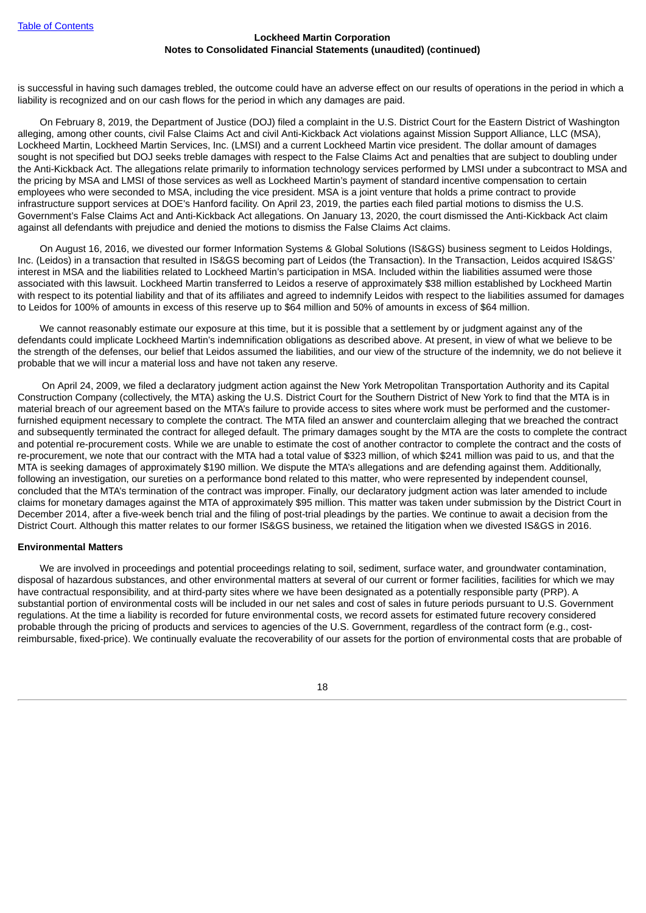is successful in having such damages trebled, the outcome could have an adverse effect on our results of operations in the period in which a liability is recognized and on our cash flows for the period in which any damages are paid.

On February 8, 2019, the Department of Justice (DOJ) filed a complaint in the U.S. District Court for the Eastern District of Washington alleging, among other counts, civil False Claims Act and civil Anti-Kickback Act violations against Mission Support Alliance, LLC (MSA), Lockheed Martin, Lockheed Martin Services, Inc. (LMSI) and a current Lockheed Martin vice president. The dollar amount of damages sought is not specified but DOJ seeks treble damages with respect to the False Claims Act and penalties that are subject to doubling under the Anti-Kickback Act. The allegations relate primarily to information technology services performed by LMSI under a subcontract to MSA and the pricing by MSA and LMSI of those services as well as Lockheed Martin's payment of standard incentive compensation to certain employees who were seconded to MSA, including the vice president. MSA is a joint venture that holds a prime contract to provide infrastructure support services at DOE's Hanford facility. On April 23, 2019, the parties each filed partial motions to dismiss the U.S. Government's False Claims Act and Anti-Kickback Act allegations. On January 13, 2020, the court dismissed the Anti-Kickback Act claim against all defendants with prejudice and denied the motions to dismiss the False Claims Act claims.

On August 16, 2016, we divested our former Information Systems & Global Solutions (IS&GS) business segment to Leidos Holdings, Inc. (Leidos) in a transaction that resulted in IS&GS becoming part of Leidos (the Transaction). In the Transaction, Leidos acquired IS&GS' interest in MSA and the liabilities related to Lockheed Martin's participation in MSA. Included within the liabilities assumed were those associated with this lawsuit. Lockheed Martin transferred to Leidos a reserve of approximately \$38 million established by Lockheed Martin with respect to its potential liability and that of its affiliates and agreed to indemnify Leidos with respect to the liabilities assumed for damages to Leidos for 100% of amounts in excess of this reserve up to \$64 million and 50% of amounts in excess of \$64 million.

We cannot reasonably estimate our exposure at this time, but it is possible that a settlement by or judgment against any of the defendants could implicate Lockheed Martin's indemnification obligations as described above. At present, in view of what we believe to be the strength of the defenses, our belief that Leidos assumed the liabilities, and our view of the structure of the indemnity, we do not believe it probable that we will incur a material loss and have not taken any reserve.

On April 24, 2009, we filed a declaratory judgment action against the New York Metropolitan Transportation Authority and its Capital Construction Company (collectively, the MTA) asking the U.S. District Court for the Southern District of New York to find that the MTA is in material breach of our agreement based on the MTA's failure to provide access to sites where work must be performed and the customerfurnished equipment necessary to complete the contract. The MTA filed an answer and counterclaim alleging that we breached the contract and subsequently terminated the contract for alleged default. The primary damages sought by the MTA are the costs to complete the contract and potential re-procurement costs. While we are unable to estimate the cost of another contractor to complete the contract and the costs of re-procurement, we note that our contract with the MTA had a total value of \$323 million, of which \$241 million was paid to us, and that the MTA is seeking damages of approximately \$190 million. We dispute the MTA's allegations and are defending against them. Additionally, following an investigation, our sureties on a performance bond related to this matter, who were represented by independent counsel, concluded that the MTA's termination of the contract was improper. Finally, our declaratory judgment action was later amended to include claims for monetary damages against the MTA of approximately \$95 million. This matter was taken under submission by the District Court in December 2014, after a five-week bench trial and the filing of post-trial pleadings by the parties. We continue to await a decision from the District Court. Although this matter relates to our former IS&GS business, we retained the litigation when we divested IS&GS in 2016.

### **Environmental Matters**

We are involved in proceedings and potential proceedings relating to soil, sediment, surface water, and groundwater contamination, disposal of hazardous substances, and other environmental matters at several of our current or former facilities, facilities for which we may have contractual responsibility, and at third-party sites where we have been designated as a potentially responsible party (PRP). A substantial portion of environmental costs will be included in our net sales and cost of sales in future periods pursuant to U.S. Government regulations. At the time a liability is recorded for future environmental costs, we record assets for estimated future recovery considered probable through the pricing of products and services to agencies of the U.S. Government, regardless of the contract form (e.g., costreimbursable, fixed-price). We continually evaluate the recoverability of our assets for the portion of environmental costs that are probable of

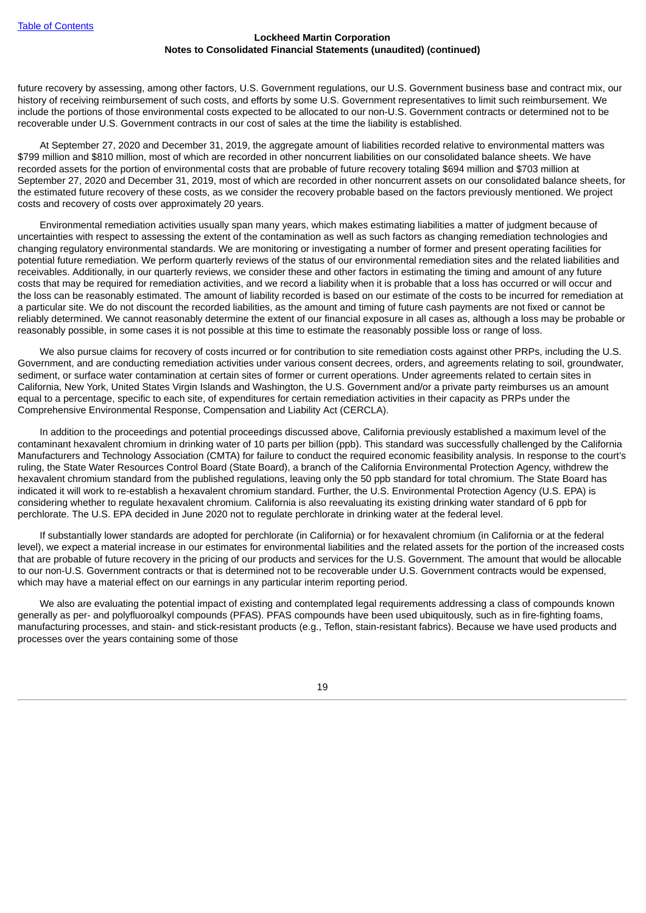future recovery by assessing, among other factors, U.S. Government regulations, our U.S. Government business base and contract mix, our history of receiving reimbursement of such costs, and efforts by some U.S. Government representatives to limit such reimbursement. We include the portions of those environmental costs expected to be allocated to our non-U.S. Government contracts or determined not to be recoverable under U.S. Government contracts in our cost of sales at the time the liability is established.

At September 27, 2020 and December 31, 2019, the aggregate amount of liabilities recorded relative to environmental matters was \$799 million and \$810 million, most of which are recorded in other noncurrent liabilities on our consolidated balance sheets. We have recorded assets for the portion of environmental costs that are probable of future recovery totaling \$694 million and \$703 million at September 27, 2020 and December 31, 2019, most of which are recorded in other noncurrent assets on our consolidated balance sheets, for the estimated future recovery of these costs, as we consider the recovery probable based on the factors previously mentioned. We project costs and recovery of costs over approximately 20 years.

Environmental remediation activities usually span many years, which makes estimating liabilities a matter of judgment because of uncertainties with respect to assessing the extent of the contamination as well as such factors as changing remediation technologies and changing regulatory environmental standards. We are monitoring or investigating a number of former and present operating facilities for potential future remediation. We perform quarterly reviews of the status of our environmental remediation sites and the related liabilities and receivables. Additionally, in our quarterly reviews, we consider these and other factors in estimating the timing and amount of any future costs that may be required for remediation activities, and we record a liability when it is probable that a loss has occurred or will occur and the loss can be reasonably estimated. The amount of liability recorded is based on our estimate of the costs to be incurred for remediation at a particular site. We do not discount the recorded liabilities, as the amount and timing of future cash payments are not fixed or cannot be reliably determined. We cannot reasonably determine the extent of our financial exposure in all cases as, although a loss may be probable or reasonably possible, in some cases it is not possible at this time to estimate the reasonably possible loss or range of loss.

We also pursue claims for recovery of costs incurred or for contribution to site remediation costs against other PRPs, including the U.S. Government, and are conducting remediation activities under various consent decrees, orders, and agreements relating to soil, groundwater, sediment, or surface water contamination at certain sites of former or current operations. Under agreements related to certain sites in California, New York, United States Virgin Islands and Washington, the U.S. Government and/or a private party reimburses us an amount equal to a percentage, specific to each site, of expenditures for certain remediation activities in their capacity as PRPs under the Comprehensive Environmental Response, Compensation and Liability Act (CERCLA).

In addition to the proceedings and potential proceedings discussed above, California previously established a maximum level of the contaminant hexavalent chromium in drinking water of 10 parts per billion (ppb). This standard was successfully challenged by the California Manufacturers and Technology Association (CMTA) for failure to conduct the required economic feasibility analysis. In response to the court's ruling, the State Water Resources Control Board (State Board), a branch of the California Environmental Protection Agency, withdrew the hexavalent chromium standard from the published regulations, leaving only the 50 ppb standard for total chromium. The State Board has indicated it will work to re-establish a hexavalent chromium standard. Further, the U.S. Environmental Protection Agency (U.S. EPA) is considering whether to regulate hexavalent chromium. California is also reevaluating its existing drinking water standard of 6 ppb for perchlorate. The U.S. EPA decided in June 2020 not to regulate perchlorate in drinking water at the federal level.

If substantially lower standards are adopted for perchlorate (in California) or for hexavalent chromium (in California or at the federal level), we expect a material increase in our estimates for environmental liabilities and the related assets for the portion of the increased costs that are probable of future recovery in the pricing of our products and services for the U.S. Government. The amount that would be allocable to our non-U.S. Government contracts or that is determined not to be recoverable under U.S. Government contracts would be expensed, which may have a material effect on our earnings in any particular interim reporting period.

We also are evaluating the potential impact of existing and contemplated legal requirements addressing a class of compounds known generally as per- and polyfluoroalkyl compounds (PFAS). PFAS compounds have been used ubiquitously, such as in fire-fighting foams, manufacturing processes, and stain- and stick-resistant products (e.g., Teflon, stain-resistant fabrics). Because we have used products and processes over the years containing some of those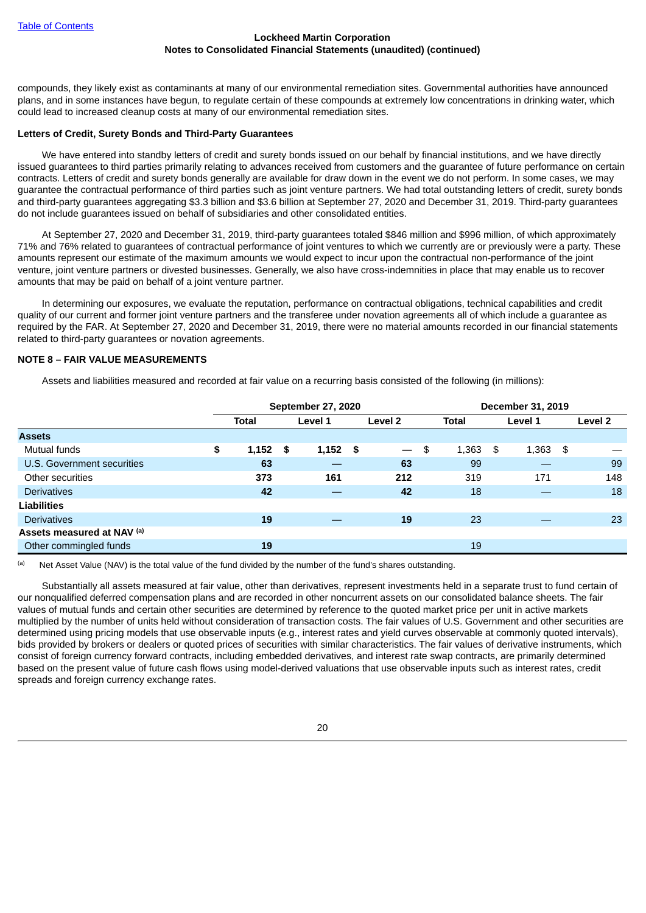compounds, they likely exist as contaminants at many of our environmental remediation sites. Governmental authorities have announced plans, and in some instances have begun, to regulate certain of these compounds at extremely low concentrations in drinking water, which could lead to increased cleanup costs at many of our environmental remediation sites.

### **Letters of Credit, Surety Bonds and Third-Party Guarantees**

We have entered into standby letters of credit and surety bonds issued on our behalf by financial institutions, and we have directly issued guarantees to third parties primarily relating to advances received from customers and the guarantee of future performance on certain contracts. Letters of credit and surety bonds generally are available for draw down in the event we do not perform. In some cases, we may guarantee the contractual performance of third parties such as joint venture partners. We had total outstanding letters of credit, surety bonds and third-party guarantees aggregating \$3.3 billion and \$3.6 billion at September 27, 2020 and December 31, 2019. Third-party guarantees do not include guarantees issued on behalf of subsidiaries and other consolidated entities.

At September 27, 2020 and December 31, 2019, third-party guarantees totaled \$846 million and \$996 million, of which approximately 71% and 76% related to guarantees of contractual performance of joint ventures to which we currently are or previously were a party. These amounts represent our estimate of the maximum amounts we would expect to incur upon the contractual non-performance of the joint venture, joint venture partners or divested businesses. Generally, we also have cross-indemnities in place that may enable us to recover amounts that may be paid on behalf of a joint venture partner.

In determining our exposures, we evaluate the reputation, performance on contractual obligations, technical capabilities and credit quality of our current and former joint venture partners and the transferee under novation agreements all of which include a guarantee as required by the FAR. At September 27, 2020 and December 31, 2019, there were no material amounts recorded in our financial statements related to third-party guarantees or novation agreements.

### **NOTE 8 – FAIR VALUE MEASUREMENTS**

Assets and liabilities measured and recorded at fair value on a recurring basis consisted of the following (in millions):

|                            |                  | <b>September 27, 2020</b> |      | December 31, 2019 |                            |              |      |         |    |                    |
|----------------------------|------------------|---------------------------|------|-------------------|----------------------------|--------------|------|---------|----|--------------------|
|                            | <b>Total</b>     | Level 1                   |      | Level 2           |                            | <b>Total</b> |      | Level 1 |    | Level <sub>2</sub> |
| <b>Assets</b>              |                  |                           |      |                   |                            |              |      |         |    |                    |
| Mutual funds               | \$<br>$1,152$ \$ | 1,152                     | - \$ |                   | $\boldsymbol{\mathsf{\$}}$ | 1,363        | - \$ | 1,363   | \$ |                    |
| U.S. Government securities | 63               |                           |      | 63                |                            | 99           |      |         |    | 99                 |
| Other securities           | 373              | 161                       |      | 212               |                            | 319          |      | 171     |    | 148                |
| <b>Derivatives</b>         | 42               |                           |      | 42                |                            | 18           |      |         |    | 18                 |
| <b>Liabilities</b>         |                  |                           |      |                   |                            |              |      |         |    |                    |
| <b>Derivatives</b>         | 19               |                           |      | 19                |                            | 23           |      |         |    | 23                 |
| Assets measured at NAV (a) |                  |                           |      |                   |                            |              |      |         |    |                    |
| Other commingled funds     | 19               |                           |      |                   |                            | 19           |      |         |    |                    |

(a) Net Asset Value (NAV) is the total value of the fund divided by the number of the fund's shares outstanding.

Substantially all assets measured at fair value, other than derivatives, represent investments held in a separate trust to fund certain of our nonqualified deferred compensation plans and are recorded in other noncurrent assets on our consolidated balance sheets. The fair values of mutual funds and certain other securities are determined by reference to the quoted market price per unit in active markets multiplied by the number of units held without consideration of transaction costs. The fair values of U.S. Government and other securities are determined using pricing models that use observable inputs (e.g., interest rates and yield curves observable at commonly quoted intervals), bids provided by brokers or dealers or quoted prices of securities with similar characteristics. The fair values of derivative instruments, which consist of foreign currency forward contracts, including embedded derivatives, and interest rate swap contracts, are primarily determined based on the present value of future cash flows using model-derived valuations that use observable inputs such as interest rates, credit spreads and foreign currency exchange rates.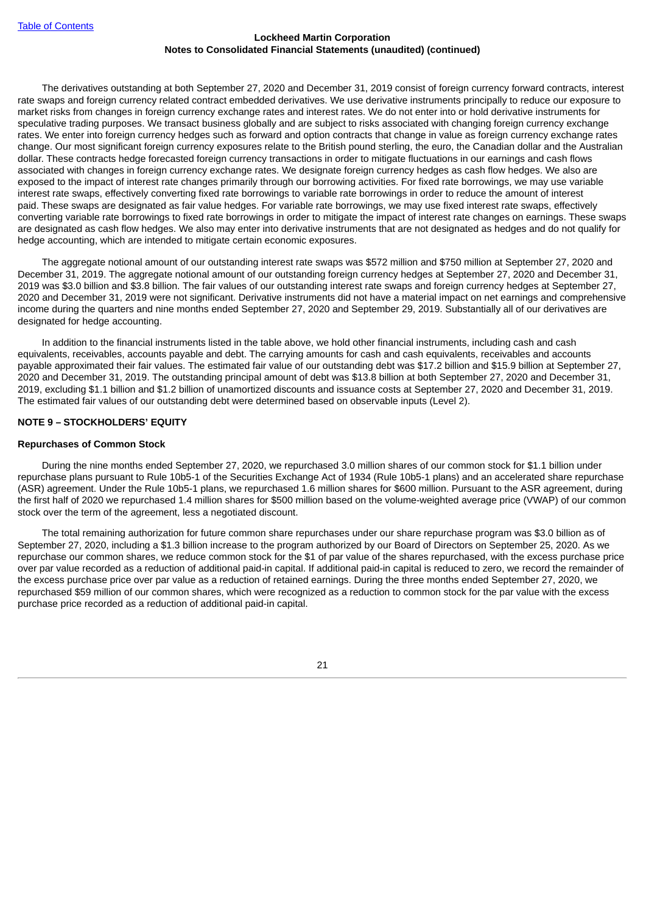The derivatives outstanding at both September 27, 2020 and December 31, 2019 consist of foreign currency forward contracts, interest rate swaps and foreign currency related contract embedded derivatives. We use derivative instruments principally to reduce our exposure to market risks from changes in foreign currency exchange rates and interest rates. We do not enter into or hold derivative instruments for speculative trading purposes. We transact business globally and are subject to risks associated with changing foreign currency exchange rates. We enter into foreign currency hedges such as forward and option contracts that change in value as foreign currency exchange rates change. Our most significant foreign currency exposures relate to the British pound sterling, the euro, the Canadian dollar and the Australian dollar. These contracts hedge forecasted foreign currency transactions in order to mitigate fluctuations in our earnings and cash flows associated with changes in foreign currency exchange rates. We designate foreign currency hedges as cash flow hedges. We also are exposed to the impact of interest rate changes primarily through our borrowing activities. For fixed rate borrowings, we may use variable interest rate swaps, effectively converting fixed rate borrowings to variable rate borrowings in order to reduce the amount of interest paid. These swaps are designated as fair value hedges. For variable rate borrowings, we may use fixed interest rate swaps, effectively converting variable rate borrowings to fixed rate borrowings in order to mitigate the impact of interest rate changes on earnings. These swaps are designated as cash flow hedges. We also may enter into derivative instruments that are not designated as hedges and do not qualify for hedge accounting, which are intended to mitigate certain economic exposures.

The aggregate notional amount of our outstanding interest rate swaps was \$572 million and \$750 million at September 27, 2020 and December 31, 2019. The aggregate notional amount of our outstanding foreign currency hedges at September 27, 2020 and December 31, 2019 was \$3.0 billion and \$3.8 billion. The fair values of our outstanding interest rate swaps and foreign currency hedges at September 27, 2020 and December 31, 2019 were not significant. Derivative instruments did not have a material impact on net earnings and comprehensive income during the quarters and nine months ended September 27, 2020 and September 29, 2019. Substantially all of our derivatives are designated for hedge accounting.

In addition to the financial instruments listed in the table above, we hold other financial instruments, including cash and cash equivalents, receivables, accounts payable and debt. The carrying amounts for cash and cash equivalents, receivables and accounts payable approximated their fair values. The estimated fair value of our outstanding debt was \$17.2 billion and \$15.9 billion at September 27, 2020 and December 31, 2019. The outstanding principal amount of debt was \$13.8 billion at both September 27, 2020 and December 31, 2019, excluding \$1.1 billion and \$1.2 billion of unamortized discounts and issuance costs at September 27, 2020 and December 31, 2019. The estimated fair values of our outstanding debt were determined based on observable inputs (Level 2).

### **NOTE 9 – STOCKHOLDERS' EQUITY**

### **Repurchases of Common Stock**

During the nine months ended September 27, 2020, we repurchased 3.0 million shares of our common stock for \$1.1 billion under repurchase plans pursuant to Rule 10b5-1 of the Securities Exchange Act of 1934 (Rule 10b5-1 plans) and an accelerated share repurchase (ASR) agreement. Under the Rule 10b5-1 plans, we repurchased 1.6 million shares for \$600 million. Pursuant to the ASR agreement, during the first half of 2020 we repurchased 1.4 million shares for \$500 million based on the volume-weighted average price (VWAP) of our common stock over the term of the agreement, less a negotiated discount.

The total remaining authorization for future common share repurchases under our share repurchase program was \$3.0 billion as of September 27, 2020, including a \$1.3 billion increase to the program authorized by our Board of Directors on September 25, 2020. As we repurchase our common shares, we reduce common stock for the \$1 of par value of the shares repurchased, with the excess purchase price over par value recorded as a reduction of additional paid-in capital. If additional paid-in capital is reduced to zero, we record the remainder of the excess purchase price over par value as a reduction of retained earnings. During the three months ended September 27, 2020, we repurchased \$59 million of our common shares, which were recognized as a reduction to common stock for the par value with the excess purchase price recorded as a reduction of additional paid-in capital.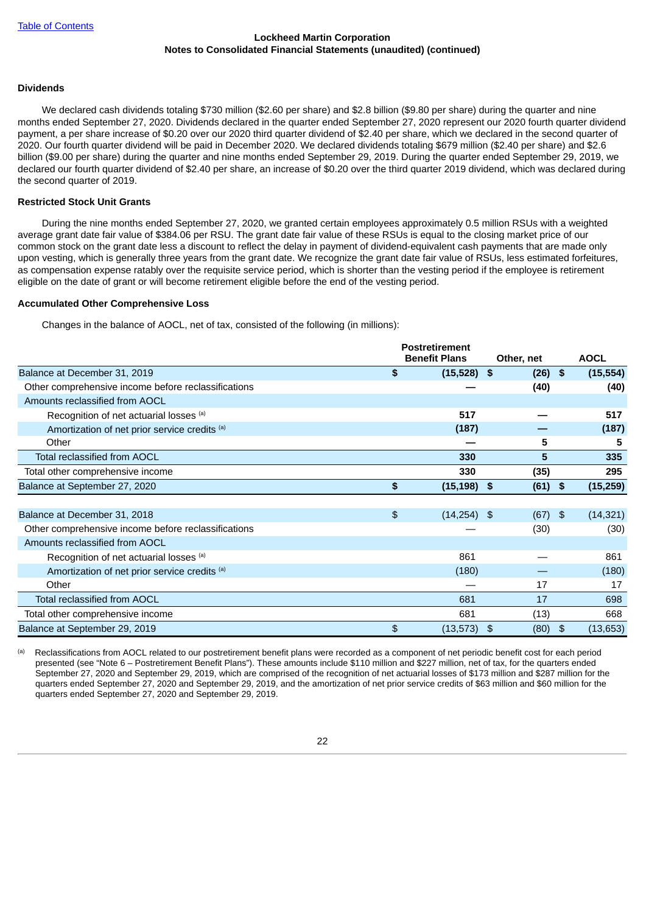#### **Dividends**

We declared cash dividends totaling \$730 million (\$2.60 per share) and \$2.8 billion (\$9.80 per share) during the quarter and nine months ended September 27, 2020. Dividends declared in the quarter ended September 27, 2020 represent our 2020 fourth quarter dividend payment, a per share increase of \$0.20 over our 2020 third quarter dividend of \$2.40 per share, which we declared in the second quarter of 2020. Our fourth quarter dividend will be paid in December 2020. We declared dividends totaling \$679 million (\$2.40 per share) and \$2.6 billion (\$9.00 per share) during the quarter and nine months ended September 29, 2019. During the quarter ended September 29, 2019, we declared our fourth quarter dividend of \$2.40 per share, an increase of \$0.20 over the third quarter 2019 dividend, which was declared during the second quarter of 2019.

#### **Restricted Stock Unit Grants**

During the nine months ended September 27, 2020, we granted certain employees approximately 0.5 million RSUs with a weighted average grant date fair value of \$384.06 per RSU. The grant date fair value of these RSUs is equal to the closing market price of our common stock on the grant date less a discount to reflect the delay in payment of dividend-equivalent cash payments that are made only upon vesting, which is generally three years from the grant date. We recognize the grant date fair value of RSUs, less estimated forfeitures, as compensation expense ratably over the requisite service period, which is shorter than the vesting period if the employee is retirement eligible on the date of grant or will become retirement eligible before the end of the vesting period.

### **Accumulated Other Comprehensive Loss**

Changes in the balance of AOCL, net of tax, consisted of the following (in millions):

|                                                     | <b>Postretirement</b> |                      |    |            |    |             |  |
|-----------------------------------------------------|-----------------------|----------------------|----|------------|----|-------------|--|
|                                                     |                       | <b>Benefit Plans</b> |    | Other, net |    | <b>AOCL</b> |  |
| Balance at December 31, 2019                        | \$                    | $(15,528)$ \$        |    | (26)       | \$ | (15, 554)   |  |
| Other comprehensive income before reclassifications |                       |                      |    | (40)       |    | (40)        |  |
| Amounts reclassified from AOCL                      |                       |                      |    |            |    |             |  |
| Recognition of net actuarial losses (a)             |                       | 517                  |    |            |    | 517         |  |
| Amortization of net prior service credits (a)       |                       | (187)                |    |            |    | (187)       |  |
| Other                                               |                       |                      |    | 5          |    | 5           |  |
| <b>Total reclassified from AOCL</b>                 |                       | 330                  |    | 5          |    | 335         |  |
| Total other comprehensive income                    |                       | 330                  |    | (35)       |    | 295         |  |
| Balance at September 27, 2020                       | \$                    | $(15, 198)$ \$       |    | $(61)$ \$  |    | (15, 259)   |  |
|                                                     |                       |                      |    |            |    |             |  |
| Balance at December 31, 2018                        | $\frac{1}{2}$         | $(14,254)$ \$        |    | $(67)$ \$  |    | (14, 321)   |  |
| Other comprehensive income before reclassifications |                       |                      |    | (30)       |    | (30)        |  |
| Amounts reclassified from AOCL                      |                       |                      |    |            |    |             |  |
| Recognition of net actuarial losses (a)             |                       | 861                  |    |            |    | 861         |  |
| Amortization of net prior service credits (a)       |                       | (180)                |    |            |    | (180)       |  |
| Other                                               |                       |                      |    | 17         |    | 17          |  |
| Total reclassified from AOCL                        |                       | 681                  |    | 17         |    | 698         |  |
| Total other comprehensive income                    |                       | 681                  |    | (13)       |    | 668         |  |
| Balance at September 29, 2019                       | \$                    | (13, 573)            | \$ | (80)       | \$ | (13, 653)   |  |

Reclassifications from AOCL related to our postretirement benefit plans were recorded as a component of net periodic benefit cost for each period presented (see "Note 6 – Postretirement Benefit Plans"). These amounts include \$110 million and \$227 million, net of tax, for the quarters ended September 27, 2020 and September 29, 2019, which are comprised of the recognition of net actuarial losses of \$173 million and \$287 million for the quarters ended September 27, 2020 and September 29, 2019, and the amortization of net prior service credits of \$63 million and \$60 million for the quarters ended September 27, 2020 and September 29, 2019.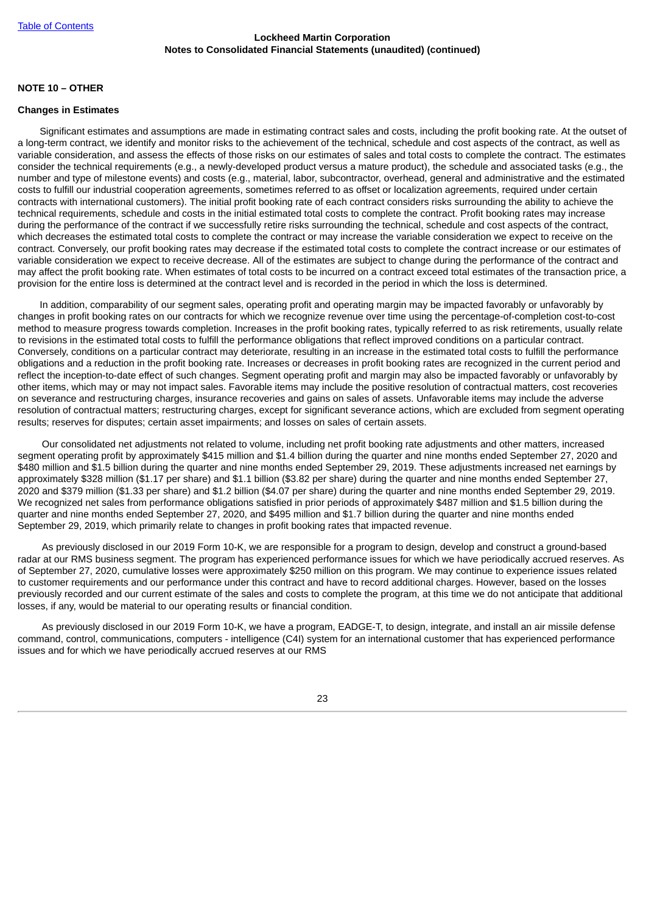### **NOTE 10 – OTHER**

### **Changes in Estimates**

Significant estimates and assumptions are made in estimating contract sales and costs, including the profit booking rate. At the outset of a long-term contract, we identify and monitor risks to the achievement of the technical, schedule and cost aspects of the contract, as well as variable consideration, and assess the effects of those risks on our estimates of sales and total costs to complete the contract. The estimates consider the technical requirements (e.g., a newly-developed product versus a mature product), the schedule and associated tasks (e.g., the number and type of milestone events) and costs (e.g., material, labor, subcontractor, overhead, general and administrative and the estimated costs to fulfill our industrial cooperation agreements, sometimes referred to as offset or localization agreements, required under certain contracts with international customers). The initial profit booking rate of each contract considers risks surrounding the ability to achieve the technical requirements, schedule and costs in the initial estimated total costs to complete the contract. Profit booking rates may increase during the performance of the contract if we successfully retire risks surrounding the technical, schedule and cost aspects of the contract, which decreases the estimated total costs to complete the contract or may increase the variable consideration we expect to receive on the contract. Conversely, our profit booking rates may decrease if the estimated total costs to complete the contract increase or our estimates of variable consideration we expect to receive decrease. All of the estimates are subject to change during the performance of the contract and may affect the profit booking rate. When estimates of total costs to be incurred on a contract exceed total estimates of the transaction price, a provision for the entire loss is determined at the contract level and is recorded in the period in which the loss is determined.

In addition, comparability of our segment sales, operating profit and operating margin may be impacted favorably or unfavorably by changes in profit booking rates on our contracts for which we recognize revenue over time using the percentage-of-completion cost-to-cost method to measure progress towards completion. Increases in the profit booking rates, typically referred to as risk retirements, usually relate to revisions in the estimated total costs to fulfill the performance obligations that reflect improved conditions on a particular contract. Conversely, conditions on a particular contract may deteriorate, resulting in an increase in the estimated total costs to fulfill the performance obligations and a reduction in the profit booking rate. Increases or decreases in profit booking rates are recognized in the current period and reflect the inception-to-date effect of such changes. Segment operating profit and margin may also be impacted favorably or unfavorably by other items, which may or may not impact sales. Favorable items may include the positive resolution of contractual matters, cost recoveries on severance and restructuring charges, insurance recoveries and gains on sales of assets. Unfavorable items may include the adverse resolution of contractual matters; restructuring charges, except for significant severance actions, which are excluded from segment operating results; reserves for disputes; certain asset impairments; and losses on sales of certain assets.

Our consolidated net adjustments not related to volume, including net profit booking rate adjustments and other matters, increased segment operating profit by approximately \$415 million and \$1.4 billion during the quarter and nine months ended September 27, 2020 and \$480 million and \$1.5 billion during the quarter and nine months ended September 29, 2019. These adjustments increased net earnings by approximately \$328 million (\$1.17 per share) and \$1.1 billion (\$3.82 per share) during the quarter and nine months ended September 27, 2020 and \$379 million (\$1.33 per share) and \$1.2 billion (\$4.07 per share) during the quarter and nine months ended September 29, 2019. We recognized net sales from performance obligations satisfied in prior periods of approximately \$487 million and \$1.5 billion during the quarter and nine months ended September 27, 2020, and \$495 million and \$1.7 billion during the quarter and nine months ended September 29, 2019, which primarily relate to changes in profit booking rates that impacted revenue.

As previously disclosed in our 2019 Form 10-K, we are responsible for a program to design, develop and construct a ground-based radar at our RMS business segment. The program has experienced performance issues for which we have periodically accrued reserves. As of September 27, 2020, cumulative losses were approximately \$250 million on this program. We may continue to experience issues related to customer requirements and our performance under this contract and have to record additional charges. However, based on the losses previously recorded and our current estimate of the sales and costs to complete the program, at this time we do not anticipate that additional losses, if any, would be material to our operating results or financial condition.

As previously disclosed in our 2019 Form 10-K, we have a program, EADGE-T, to design, integrate, and install an air missile defense command, control, communications, computers - intelligence (C4I) system for an international customer that has experienced performance issues and for which we have periodically accrued reserves at our RMS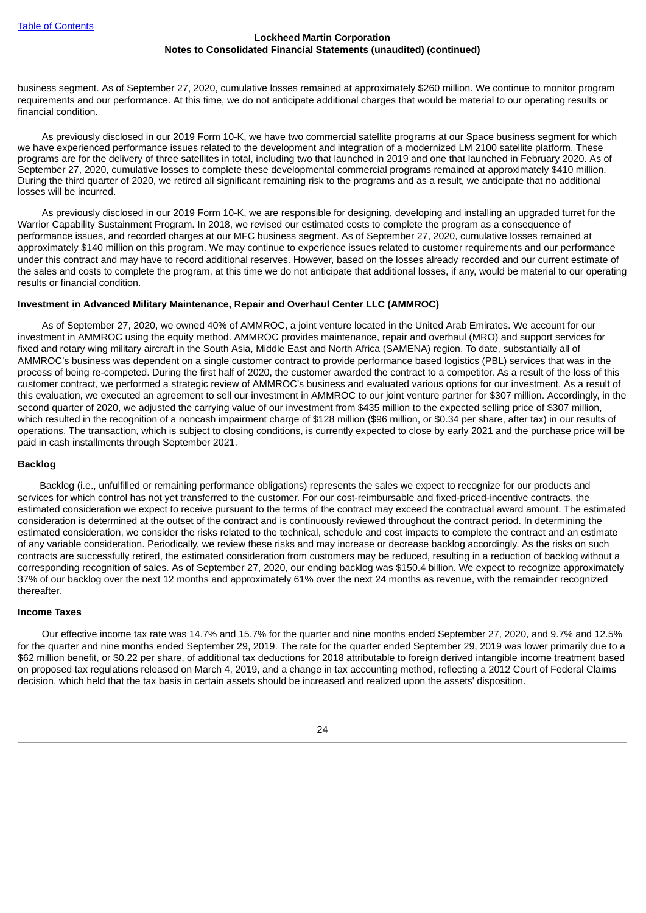business segment. As of September 27, 2020, cumulative losses remained at approximately \$260 million. We continue to monitor program requirements and our performance. At this time, we do not anticipate additional charges that would be material to our operating results or financial condition.

As previously disclosed in our 2019 Form 10-K, we have two commercial satellite programs at our Space business segment for which we have experienced performance issues related to the development and integration of a modernized LM 2100 satellite platform. These programs are for the delivery of three satellites in total, including two that launched in 2019 and one that launched in February 2020. As of September 27, 2020, cumulative losses to complete these developmental commercial programs remained at approximately \$410 million. During the third quarter of 2020, we retired all significant remaining risk to the programs and as a result, we anticipate that no additional losses will be incurred.

As previously disclosed in our 2019 Form 10-K, we are responsible for designing, developing and installing an upgraded turret for the Warrior Capability Sustainment Program. In 2018, we revised our estimated costs to complete the program as a consequence of performance issues, and recorded charges at our MFC business segment. As of September 27, 2020, cumulative losses remained at approximately \$140 million on this program. We may continue to experience issues related to customer requirements and our performance under this contract and may have to record additional reserves. However, based on the losses already recorded and our current estimate of the sales and costs to complete the program, at this time we do not anticipate that additional losses, if any, would be material to our operating results or financial condition.

#### **Investment in Advanced Military Maintenance, Repair and Overhaul Center LLC (AMMROC)**

As of September 27, 2020, we owned 40% of AMMROC, a joint venture located in the United Arab Emirates. We account for our investment in AMMROC using the equity method. AMMROC provides maintenance, repair and overhaul (MRO) and support services for fixed and rotary wing military aircraft in the South Asia, Middle East and North Africa (SAMENA) region. To date, substantially all of AMMROC's business was dependent on a single customer contract to provide performance based logistics (PBL) services that was in the process of being re-competed. During the first half of 2020, the customer awarded the contract to a competitor. As a result of the loss of this customer contract, we performed a strategic review of AMMROC's business and evaluated various options for our investment. As a result of this evaluation, we executed an agreement to sell our investment in AMMROC to our joint venture partner for \$307 million. Accordingly, in the second quarter of 2020, we adjusted the carrying value of our investment from \$435 million to the expected selling price of \$307 million, which resulted in the recognition of a noncash impairment charge of \$128 million (\$96 million, or \$0.34 per share, after tax) in our results of operations. The transaction, which is subject to closing conditions, is currently expected to close by early 2021 and the purchase price will be paid in cash installments through September 2021.

#### **Backlog**

Backlog (i.e., unfulfilled or remaining performance obligations) represents the sales we expect to recognize for our products and services for which control has not yet transferred to the customer. For our cost-reimbursable and fixed-priced-incentive contracts, the estimated consideration we expect to receive pursuant to the terms of the contract may exceed the contractual award amount. The estimated consideration is determined at the outset of the contract and is continuously reviewed throughout the contract period. In determining the estimated consideration, we consider the risks related to the technical, schedule and cost impacts to complete the contract and an estimate of any variable consideration. Periodically, we review these risks and may increase or decrease backlog accordingly. As the risks on such contracts are successfully retired, the estimated consideration from customers may be reduced, resulting in a reduction of backlog without a corresponding recognition of sales. As of September 27, 2020, our ending backlog was \$150.4 billion. We expect to recognize approximately 37% of our backlog over the next 12 months and approximately 61% over the next 24 months as revenue, with the remainder recognized thereafter.

### **Income Taxes**

Our effective income tax rate was 14.7% and 15.7% for the quarter and nine months ended September 27, 2020, and 9.7% and 12.5% for the quarter and nine months ended September 29, 2019. The rate for the quarter ended September 29, 2019 was lower primarily due to a \$62 million benefit, or \$0.22 per share, of additional tax deductions for 2018 attributable to foreign derived intangible income treatment based on proposed tax regulations released on March 4, 2019, and a change in tax accounting method, reflecting a 2012 Court of Federal Claims decision, which held that the tax basis in certain assets should be increased and realized upon the assets' disposition.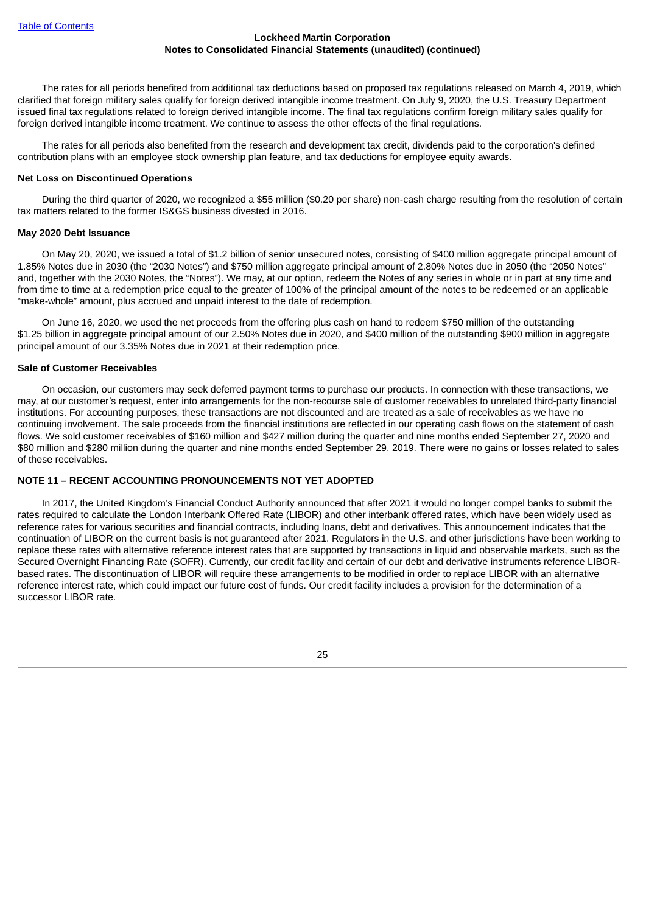The rates for all periods benefited from additional tax deductions based on proposed tax regulations released on March 4, 2019, which clarified that foreign military sales qualify for foreign derived intangible income treatment. On July 9, 2020, the U.S. Treasury Department issued final tax regulations related to foreign derived intangible income. The final tax regulations confirm foreign military sales qualify for foreign derived intangible income treatment. We continue to assess the other effects of the final regulations.

The rates for all periods also benefited from the research and development tax credit, dividends paid to the corporation's defined contribution plans with an employee stock ownership plan feature, and tax deductions for employee equity awards.

#### **Net Loss on Discontinued Operations**

During the third quarter of 2020, we recognized a \$55 million (\$0.20 per share) non-cash charge resulting from the resolution of certain tax matters related to the former IS&GS business divested in 2016.

#### **May 2020 Debt Issuance**

On May 20, 2020, we issued a total of \$1.2 billion of senior unsecured notes, consisting of \$400 million aggregate principal amount of 1.85% Notes due in 2030 (the "2030 Notes") and \$750 million aggregate principal amount of 2.80% Notes due in 2050 (the "2050 Notes" and, together with the 2030 Notes, the "Notes"). We may, at our option, redeem the Notes of any series in whole or in part at any time and from time to time at a redemption price equal to the greater of 100% of the principal amount of the notes to be redeemed or an applicable "make-whole" amount, plus accrued and unpaid interest to the date of redemption.

On June 16, 2020, we used the net proceeds from the offering plus cash on hand to redeem \$750 million of the outstanding \$1.25 billion in aggregate principal amount of our 2.50% Notes due in 2020, and \$400 million of the outstanding \$900 million in aggregate principal amount of our 3.35% Notes due in 2021 at their redemption price.

### **Sale of Customer Receivables**

On occasion, our customers may seek deferred payment terms to purchase our products. In connection with these transactions, we may, at our customer's request, enter into arrangements for the non-recourse sale of customer receivables to unrelated third-party financial institutions. For accounting purposes, these transactions are not discounted and are treated as a sale of receivables as we have no continuing involvement. The sale proceeds from the financial institutions are reflected in our operating cash flows on the statement of cash flows. We sold customer receivables of \$160 million and \$427 million during the quarter and nine months ended September 27, 2020 and \$80 million and \$280 million during the quarter and nine months ended September 29, 2019. There were no gains or losses related to sales of these receivables.

### **NOTE 11 – RECENT ACCOUNTING PRONOUNCEMENTS NOT YET ADOPTED**

In 2017, the United Kingdom's Financial Conduct Authority announced that after 2021 it would no longer compel banks to submit the rates required to calculate the London Interbank Offered Rate (LIBOR) and other interbank offered rates, which have been widely used as reference rates for various securities and financial contracts, including loans, debt and derivatives. This announcement indicates that the continuation of LIBOR on the current basis is not guaranteed after 2021. Regulators in the U.S. and other jurisdictions have been working to replace these rates with alternative reference interest rates that are supported by transactions in liquid and observable markets, such as the Secured Overnight Financing Rate (SOFR). Currently, our credit facility and certain of our debt and derivative instruments reference LIBORbased rates. The discontinuation of LIBOR will require these arrangements to be modified in order to replace LIBOR with an alternative reference interest rate, which could impact our future cost of funds. Our credit facility includes a provision for the determination of a successor LIBOR rate.

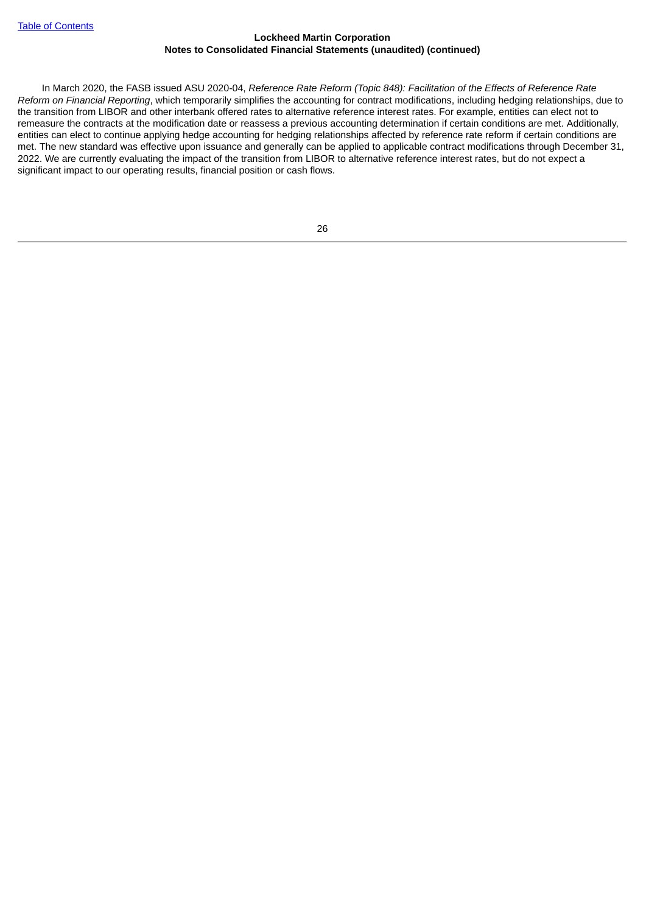<span id="page-25-0"></span>In March 2020, the FASB issued ASU 2020-04, *Reference Rate Reform (Topic 848): Facilitation of the Effects of Reference Rate Reform on Financial Reporting*, which temporarily simplifies the accounting for contract modifications, including hedging relationships, due to the transition from LIBOR and other interbank offered rates to alternative reference interest rates. For example, entities can elect not to remeasure the contracts at the modification date or reassess a previous accounting determination if certain conditions are met. Additionally, entities can elect to continue applying hedge accounting for hedging relationships affected by reference rate reform if certain conditions are met. The new standard was effective upon issuance and generally can be applied to applicable contract modifications through December 31, 2022. We are currently evaluating the impact of the transition from LIBOR to alternative reference interest rates, but do not expect a significant impact to our operating results, financial position or cash flows.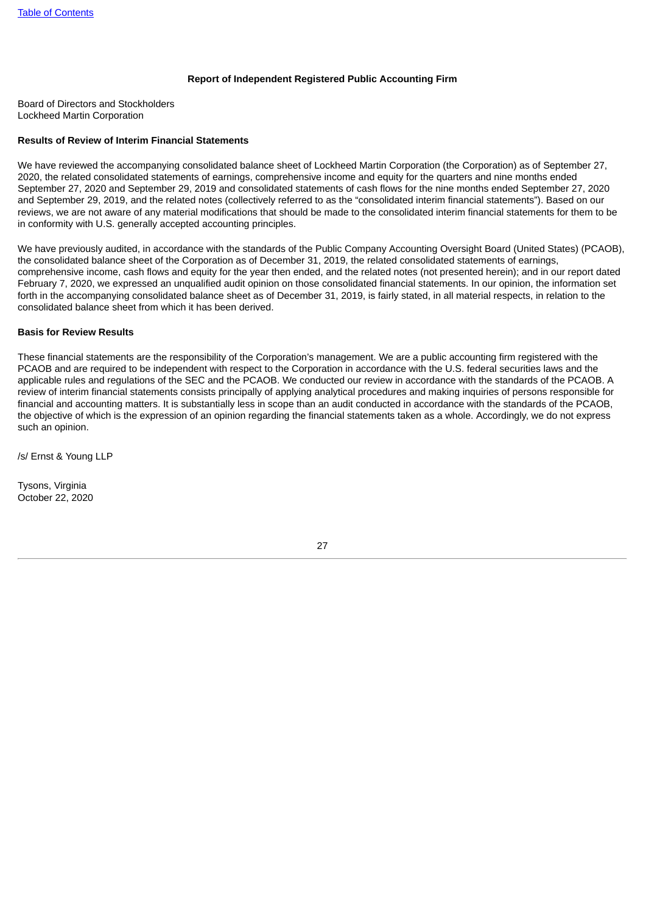#### **Report of Independent Registered Public Accounting Firm**

Board of Directors and Stockholders Lockheed Martin Corporation

### **Results of Review of Interim Financial Statements**

We have reviewed the accompanying consolidated balance sheet of Lockheed Martin Corporation (the Corporation) as of September 27, 2020, the related consolidated statements of earnings, comprehensive income and equity for the quarters and nine months ended September 27, 2020 and September 29, 2019 and consolidated statements of cash flows for the nine months ended September 27, 2020 and September 29, 2019, and the related notes (collectively referred to as the "consolidated interim financial statements"). Based on our reviews, we are not aware of any material modifications that should be made to the consolidated interim financial statements for them to be in conformity with U.S. generally accepted accounting principles.

We have previously audited, in accordance with the standards of the Public Company Accounting Oversight Board (United States) (PCAOB), the consolidated balance sheet of the Corporation as of December 31, 2019, the related consolidated statements of earnings, comprehensive income, cash flows and equity for the year then ended, and the related notes (not presented herein); and in our report dated February 7, 2020, we expressed an unqualified audit opinion on those consolidated financial statements. In our opinion, the information set forth in the accompanying consolidated balance sheet as of December 31, 2019, is fairly stated, in all material respects, in relation to the consolidated balance sheet from which it has been derived.

#### **Basis for Review Results**

These financial statements are the responsibility of the Corporation's management. We are a public accounting firm registered with the PCAOB and are required to be independent with respect to the Corporation in accordance with the U.S. federal securities laws and the applicable rules and regulations of the SEC and the PCAOB. We conducted our review in accordance with the standards of the PCAOB. A review of interim financial statements consists principally of applying analytical procedures and making inquiries of persons responsible for financial and accounting matters. It is substantially less in scope than an audit conducted in accordance with the standards of the PCAOB, the objective of which is the expression of an opinion regarding the financial statements taken as a whole. Accordingly, we do not express such an opinion.

/s/ Ernst & Young LLP

<span id="page-26-0"></span>Tysons, Virginia October 22, 2020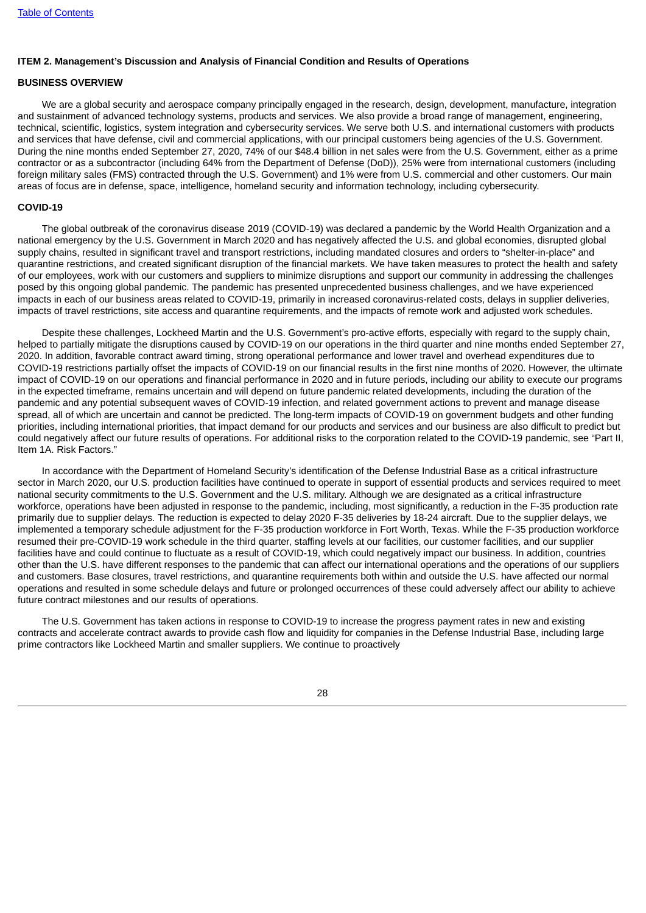### **ITEM 2. Management's Discussion and Analysis of Financial Condition and Results of Operations**

### **BUSINESS OVERVIEW**

We are a global security and aerospace company principally engaged in the research, design, development, manufacture, integration and sustainment of advanced technology systems, products and services. We also provide a broad range of management, engineering, technical, scientific, logistics, system integration and cybersecurity services. We serve both U.S. and international customers with products and services that have defense, civil and commercial applications, with our principal customers being agencies of the U.S. Government. During the nine months ended September 27, 2020, 74% of our \$48.4 billion in net sales were from the U.S. Government, either as a prime contractor or as a subcontractor (including 64% from the Department of Defense (DoD)), 25% were from international customers (including foreign military sales (FMS) contracted through the U.S. Government) and 1% were from U.S. commercial and other customers. Our main areas of focus are in defense, space, intelligence, homeland security and information technology, including cybersecurity.

### **COVID-19**

The global outbreak of the coronavirus disease 2019 (COVID-19) was declared a pandemic by the World Health Organization and a national emergency by the U.S. Government in March 2020 and has negatively affected the U.S. and global economies, disrupted global supply chains, resulted in significant travel and transport restrictions, including mandated closures and orders to "shelter-in-place" and quarantine restrictions, and created significant disruption of the financial markets. We have taken measures to protect the health and safety of our employees, work with our customers and suppliers to minimize disruptions and support our community in addressing the challenges posed by this ongoing global pandemic. The pandemic has presented unprecedented business challenges, and we have experienced impacts in each of our business areas related to COVID-19, primarily in increased coronavirus-related costs, delays in supplier deliveries, impacts of travel restrictions, site access and quarantine requirements, and the impacts of remote work and adjusted work schedules.

Despite these challenges, Lockheed Martin and the U.S. Government's pro-active efforts, especially with regard to the supply chain, helped to partially mitigate the disruptions caused by COVID-19 on our operations in the third quarter and nine months ended September 27. 2020. In addition, favorable contract award timing, strong operational performance and lower travel and overhead expenditures due to COVID-19 restrictions partially offset the impacts of COVID-19 on our financial results in the first nine months of 2020. However, the ultimate impact of COVID-19 on our operations and financial performance in 2020 and in future periods, including our ability to execute our programs in the expected timeframe, remains uncertain and will depend on future pandemic related developments, including the duration of the pandemic and any potential subsequent waves of COVID-19 infection, and related government actions to prevent and manage disease spread, all of which are uncertain and cannot be predicted. The long-term impacts of COVID-19 on government budgets and other funding priorities, including international priorities, that impact demand for our products and services and our business are also difficult to predict but could negatively affect our future results of operations. For additional risks to the corporation related to the COVID-19 pandemic, see "Part II, Item 1A. Risk Factors."

In accordance with the Department of Homeland Security's identification of the Defense Industrial Base as a critical infrastructure sector in March 2020, our U.S. production facilities have continued to operate in support of essential products and services required to meet national security commitments to the U.S. Government and the U.S. military. Although we are designated as a critical infrastructure workforce, operations have been adjusted in response to the pandemic, including, most significantly, a reduction in the F-35 production rate primarily due to supplier delays. The reduction is expected to delay 2020 F-35 deliveries by 18-24 aircraft. Due to the supplier delays, we implemented a temporary schedule adjustment for the F-35 production workforce in Fort Worth, Texas. While the F-35 production workforce resumed their pre-COVID-19 work schedule in the third quarter, staffing levels at our facilities, our customer facilities, and our supplier facilities have and could continue to fluctuate as a result of COVID-19, which could negatively impact our business. In addition, countries other than the U.S. have different responses to the pandemic that can affect our international operations and the operations of our suppliers and customers. Base closures, travel restrictions, and quarantine requirements both within and outside the U.S. have affected our normal operations and resulted in some schedule delays and future or prolonged occurrences of these could adversely affect our ability to achieve future contract milestones and our results of operations.

The U.S. Government has taken actions in response to COVID-19 to increase the progress payment rates in new and existing contracts and accelerate contract awards to provide cash flow and liquidity for companies in the Defense Industrial Base, including large prime contractors like Lockheed Martin and smaller suppliers. We continue to proactively

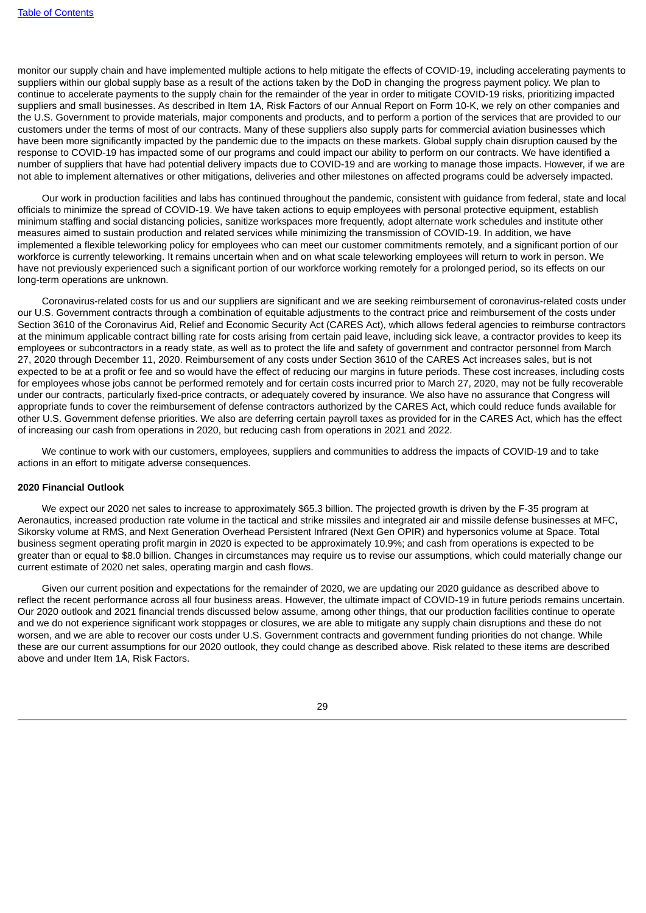monitor our supply chain and have implemented multiple actions to help mitigate the effects of COVID-19, including accelerating payments to suppliers within our global supply base as a result of the actions taken by the DoD in changing the progress payment policy. We plan to continue to accelerate payments to the supply chain for the remainder of the year in order to mitigate COVID-19 risks, prioritizing impacted suppliers and small businesses. As described in Item 1A, Risk Factors of our Annual Report on Form 10-K, we rely on other companies and the U.S. Government to provide materials, major components and products, and to perform a portion of the services that are provided to our customers under the terms of most of our contracts. Many of these suppliers also supply parts for commercial aviation businesses which have been more significantly impacted by the pandemic due to the impacts on these markets. Global supply chain disruption caused by the response to COVID-19 has impacted some of our programs and could impact our ability to perform on our contracts. We have identified a number of suppliers that have had potential delivery impacts due to COVID-19 and are working to manage those impacts. However, if we are not able to implement alternatives or other mitigations, deliveries and other milestones on affected programs could be adversely impacted.

Our work in production facilities and labs has continued throughout the pandemic, consistent with guidance from federal, state and local officials to minimize the spread of COVID-19. We have taken actions to equip employees with personal protective equipment, establish minimum staffing and social distancing policies, sanitize workspaces more frequently, adopt alternate work schedules and institute other measures aimed to sustain production and related services while minimizing the transmission of COVID-19. In addition, we have implemented a flexible teleworking policy for employees who can meet our customer commitments remotely, and a significant portion of our workforce is currently teleworking. It remains uncertain when and on what scale teleworking employees will return to work in person. We have not previously experienced such a significant portion of our workforce working remotely for a prolonged period, so its effects on our long-term operations are unknown.

Coronavirus-related costs for us and our suppliers are significant and we are seeking reimbursement of coronavirus-related costs under our U.S. Government contracts through a combination of equitable adjustments to the contract price and reimbursement of the costs under Section 3610 of the Coronavirus Aid, Relief and Economic Security Act (CARES Act), which allows federal agencies to reimburse contractors at the minimum applicable contract billing rate for costs arising from certain paid leave, including sick leave, a contractor provides to keep its employees or subcontractors in a ready state, as well as to protect the life and safety of government and contractor personnel from March 27, 2020 through December 11, 2020. Reimbursement of any costs under Section 3610 of the CARES Act increases sales, but is not expected to be at a profit or fee and so would have the effect of reducing our margins in future periods. These cost increases, including costs for employees whose jobs cannot be performed remotely and for certain costs incurred prior to March 27, 2020, may not be fully recoverable under our contracts, particularly fixed-price contracts, or adequately covered by insurance. We also have no assurance that Congress will appropriate funds to cover the reimbursement of defense contractors authorized by the CARES Act, which could reduce funds available for other U.S. Government defense priorities. We also are deferring certain payroll taxes as provided for in the CARES Act, which has the effect of increasing our cash from operations in 2020, but reducing cash from operations in 2021 and 2022.

We continue to work with our customers, employees, suppliers and communities to address the impacts of COVID-19 and to take actions in an effort to mitigate adverse consequences.

#### **2020 Financial Outlook**

We expect our 2020 net sales to increase to approximately \$65.3 billion. The projected growth is driven by the F-35 program at Aeronautics, increased production rate volume in the tactical and strike missiles and integrated air and missile defense businesses at MFC, Sikorsky volume at RMS, and Next Generation Overhead Persistent Infrared (Next Gen OPIR) and hypersonics volume at Space. Total business segment operating profit margin in 2020 is expected to be approximately 10.9%; and cash from operations is expected to be greater than or equal to \$8.0 billion. Changes in circumstances may require us to revise our assumptions, which could materially change our current estimate of 2020 net sales, operating margin and cash flows.

Given our current position and expectations for the remainder of 2020, we are updating our 2020 guidance as described above to reflect the recent performance across all four business areas. However, the ultimate impact of COVID-19 in future periods remains uncertain. Our 2020 outlook and 2021 financial trends discussed below assume, among other things, that our production facilities continue to operate and we do not experience significant work stoppages or closures, we are able to mitigate any supply chain disruptions and these do not worsen, and we are able to recover our costs under U.S. Government contracts and government funding priorities do not change. While these are our current assumptions for our 2020 outlook, they could change as described above. Risk related to these items are described above and under Item 1A, Risk Factors.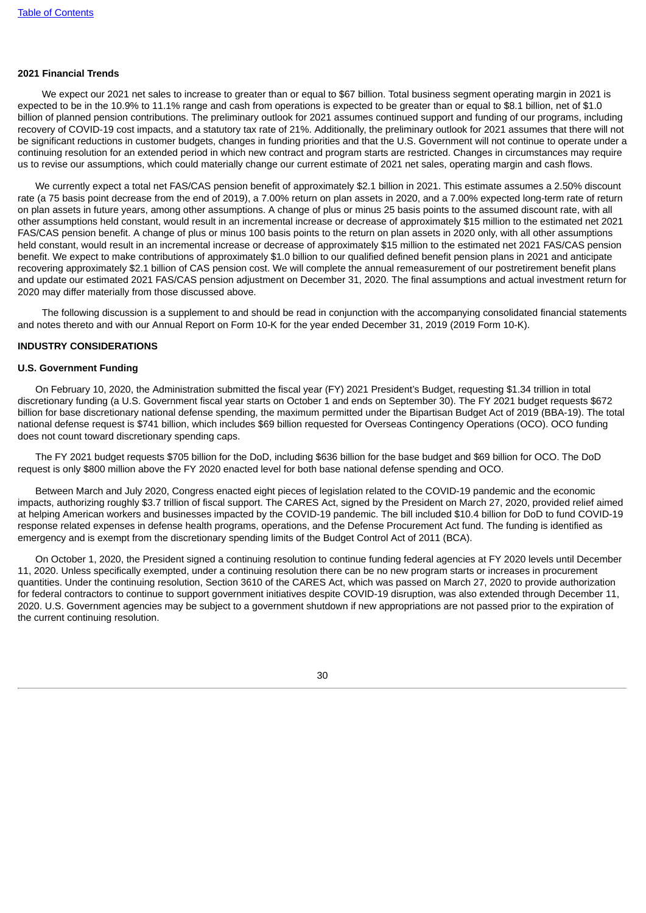#### **2021 Financial Trends**

We expect our 2021 net sales to increase to greater than or equal to \$67 billion. Total business segment operating margin in 2021 is expected to be in the 10.9% to 11.1% range and cash from operations is expected to be greater than or equal to \$8.1 billion, net of \$1.0 billion of planned pension contributions. The preliminary outlook for 2021 assumes continued support and funding of our programs, including recovery of COVID-19 cost impacts, and a statutory tax rate of 21%. Additionally, the preliminary outlook for 2021 assumes that there will not be significant reductions in customer budgets, changes in funding priorities and that the U.S. Government will not continue to operate under a continuing resolution for an extended period in which new contract and program starts are restricted. Changes in circumstances may require us to revise our assumptions, which could materially change our current estimate of 2021 net sales, operating margin and cash flows.

We currently expect a total net FAS/CAS pension benefit of approximately \$2.1 billion in 2021. This estimate assumes a 2.50% discount rate (a 75 basis point decrease from the end of 2019), a 7.00% return on plan assets in 2020, and a 7.00% expected long-term rate of return on plan assets in future years, among other assumptions. A change of plus or minus 25 basis points to the assumed discount rate, with all other assumptions held constant, would result in an incremental increase or decrease of approximately \$15 million to the estimated net 2021 FAS/CAS pension benefit. A change of plus or minus 100 basis points to the return on plan assets in 2020 only, with all other assumptions held constant, would result in an incremental increase or decrease of approximately \$15 million to the estimated net 2021 FAS/CAS pension benefit. We expect to make contributions of approximately \$1.0 billion to our qualified defined benefit pension plans in 2021 and anticipate recovering approximately \$2.1 billion of CAS pension cost. We will complete the annual remeasurement of our postretirement benefit plans and update our estimated 2021 FAS/CAS pension adjustment on December 31, 2020. The final assumptions and actual investment return for 2020 may differ materially from those discussed above.

The following discussion is a supplement to and should be read in conjunction with the accompanying consolidated financial statements and notes thereto and with our Annual Report on Form 10-K for the year ended December 31, 2019 (2019 Form 10-K).

### **INDUSTRY CONSIDERATIONS**

#### **U.S. Government Funding**

On February 10, 2020, the Administration submitted the fiscal year (FY) 2021 President's Budget, requesting \$1.34 trillion in total discretionary funding (a U.S. Government fiscal year starts on October 1 and ends on September 30). The FY 2021 budget requests \$672 billion for base discretionary national defense spending, the maximum permitted under the Bipartisan Budget Act of 2019 (BBA-19). The total national defense request is \$741 billion, which includes \$69 billion requested for Overseas Contingency Operations (OCO). OCO funding does not count toward discretionary spending caps.

The FY 2021 budget requests \$705 billion for the DoD, including \$636 billion for the base budget and \$69 billion for OCO. The DoD request is only \$800 million above the FY 2020 enacted level for both base national defense spending and OCO.

Between March and July 2020, Congress enacted eight pieces of legislation related to the COVID-19 pandemic and the economic impacts, authorizing roughly \$3.7 trillion of fiscal support. The CARES Act, signed by the President on March 27, 2020, provided relief aimed at helping American workers and businesses impacted by the COVID-19 pandemic. The bill included \$10.4 billion for DoD to fund COVID-19 response related expenses in defense health programs, operations, and the Defense Procurement Act fund. The funding is identified as emergency and is exempt from the discretionary spending limits of the Budget Control Act of 2011 (BCA).

On October 1, 2020, the President signed a continuing resolution to continue funding federal agencies at FY 2020 levels until December 11, 2020. Unless specifically exempted, under a continuing resolution there can be no new program starts or increases in procurement quantities. Under the continuing resolution, Section 3610 of the CARES Act, which was passed on March 27, 2020 to provide authorization for federal contractors to continue to support government initiatives despite COVID-19 disruption, was also extended through December 11, 2020. U.S. Government agencies may be subject to a government shutdown if new appropriations are not passed prior to the expiration of the current continuing resolution.

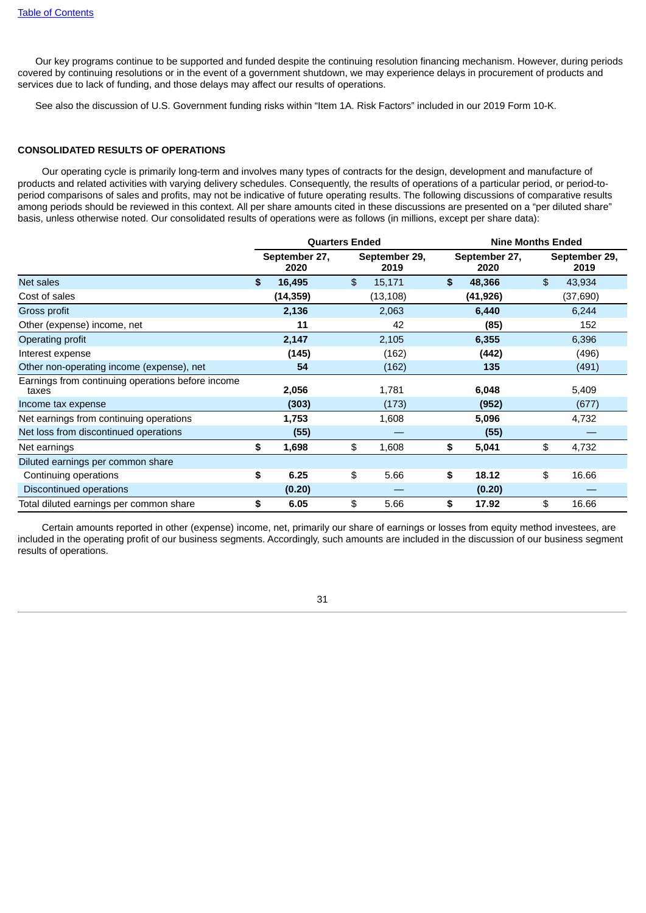Our key programs continue to be supported and funded despite the continuing resolution financing mechanism. However, during periods covered by continuing resolutions or in the event of a government shutdown, we may experience delays in procurement of products and services due to lack of funding, and those delays may affect our results of operations.

See also the discussion of U.S. Government funding risks within "Item 1A. Risk Factors" included in our 2019 Form 10-K.

### **CONSOLIDATED RESULTS OF OPERATIONS**

Our operating cycle is primarily long-term and involves many types of contracts for the design, development and manufacture of products and related activities with varying delivery schedules. Consequently, the results of operations of a particular period, or period-toperiod comparisons of sales and profits, may not be indicative of future operating results. The following discussions of comparative results among periods should be reviewed in this context. All per share amounts cited in these discussions are presented on a "per diluted share" basis, unless otherwise noted. Our consolidated results of operations were as follows (in millions, except per share data):

|                                                            | <b>Ouarters Ended</b> |                       | <b>Nine Months Ended</b> |                       |    |                       |  |  |  |
|------------------------------------------------------------|-----------------------|-----------------------|--------------------------|-----------------------|----|-----------------------|--|--|--|
|                                                            | September 27,<br>2020 | September 29,<br>2019 |                          | September 27,<br>2020 |    | September 29,<br>2019 |  |  |  |
| Net sales                                                  | \$<br>16,495          | \$<br>15,171          | \$                       | 48,366                | \$ | 43,934                |  |  |  |
| Cost of sales                                              | (14, 359)             | (13, 108)             |                          | (41, 926)             |    | (37,690)              |  |  |  |
| Gross profit                                               | 2,136                 | 2,063                 |                          | 6,440                 |    | 6,244                 |  |  |  |
| Other (expense) income, net                                | 11                    | 42                    |                          | (85)                  |    | 152                   |  |  |  |
| Operating profit                                           | 2,147                 | 2,105                 |                          | 6,355                 |    | 6,396                 |  |  |  |
| Interest expense                                           | (145)                 | (162)                 |                          | (442)                 |    | (496)                 |  |  |  |
| Other non-operating income (expense), net                  | 54                    | (162)                 |                          | 135                   |    | (491)                 |  |  |  |
| Earnings from continuing operations before income<br>taxes | 2,056                 | 1,781                 |                          | 6,048                 |    | 5,409                 |  |  |  |
| Income tax expense                                         | (303)                 | (173)                 |                          | (952)                 |    | (677)                 |  |  |  |
| Net earnings from continuing operations                    | 1,753                 | 1,608                 |                          | 5,096                 |    | 4,732                 |  |  |  |
| Net loss from discontinued operations                      | (55)                  |                       |                          | (55)                  |    |                       |  |  |  |
| Net earnings                                               | \$<br>1,698           | \$<br>1,608           | \$                       | 5,041                 | \$ | 4,732                 |  |  |  |
| Diluted earnings per common share                          |                       |                       |                          |                       |    |                       |  |  |  |
| Continuing operations                                      | \$<br>6.25            | \$<br>5.66            | \$                       | 18.12                 | \$ | 16.66                 |  |  |  |
| Discontinued operations                                    | (0.20)                |                       |                          | (0.20)                |    |                       |  |  |  |
| Total diluted earnings per common share                    | \$<br>6.05            | \$<br>5.66            | \$                       | 17.92                 | \$ | 16.66                 |  |  |  |

Certain amounts reported in other (expense) income, net, primarily our share of earnings or losses from equity method investees, are included in the operating profit of our business segments. Accordingly, such amounts are included in the discussion of our business segment results of operations.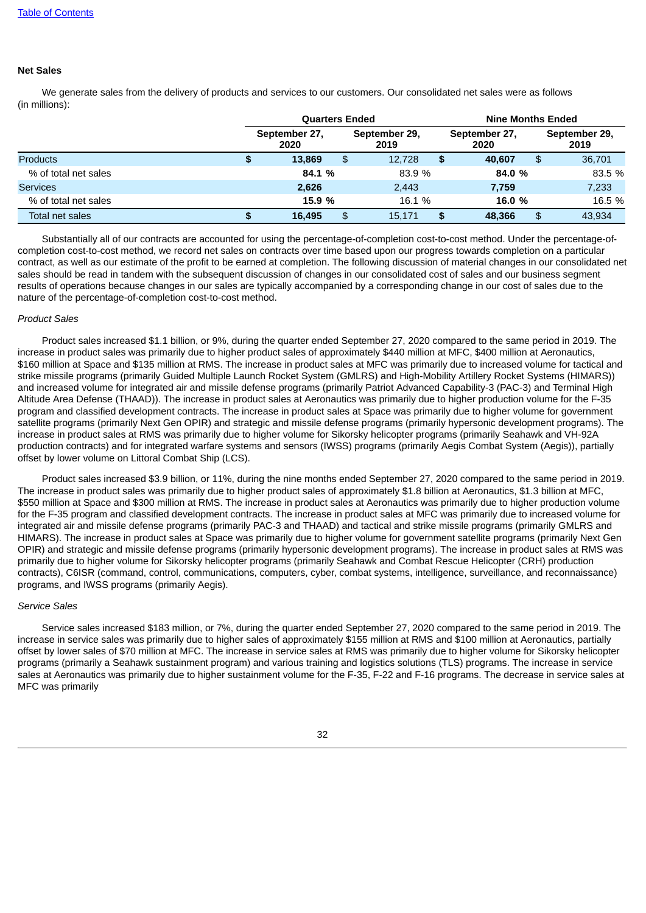#### **Net Sales**

We generate sales from the delivery of products and services to our customers. Our consolidated net sales were as follows (in millions):

|                      | <b>Ouarters Ended</b> |                       | Nine Months Ended     |        |                |                       |  |  |
|----------------------|-----------------------|-----------------------|-----------------------|--------|----------------|-----------------------|--|--|
|                      | September 27,<br>2020 | September 29.<br>2019 | September 27,<br>2020 |        |                | September 29,<br>2019 |  |  |
| <b>Products</b>      | \$<br>13,869          | \$<br>12,728          | \$                    | 40,607 | $\mathfrak{L}$ | 36,701                |  |  |
| % of total net sales | 84.1 %                | 83.9 %                |                       | 84.0 % |                | 83.5 %                |  |  |
| <b>Services</b>      | 2,626                 | 2.443                 |                       | 7.759  |                | 7,233                 |  |  |
| % of total net sales | 15.9 %                | 16.1 %                |                       | 16.0 % |                | 16.5 %                |  |  |
| Total net sales      | \$<br>16,495          | \$<br>15,171          | \$                    | 48,366 | $\mathfrak{p}$ | 43.934                |  |  |

Substantially all of our contracts are accounted for using the percentage-of-completion cost-to-cost method. Under the percentage-ofcompletion cost-to-cost method, we record net sales on contracts over time based upon our progress towards completion on a particular contract, as well as our estimate of the profit to be earned at completion. The following discussion of material changes in our consolidated net sales should be read in tandem with the subsequent discussion of changes in our consolidated cost of sales and our business segment results of operations because changes in our sales are typically accompanied by a corresponding change in our cost of sales due to the nature of the percentage-of-completion cost-to-cost method.

#### *Product Sales*

Product sales increased \$1.1 billion, or 9%, during the quarter ended September 27, 2020 compared to the same period in 2019. The increase in product sales was primarily due to higher product sales of approximately \$440 million at MFC, \$400 million at Aeronautics, \$160 million at Space and \$135 million at RMS. The increase in product sales at MFC was primarily due to increased volume for tactical and strike missile programs (primarily Guided Multiple Launch Rocket System (GMLRS) and High-Mobility Artillery Rocket Systems (HIMARS)) and increased volume for integrated air and missile defense programs (primarily Patriot Advanced Capability-3 (PAC-3) and Terminal High Altitude Area Defense (THAAD)). The increase in product sales at Aeronautics was primarily due to higher production volume for the F-35 program and classified development contracts. The increase in product sales at Space was primarily due to higher volume for government satellite programs (primarily Next Gen OPIR) and strategic and missile defense programs (primarily hypersonic development programs). The increase in product sales at RMS was primarily due to higher volume for Sikorsky helicopter programs (primarily Seahawk and VH-92A production contracts) and for integrated warfare systems and sensors (IWSS) programs (primarily Aegis Combat System (Aegis)), partially offset by lower volume on Littoral Combat Ship (LCS).

Product sales increased \$3.9 billion, or 11%, during the nine months ended September 27, 2020 compared to the same period in 2019. The increase in product sales was primarily due to higher product sales of approximately \$1.8 billion at Aeronautics, \$1.3 billion at MFC, \$550 million at Space and \$300 million at RMS. The increase in product sales at Aeronautics was primarily due to higher production volume for the F-35 program and classified development contracts. The increase in product sales at MFC was primarily due to increased volume for integrated air and missile defense programs (primarily PAC-3 and THAAD) and tactical and strike missile programs (primarily GMLRS and HIMARS). The increase in product sales at Space was primarily due to higher volume for government satellite programs (primarily Next Gen OPIR) and strategic and missile defense programs (primarily hypersonic development programs). The increase in product sales at RMS was primarily due to higher volume for Sikorsky helicopter programs (primarily Seahawk and Combat Rescue Helicopter (CRH) production contracts), C6ISR (command, control, communications, computers, cyber, combat systems, intelligence, surveillance, and reconnaissance) programs, and IWSS programs (primarily Aegis).

### *Service Sales*

Service sales increased \$183 million, or 7%, during the quarter ended September 27, 2020 compared to the same period in 2019. The increase in service sales was primarily due to higher sales of approximately \$155 million at RMS and \$100 million at Aeronautics, partially offset by lower sales of \$70 million at MFC. The increase in service sales at RMS was primarily due to higher volume for Sikorsky helicopter programs (primarily a Seahawk sustainment program) and various training and logistics solutions (TLS) programs. The increase in service sales at Aeronautics was primarily due to higher sustainment volume for the F-35, F-22 and F-16 programs. The decrease in service sales at MFC was primarily

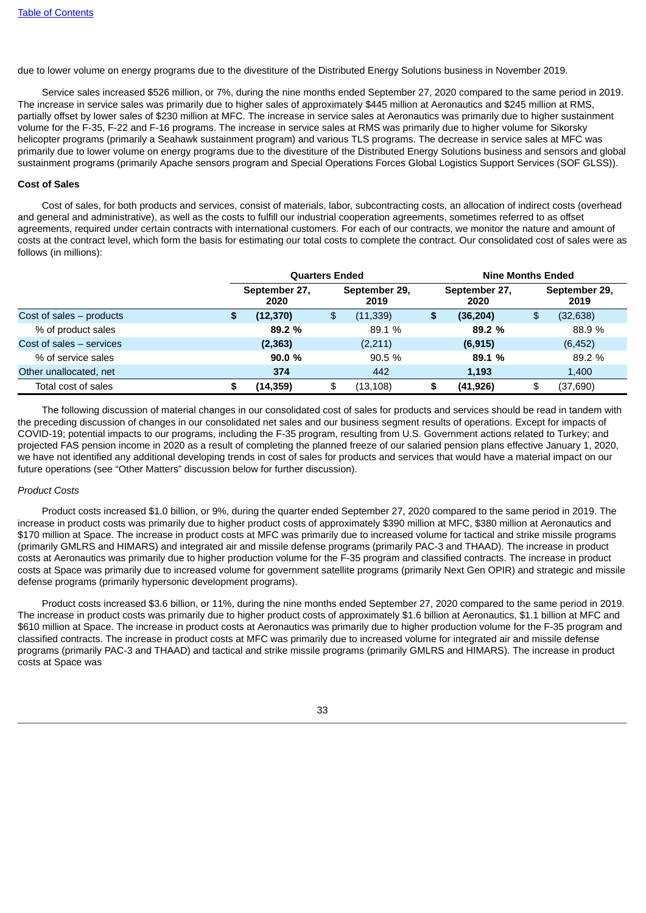due to lower volume on energy programs due to the divestiture of the Distributed Energy Solutions business in November 2019.

Service sales increased \$526 million, or 7%, during the nine months ended September 27, 2020 compared to the same period in 2019. The increase in service sales was primarily due to higher sales of approximately \$445 million at Aeronautics and \$245 million at RMS, partially offset by lower sales of \$230 million at MFC. The increase in service sales at Aeronautics was primarily due to higher sustainment volume for the F-35, F-22 and F-16 programs. The increase in service sales at RMS was primarily due to higher volume for Sikorsky helicopter programs (primarily a Seahawk sustainment program) and various TLS programs. The decrease in service sales at MFC was primarily due to lower volume on energy programs due to the divestiture of the Distributed Energy Solutions business and sensors and global sustainment programs (primarily Apache sensors program and Special Operations Forces Global Logistics Support Services (SOF GLSS)).

### **Cost of Sales**

Cost of sales, for both products and services, consist of materials, labor, subcontracting costs, an allocation of indirect costs (overhead and general and administrative), as well as the costs to fulfill our industrial cooperation agreements, sometimes referred to as offset agreements, required under certain contracts with international customers. For each of our contracts, we monitor the nature and amount of costs at the contract level, which form the basis for estimating our total costs to complete the contract. Our consolidated cost of sales were as follows (in millions):

|                          |    | <b>Ouarters Ended</b> |                       |   | Nine Months Ended     |    |                       |
|--------------------------|----|-----------------------|-----------------------|---|-----------------------|----|-----------------------|
|                          |    | September 27,<br>2020 | September 29,<br>2019 |   | September 27,<br>2020 |    | September 29,<br>2019 |
| Cost of sales – products | \$ | (12, 370)             | \$<br>(11, 339)       | S | (36, 204)             | \$ | (32, 638)             |
| % of product sales       |    | 89.2 %                | 89.1 %                |   | 89.2 %                |    | 88.9 %                |
| Cost of sales – services |    | (2, 363)              | (2,211)               |   | (6, 915)              |    | (6, 452)              |
| % of service sales       |    | 90.0%                 | 90.5%                 |   | 89.1 %                |    | 89.2 %                |
| Other unallocated, net   |    | 374                   | 442                   |   | 1.193                 |    | 1,400                 |
| Total cost of sales      | S  | (14, 359)             | \$<br>(13, 108)       | œ | (41, 926)             | \$ | (37,690)              |

The following discussion of material changes in our consolidated cost of sales for products and services should be read in tandem with the preceding discussion of changes in our consolidated net sales and our business segment results of operations. Except for impacts of COVID-19; potential impacts to our programs, including the F-35 program, resulting from U.S. Government actions related to Turkey; and projected FAS pension income in 2020 as a result of completing the planned freeze of our salaried pension plans effective January 1, 2020, we have not identified any additional developing trends in cost of sales for products and services that would have a material impact on our future operations (see "Other Matters" discussion below for further discussion).

#### *Product Costs*

Product costs increased \$1.0 billion, or 9%, during the quarter ended September 27, 2020 compared to the same period in 2019. The increase in product costs was primarily due to higher product costs of approximately \$390 million at MFC, \$380 million at Aeronautics and \$170 million at Space. The increase in product costs at MFC was primarily due to increased volume for tactical and strike missile programs (primarily GMLRS and HIMARS) and integrated air and missile defense programs (primarily PAC-3 and THAAD). The increase in product costs at Aeronautics was primarily due to higher production volume for the F-35 program and classified contracts. The increase in product costs at Space was primarily due to increased volume for government satellite programs (primarily Next Gen OPIR) and strategic and missile defense programs (primarily hypersonic development programs).

Product costs increased \$3.6 billion, or 11%, during the nine months ended September 27, 2020 compared to the same period in 2019. The increase in product costs was primarily due to higher product costs of approximately \$1.6 billion at Aeronautics, \$1.1 billion at MFC and \$610 million at Space. The increase in product costs at Aeronautics was primarily due to higher production volume for the F-35 program and classified contracts. The increase in product costs at MFC was primarily due to increased volume for integrated air and missile defense programs (primarily PAC-3 and THAAD) and tactical and strike missile programs (primarily GMLRS and HIMARS). The increase in product costs at Space was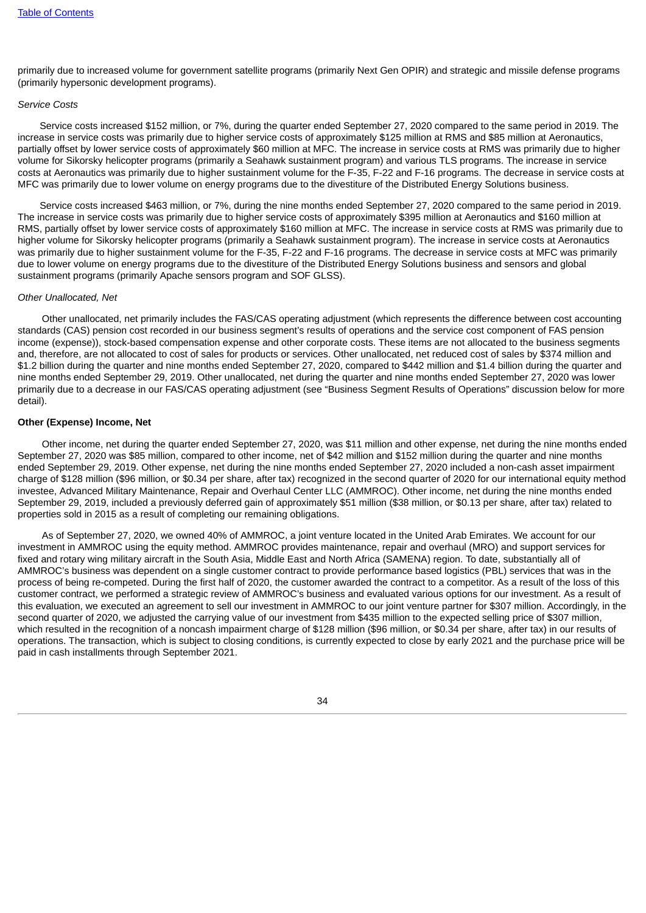primarily due to increased volume for government satellite programs (primarily Next Gen OPIR) and strategic and missile defense programs (primarily hypersonic development programs).

### *Service Costs*

Service costs increased \$152 million, or 7%, during the quarter ended September 27, 2020 compared to the same period in 2019. The increase in service costs was primarily due to higher service costs of approximately \$125 million at RMS and \$85 million at Aeronautics, partially offset by lower service costs of approximately \$60 million at MFC. The increase in service costs at RMS was primarily due to higher volume for Sikorsky helicopter programs (primarily a Seahawk sustainment program) and various TLS programs. The increase in service costs at Aeronautics was primarily due to higher sustainment volume for the F-35, F-22 and F-16 programs. The decrease in service costs at MFC was primarily due to lower volume on energy programs due to the divestiture of the Distributed Energy Solutions business.

Service costs increased \$463 million, or 7%, during the nine months ended September 27, 2020 compared to the same period in 2019. The increase in service costs was primarily due to higher service costs of approximately \$395 million at Aeronautics and \$160 million at RMS, partially offset by lower service costs of approximately \$160 million at MFC. The increase in service costs at RMS was primarily due to higher volume for Sikorsky helicopter programs (primarily a Seahawk sustainment program). The increase in service costs at Aeronautics was primarily due to higher sustainment volume for the F-35, F-22 and F-16 programs. The decrease in service costs at MFC was primarily due to lower volume on energy programs due to the divestiture of the Distributed Energy Solutions business and sensors and global sustainment programs (primarily Apache sensors program and SOF GLSS).

#### *Other Unallocated, Net*

Other unallocated, net primarily includes the FAS/CAS operating adjustment (which represents the difference between cost accounting standards (CAS) pension cost recorded in our business segment's results of operations and the service cost component of FAS pension income (expense)), stock-based compensation expense and other corporate costs. These items are not allocated to the business segments and, therefore, are not allocated to cost of sales for products or services. Other unallocated, net reduced cost of sales by \$374 million and \$1.2 billion during the quarter and nine months ended September 27, 2020, compared to \$442 million and \$1.4 billion during the quarter and nine months ended September 29, 2019. Other unallocated, net during the quarter and nine months ended September 27, 2020 was lower primarily due to a decrease in our FAS/CAS operating adjustment (see "Business Segment Results of Operations" discussion below for more detail).

#### **Other (Expense) Income, Net**

Other income, net during the quarter ended September 27, 2020, was \$11 million and other expense, net during the nine months ended September 27, 2020 was \$85 million, compared to other income, net of \$42 million and \$152 million during the quarter and nine months ended September 29, 2019. Other expense, net during the nine months ended September 27, 2020 included a non-cash asset impairment charge of \$128 million (\$96 million, or \$0.34 per share, after tax) recognized in the second quarter of 2020 for our international equity method investee, Advanced Military Maintenance, Repair and Overhaul Center LLC (AMMROC). Other income, net during the nine months ended September 29, 2019, included a previously deferred gain of approximately \$51 million (\$38 million, or \$0.13 per share, after tax) related to properties sold in 2015 as a result of completing our remaining obligations.

As of September 27, 2020, we owned 40% of AMMROC, a joint venture located in the United Arab Emirates. We account for our investment in AMMROC using the equity method. AMMROC provides maintenance, repair and overhaul (MRO) and support services for fixed and rotary wing military aircraft in the South Asia, Middle East and North Africa (SAMENA) region. To date, substantially all of AMMROC's business was dependent on a single customer contract to provide performance based logistics (PBL) services that was in the process of being re-competed. During the first half of 2020, the customer awarded the contract to a competitor. As a result of the loss of this customer contract, we performed a strategic review of AMMROC's business and evaluated various options for our investment. As a result of this evaluation, we executed an agreement to sell our investment in AMMROC to our joint venture partner for \$307 million. Accordingly, in the second quarter of 2020, we adjusted the carrying value of our investment from \$435 million to the expected selling price of \$307 million, which resulted in the recognition of a noncash impairment charge of \$128 million (\$96 million, or \$0.34 per share, after tax) in our results of operations. The transaction, which is subject to closing conditions, is currently expected to close by early 2021 and the purchase price will be paid in cash installments through September 2021.

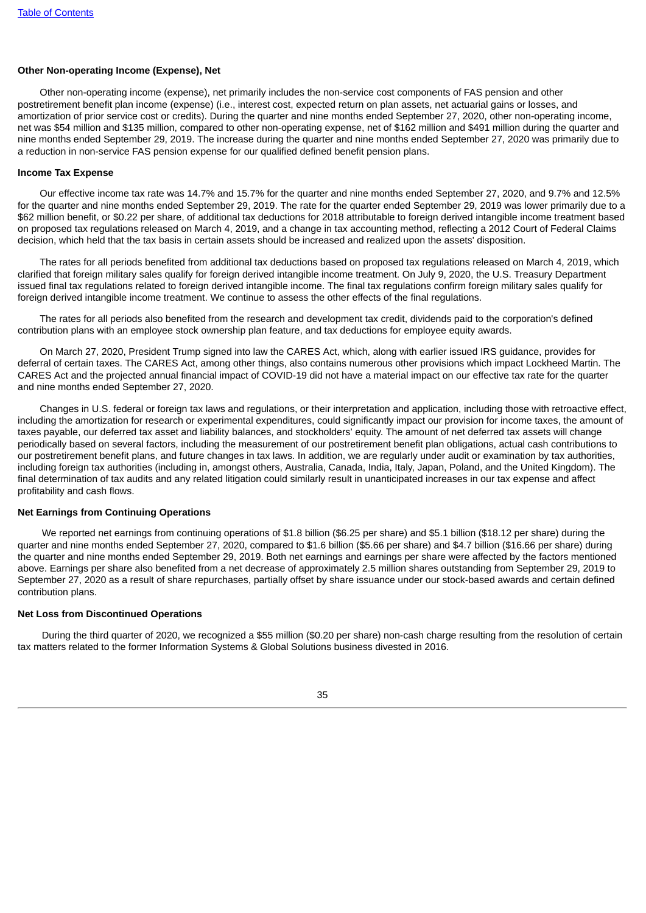### **Other Non-operating Income (Expense), Net**

Other non-operating income (expense), net primarily includes the non-service cost components of FAS pension and other postretirement benefit plan income (expense) (i.e., interest cost, expected return on plan assets, net actuarial gains or losses, and amortization of prior service cost or credits). During the quarter and nine months ended September 27, 2020, other non-operating income, net was \$54 million and \$135 million, compared to other non-operating expense, net of \$162 million and \$491 million during the quarter and nine months ended September 29, 2019. The increase during the quarter and nine months ended September 27, 2020 was primarily due to a reduction in non-service FAS pension expense for our qualified defined benefit pension plans.

### **Income Tax Expense**

Our effective income tax rate was 14.7% and 15.7% for the quarter and nine months ended September 27, 2020, and 9.7% and 12.5% for the quarter and nine months ended September 29, 2019. The rate for the quarter ended September 29, 2019 was lower primarily due to a \$62 million benefit, or \$0.22 per share, of additional tax deductions for 2018 attributable to foreign derived intangible income treatment based on proposed tax regulations released on March 4, 2019, and a change in tax accounting method, reflecting a 2012 Court of Federal Claims decision, which held that the tax basis in certain assets should be increased and realized upon the assets' disposition.

The rates for all periods benefited from additional tax deductions based on proposed tax regulations released on March 4, 2019, which clarified that foreign military sales qualify for foreign derived intangible income treatment. On July 9, 2020, the U.S. Treasury Department issued final tax regulations related to foreign derived intangible income. The final tax regulations confirm foreign military sales qualify for foreign derived intangible income treatment. We continue to assess the other effects of the final regulations.

The rates for all periods also benefited from the research and development tax credit, dividends paid to the corporation's defined contribution plans with an employee stock ownership plan feature, and tax deductions for employee equity awards.

On March 27, 2020, President Trump signed into law the CARES Act, which, along with earlier issued IRS guidance, provides for deferral of certain taxes. The CARES Act, among other things, also contains numerous other provisions which impact Lockheed Martin. The CARES Act and the projected annual financial impact of COVID-19 did not have a material impact on our effective tax rate for the quarter and nine months ended September 27, 2020.

Changes in U.S. federal or foreign tax laws and regulations, or their interpretation and application, including those with retroactive effect, including the amortization for research or experimental expenditures, could significantly impact our provision for income taxes, the amount of taxes payable, our deferred tax asset and liability balances, and stockholders' equity. The amount of net deferred tax assets will change periodically based on several factors, including the measurement of our postretirement benefit plan obligations, actual cash contributions to our postretirement benefit plans, and future changes in tax laws. In addition, we are regularly under audit or examination by tax authorities, including foreign tax authorities (including in, amongst others, Australia, Canada, India, Italy, Japan, Poland, and the United Kingdom). The final determination of tax audits and any related litigation could similarly result in unanticipated increases in our tax expense and affect profitability and cash flows.

#### **Net Earnings from Continuing Operations**

We reported net earnings from continuing operations of \$1.8 billion (\$6.25 per share) and \$5.1 billion (\$18.12 per share) during the quarter and nine months ended September 27, 2020, compared to \$1.6 billion (\$5.66 per share) and \$4.7 billion (\$16.66 per share) during the quarter and nine months ended September 29, 2019. Both net earnings and earnings per share were affected by the factors mentioned above. Earnings per share also benefited from a net decrease of approximately 2.5 million shares outstanding from September 29, 2019 to September 27, 2020 as a result of share repurchases, partially offset by share issuance under our stock-based awards and certain defined contribution plans.

#### **Net Loss from Discontinued Operations**

During the third quarter of 2020, we recognized a \$55 million (\$0.20 per share) non-cash charge resulting from the resolution of certain tax matters related to the former Information Systems & Global Solutions business divested in 2016.

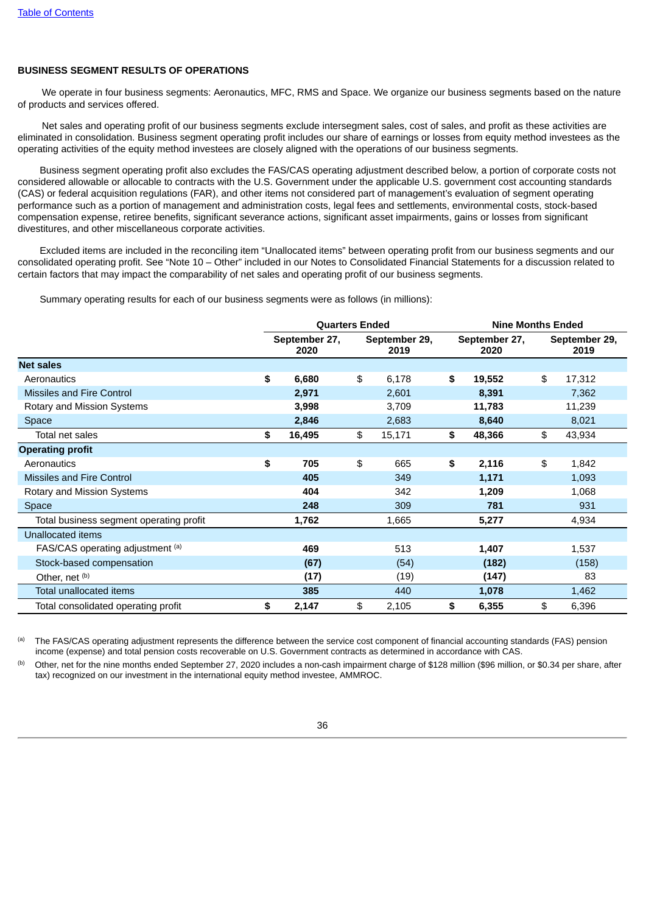### **BUSINESS SEGMENT RESULTS OF OPERATIONS**

We operate in four business segments: Aeronautics, MFC, RMS and Space. We organize our business segments based on the nature of products and services offered.

Net sales and operating profit of our business segments exclude intersegment sales, cost of sales, and profit as these activities are eliminated in consolidation. Business segment operating profit includes our share of earnings or losses from equity method investees as the operating activities of the equity method investees are closely aligned with the operations of our business segments.

Business segment operating profit also excludes the FAS/CAS operating adjustment described below, a portion of corporate costs not considered allowable or allocable to contracts with the U.S. Government under the applicable U.S. government cost accounting standards (CAS) or federal acquisition regulations (FAR), and other items not considered part of management's evaluation of segment operating performance such as a portion of management and administration costs, legal fees and settlements, environmental costs, stock-based compensation expense, retiree benefits, significant severance actions, significant asset impairments, gains or losses from significant divestitures, and other miscellaneous corporate activities.

Excluded items are included in the reconciling item "Unallocated items" between operating profit from our business segments and our consolidated operating profit. See "Note 10 – Other" included in our Notes to Consolidated Financial Statements for a discussion related to certain factors that may impact the comparability of net sales and operating profit of our business segments.

Summary operating results for each of our business segments were as follows (in millions):

|                                         | <b>Ouarters Ended</b> |        |    |                       |    | <b>Nine Months Ended</b> |    |                       |  |  |
|-----------------------------------------|-----------------------|--------|----|-----------------------|----|--------------------------|----|-----------------------|--|--|
|                                         | September 27,<br>2020 |        |    | September 29,<br>2019 |    | September 27,<br>2020    |    | September 29,<br>2019 |  |  |
| <b>Net sales</b>                        |                       |        |    |                       |    |                          |    |                       |  |  |
| Aeronautics                             | \$                    | 6,680  | \$ | 6,178                 | \$ | 19,552                   | \$ | 17,312                |  |  |
| <b>Missiles and Fire Control</b>        |                       | 2,971  |    | 2,601                 |    | 8,391                    |    | 7,362                 |  |  |
| Rotary and Mission Systems              |                       | 3,998  |    | 3,709                 |    | 11,783                   |    | 11,239                |  |  |
| Space                                   |                       | 2,846  |    | 2,683                 |    | 8,640                    |    | 8,021                 |  |  |
| Total net sales                         | \$                    | 16,495 | \$ | 15,171                | \$ | 48,366                   | \$ | 43,934                |  |  |
| <b>Operating profit</b>                 |                       |        |    |                       |    |                          |    |                       |  |  |
| Aeronautics                             | \$                    | 705    | \$ | 665                   | \$ | 2,116                    | \$ | 1,842                 |  |  |
| Missiles and Fire Control               |                       | 405    |    | 349                   |    | 1,171                    |    | 1,093                 |  |  |
| Rotary and Mission Systems              |                       | 404    |    | 342                   |    | 1,209                    |    | 1,068                 |  |  |
| Space                                   |                       | 248    |    | 309                   |    | 781                      |    | 931                   |  |  |
| Total business segment operating profit |                       | 1,762  |    | 1,665                 |    | 5,277                    |    | 4,934                 |  |  |
| Unallocated items                       |                       |        |    |                       |    |                          |    |                       |  |  |
| FAS/CAS operating adjustment (a)        |                       | 469    |    | 513                   |    | 1,407                    |    | 1,537                 |  |  |
| Stock-based compensation                |                       | (67)   |    | (54)                  |    | (182)                    |    | (158)                 |  |  |
| Other, net (b)                          |                       | (17)   |    | (19)                  |    | (147)                    |    | 83                    |  |  |
| Total unallocated items                 |                       | 385    |    | 440                   |    | 1,078                    |    | 1,462                 |  |  |
| Total consolidated operating profit     | \$                    | 2,147  | \$ | 2,105                 | \$ | 6,355                    | \$ | 6,396                 |  |  |

(a) The FAS/CAS operating adjustment represents the difference between the service cost component of financial accounting standards (FAS) pension income (expense) and total pension costs recoverable on U.S. Government contracts as determined in accordance with CAS.

(b) Other, net for the nine months ended September 27, 2020 includes a non-cash impairment charge of \$128 million (\$96 million, or \$0.34 per share, after tax) recognized on our investment in the international equity method investee, AMMROC.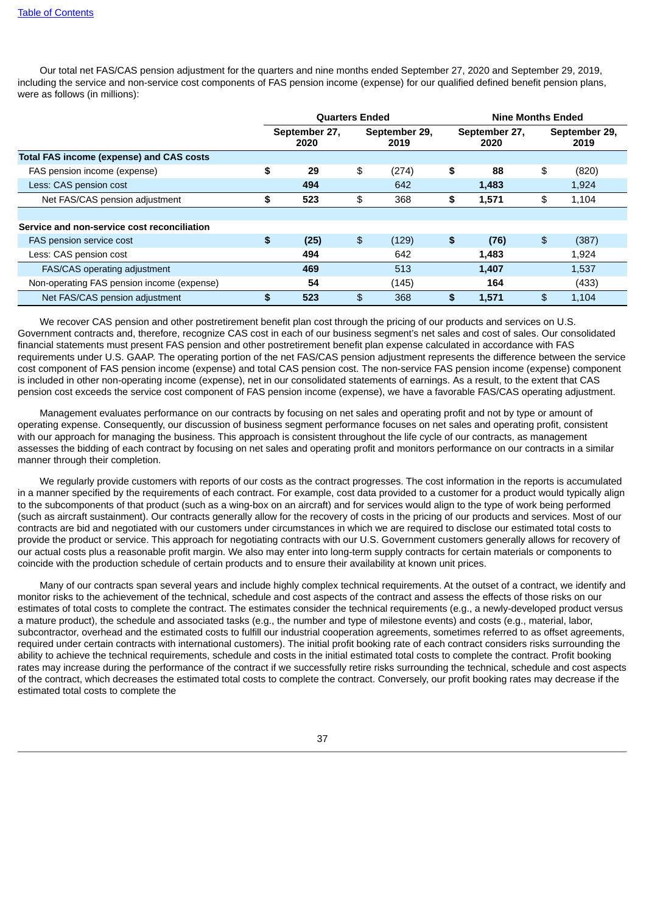Our total net FAS/CAS pension adjustment for the quarters and nine months ended September 27, 2020 and September 29, 2019, including the service and non-service cost components of FAS pension income (expense) for our qualified defined benefit pension plans, were as follows (in millions):

|                                                 | <b>Ouarters Ended</b> |      |                       |       |                       | <b>Nine Months Ended</b> |    |                       |  |
|-------------------------------------------------|-----------------------|------|-----------------------|-------|-----------------------|--------------------------|----|-----------------------|--|
|                                                 | September 27,<br>2020 |      | September 29,<br>2019 |       | September 27,<br>2020 |                          |    | September 29,<br>2019 |  |
| <b>Total FAS income (expense) and CAS costs</b> |                       |      |                       |       |                       |                          |    |                       |  |
| FAS pension income (expense)                    | \$                    | 29   | \$                    | (274) | \$                    | 88                       | \$ | (820)                 |  |
| Less: CAS pension cost                          |                       | 494  |                       | 642   |                       | 1,483                    |    | 1,924                 |  |
| Net FAS/CAS pension adjustment                  | \$                    | 523  | \$                    | 368   | \$                    | 1,571                    | \$ | 1,104                 |  |
|                                                 |                       |      |                       |       |                       |                          |    |                       |  |
| Service and non-service cost reconciliation     |                       |      |                       |       |                       |                          |    |                       |  |
| FAS pension service cost                        | \$                    | (25) | \$                    | (129) | \$                    | (76)                     | \$ | (387)                 |  |
| Less: CAS pension cost                          |                       | 494  |                       | 642   |                       | 1,483                    |    | 1,924                 |  |
| <b>FAS/CAS operating adjustment</b>             |                       | 469  |                       | 513   |                       | 1,407                    |    | 1,537                 |  |
| Non-operating FAS pension income (expense)      |                       | 54   |                       | (145) |                       | 164                      |    | (433)                 |  |
| Net FAS/CAS pension adjustment                  | \$                    | 523  | \$                    | 368   | S                     | 1.571                    | \$ | 1.104                 |  |

We recover CAS pension and other postretirement benefit plan cost through the pricing of our products and services on U.S. Government contracts and, therefore, recognize CAS cost in each of our business segment's net sales and cost of sales. Our consolidated financial statements must present FAS pension and other postretirement benefit plan expense calculated in accordance with FAS requirements under U.S. GAAP. The operating portion of the net FAS/CAS pension adjustment represents the difference between the service cost component of FAS pension income (expense) and total CAS pension cost. The non-service FAS pension income (expense) component is included in other non-operating income (expense), net in our consolidated statements of earnings. As a result, to the extent that CAS pension cost exceeds the service cost component of FAS pension income (expense), we have a favorable FAS/CAS operating adjustment.

Management evaluates performance on our contracts by focusing on net sales and operating profit and not by type or amount of operating expense. Consequently, our discussion of business segment performance focuses on net sales and operating profit, consistent with our approach for managing the business. This approach is consistent throughout the life cycle of our contracts, as management assesses the bidding of each contract by focusing on net sales and operating profit and monitors performance on our contracts in a similar manner through their completion.

We regularly provide customers with reports of our costs as the contract progresses. The cost information in the reports is accumulated in a manner specified by the requirements of each contract. For example, cost data provided to a customer for a product would typically align to the subcomponents of that product (such as a wing-box on an aircraft) and for services would align to the type of work being performed (such as aircraft sustainment). Our contracts generally allow for the recovery of costs in the pricing of our products and services. Most of our contracts are bid and negotiated with our customers under circumstances in which we are required to disclose our estimated total costs to provide the product or service. This approach for negotiating contracts with our U.S. Government customers generally allows for recovery of our actual costs plus a reasonable profit margin. We also may enter into long-term supply contracts for certain materials or components to coincide with the production schedule of certain products and to ensure their availability at known unit prices.

Many of our contracts span several years and include highly complex technical requirements. At the outset of a contract, we identify and monitor risks to the achievement of the technical, schedule and cost aspects of the contract and assess the effects of those risks on our estimates of total costs to complete the contract. The estimates consider the technical requirements (e.g., a newly-developed product versus a mature product), the schedule and associated tasks (e.g., the number and type of milestone events) and costs (e.g., material, labor, subcontractor, overhead and the estimated costs to fulfill our industrial cooperation agreements, sometimes referred to as offset agreements, required under certain contracts with international customers). The initial profit booking rate of each contract considers risks surrounding the ability to achieve the technical requirements, schedule and costs in the initial estimated total costs to complete the contract. Profit booking rates may increase during the performance of the contract if we successfully retire risks surrounding the technical, schedule and cost aspects of the contract, which decreases the estimated total costs to complete the contract. Conversely, our profit booking rates may decrease if the estimated total costs to complete the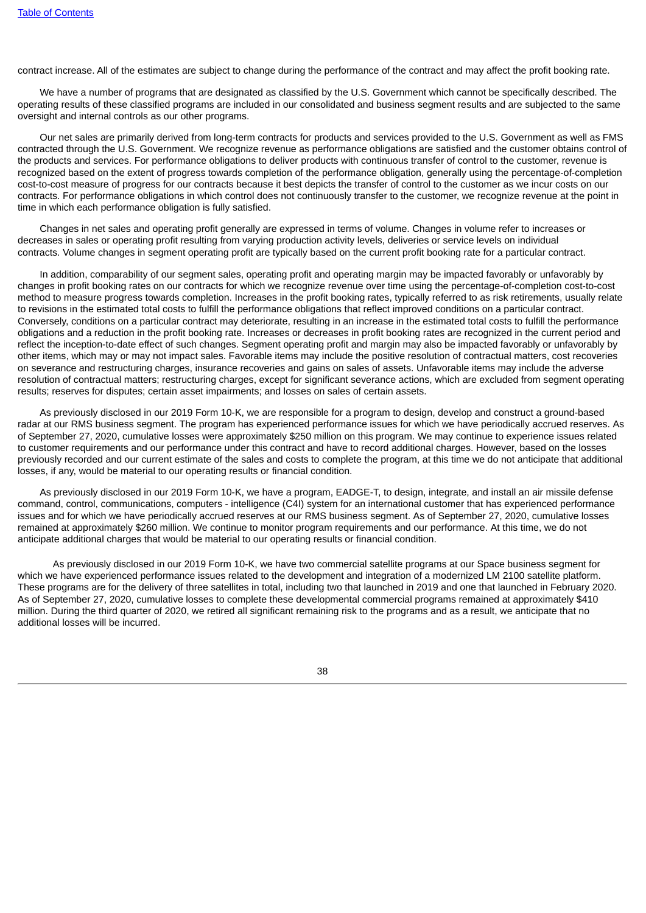contract increase. All of the estimates are subject to change during the performance of the contract and may affect the profit booking rate.

We have a number of programs that are designated as classified by the U.S. Government which cannot be specifically described. The operating results of these classified programs are included in our consolidated and business segment results and are subjected to the same oversight and internal controls as our other programs.

Our net sales are primarily derived from long-term contracts for products and services provided to the U.S. Government as well as FMS contracted through the U.S. Government. We recognize revenue as performance obligations are satisfied and the customer obtains control of the products and services. For performance obligations to deliver products with continuous transfer of control to the customer, revenue is recognized based on the extent of progress towards completion of the performance obligation, generally using the percentage-of-completion cost-to-cost measure of progress for our contracts because it best depicts the transfer of control to the customer as we incur costs on our contracts. For performance obligations in which control does not continuously transfer to the customer, we recognize revenue at the point in time in which each performance obligation is fully satisfied.

Changes in net sales and operating profit generally are expressed in terms of volume. Changes in volume refer to increases or decreases in sales or operating profit resulting from varying production activity levels, deliveries or service levels on individual contracts. Volume changes in segment operating profit are typically based on the current profit booking rate for a particular contract.

In addition, comparability of our segment sales, operating profit and operating margin may be impacted favorably or unfavorably by changes in profit booking rates on our contracts for which we recognize revenue over time using the percentage-of-completion cost-to-cost method to measure progress towards completion. Increases in the profit booking rates, typically referred to as risk retirements, usually relate to revisions in the estimated total costs to fulfill the performance obligations that reflect improved conditions on a particular contract. Conversely, conditions on a particular contract may deteriorate, resulting in an increase in the estimated total costs to fulfill the performance obligations and a reduction in the profit booking rate. Increases or decreases in profit booking rates are recognized in the current period and reflect the inception-to-date effect of such changes. Segment operating profit and margin may also be impacted favorably or unfavorably by other items, which may or may not impact sales. Favorable items may include the positive resolution of contractual matters, cost recoveries on severance and restructuring charges, insurance recoveries and gains on sales of assets. Unfavorable items may include the adverse resolution of contractual matters; restructuring charges, except for significant severance actions, which are excluded from segment operating results; reserves for disputes; certain asset impairments; and losses on sales of certain assets.

As previously disclosed in our 2019 Form 10-K, we are responsible for a program to design, develop and construct a ground-based radar at our RMS business segment. The program has experienced performance issues for which we have periodically accrued reserves. As of September 27, 2020, cumulative losses were approximately \$250 million on this program. We may continue to experience issues related to customer requirements and our performance under this contract and have to record additional charges. However, based on the losses previously recorded and our current estimate of the sales and costs to complete the program, at this time we do not anticipate that additional losses, if any, would be material to our operating results or financial condition.

As previously disclosed in our 2019 Form 10-K, we have a program, EADGE-T, to design, integrate, and install an air missile defense command, control, communications, computers - intelligence (C4I) system for an international customer that has experienced performance issues and for which we have periodically accrued reserves at our RMS business segment. As of September 27, 2020, cumulative losses remained at approximately \$260 million. We continue to monitor program requirements and our performance. At this time, we do not anticipate additional charges that would be material to our operating results or financial condition.

As previously disclosed in our 2019 Form 10-K, we have two commercial satellite programs at our Space business segment for which we have experienced performance issues related to the development and integration of a modernized LM 2100 satellite platform. These programs are for the delivery of three satellites in total, including two that launched in 2019 and one that launched in February 2020. As of September 27, 2020, cumulative losses to complete these developmental commercial programs remained at approximately \$410 million. During the third quarter of 2020, we retired all significant remaining risk to the programs and as a result, we anticipate that no additional losses will be incurred.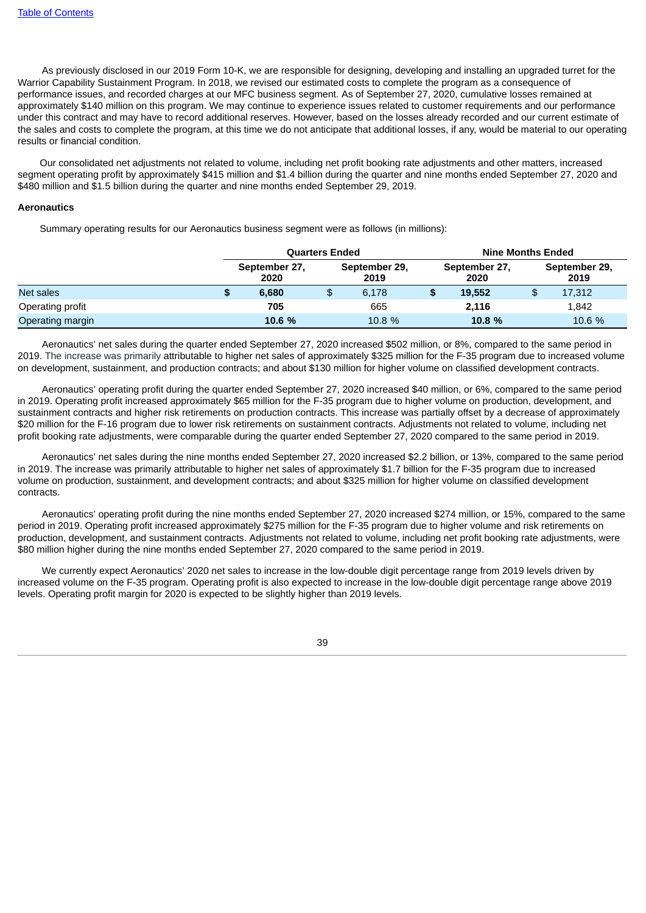As previously disclosed in our 2019 Form 10-K, we are responsible for designing, developing and installing an upgraded turret for the Warrior Capability Sustainment Program. In 2018, we revised our estimated costs to complete the program as a consequence of performance issues, and recorded charges at our MFC business segment. As of September 27, 2020, cumulative losses remained at approximately \$140 million on this program. We may continue to experience issues related to customer requirements and our performance under this contract and may have to record additional reserves. However, based on the losses already recorded and our current estimate of the sales and costs to complete the program, at this time we do not anticipate that additional losses, if any, would be material to our operating results or financial condition.

Our consolidated net adjustments not related to volume, including net profit booking rate adjustments and other matters, increased segment operating profit by approximately \$415 million and \$1.4 billion during the quarter and nine months ended September 27, 2020 and \$480 million and \$1.5 billion during the quarter and nine months ended September 29, 2019.

### **Aeronautics**

Summary operating results for our Aeronautics business segment were as follows (in millions):

|                  | <b>Ouarters Ended</b> |    |                       |  | Nine Months Ended     |   |                       |  |
|------------------|-----------------------|----|-----------------------|--|-----------------------|---|-----------------------|--|
|                  | September 27,<br>2020 |    | September 29,<br>2019 |  | September 27,<br>2020 |   | September 29,<br>2019 |  |
| Net sales        | 6,680                 | \$ | 6,178                 |  | 19.552                | Φ | 17,312                |  |
| Operating profit | 705                   |    | 665                   |  | 2,116                 |   | 1,842                 |  |
| Operating margin | 10.6 %                |    | 10.8 %                |  | 10.8 %                |   | 10.6 %                |  |

Aeronautics' net sales during the quarter ended September 27, 2020 increased \$502 million, or 8%, compared to the same period in 2019. The increase was primarily attributable to higher net sales of approximately \$325 million for the F-35 program due to increased volume on development, sustainment, and production contracts; and about \$130 million for higher volume on classified development contracts.

Aeronautics' operating profit during the quarter ended September 27, 2020 increased \$40 million, or 6%, compared to the same period in 2019. Operating profit increased approximately \$65 million for the F-35 program due to higher volume on production, development, and sustainment contracts and higher risk retirements on production contracts. This increase was partially offset by a decrease of approximately \$20 million for the F-16 program due to lower risk retirements on sustainment contracts. Adjustments not related to volume, including net profit booking rate adjustments, were comparable during the quarter ended September 27, 2020 compared to the same period in 2019.

Aeronautics' net sales during the nine months ended September 27, 2020 increased \$2.2 billion, or 13%, compared to the same period in 2019. The increase was primarily attributable to higher net sales of approximately \$1.7 billion for the F-35 program due to increased volume on production, sustainment, and development contracts; and about \$325 million for higher volume on classified development contracts.

Aeronautics' operating profit during the nine months ended September 27, 2020 increased \$274 million, or 15%, compared to the same period in 2019. Operating profit increased approximately \$275 million for the F-35 program due to higher volume and risk retirements on production, development, and sustainment contracts. Adjustments not related to volume, including net profit booking rate adjustments, were \$80 million higher during the nine months ended September 27, 2020 compared to the same period in 2019.

We currently expect Aeronautics' 2020 net sales to increase in the low-double digit percentage range from 2019 levels driven by increased volume on the F-35 program. Operating profit is also expected to increase in the low-double digit percentage range above 2019 levels. Operating profit margin for 2020 is expected to be slightly higher than 2019 levels.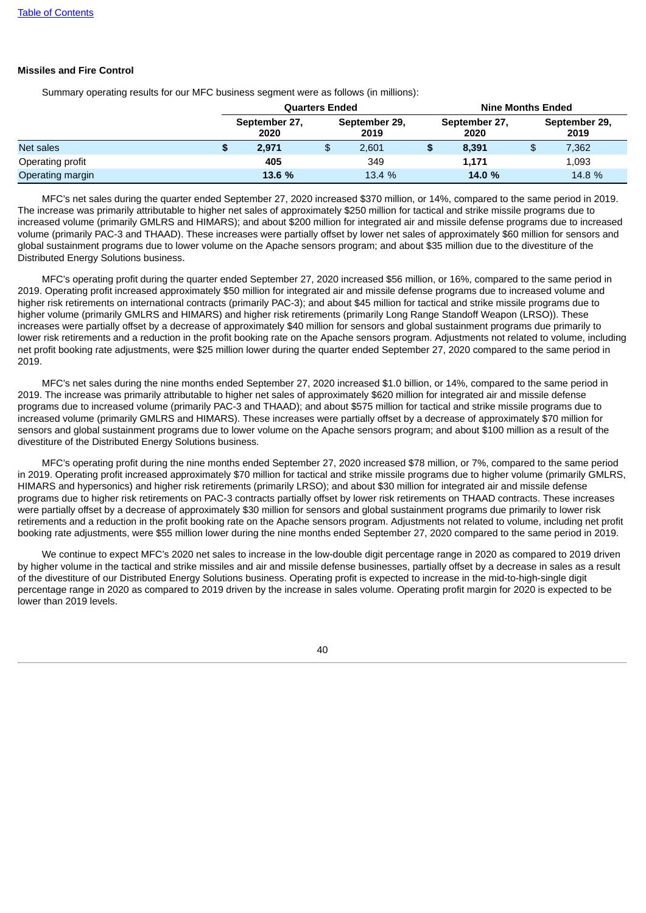### **Missiles and Fire Control**

Summary operating results for our MFC business segment were as follows (in millions):

|                  | <b>Ouarters Ended</b> |    |                                                |  | Nine Months Ended     |    |        |  |
|------------------|-----------------------|----|------------------------------------------------|--|-----------------------|----|--------|--|
|                  | September 27,<br>2020 |    | September 29,<br>September 27,<br>2019<br>2020 |  | September 29,<br>2019 |    |        |  |
| Net sales        | 2,971                 | \$ | 2.601                                          |  | 8.391                 | \$ | 7,362  |  |
| Operating profit | 405                   |    | 349                                            |  | 1,171                 |    | 1,093  |  |
| Operating margin | 13.6 %                |    | 13.4 %                                         |  | 14.0 %                |    | 14.8 % |  |

MFC's net sales during the quarter ended September 27, 2020 increased \$370 million, or 14%, compared to the same period in 2019. The increase was primarily attributable to higher net sales of approximately \$250 million for tactical and strike missile programs due to increased volume (primarily GMLRS and HIMARS); and about \$200 million for integrated air and missile defense programs due to increased volume (primarily PAC-3 and THAAD). These increases were partially offset by lower net sales of approximately \$60 million for sensors and global sustainment programs due to lower volume on the Apache sensors program; and about \$35 million due to the divestiture of the Distributed Energy Solutions business.

MFC's operating profit during the quarter ended September 27, 2020 increased \$56 million, or 16%, compared to the same period in 2019. Operating profit increased approximately \$50 million for integrated air and missile defense programs due to increased volume and higher risk retirements on international contracts (primarily PAC-3); and about \$45 million for tactical and strike missile programs due to higher volume (primarily GMLRS and HIMARS) and higher risk retirements (primarily Long Range Standoff Weapon (LRSO)). These increases were partially offset by a decrease of approximately \$40 million for sensors and global sustainment programs due primarily to lower risk retirements and a reduction in the profit booking rate on the Apache sensors program. Adjustments not related to volume, including net profit booking rate adjustments, were \$25 million lower during the quarter ended September 27, 2020 compared to the same period in 2019.

MFC's net sales during the nine months ended September 27, 2020 increased \$1.0 billion, or 14%, compared to the same period in 2019. The increase was primarily attributable to higher net sales of approximately \$620 million for integrated air and missile defense programs due to increased volume (primarily PAC-3 and THAAD); and about \$575 million for tactical and strike missile programs due to increased volume (primarily GMLRS and HIMARS). These increases were partially offset by a decrease of approximately \$70 million for sensors and global sustainment programs due to lower volume on the Apache sensors program; and about \$100 million as a result of the divestiture of the Distributed Energy Solutions business.

MFC's operating profit during the nine months ended September 27, 2020 increased \$78 million, or 7%, compared to the same period in 2019. Operating profit increased approximately \$70 million for tactical and strike missile programs due to higher volume (primarily GMLRS, HIMARS and hypersonics) and higher risk retirements (primarily LRSO); and about \$30 million for integrated air and missile defense programs due to higher risk retirements on PAC-3 contracts partially offset by lower risk retirements on THAAD contracts. These increases were partially offset by a decrease of approximately \$30 million for sensors and global sustainment programs due primarily to lower risk retirements and a reduction in the profit booking rate on the Apache sensors program. Adjustments not related to volume, including net profit booking rate adjustments, were \$55 million lower during the nine months ended September 27, 2020 compared to the same period in 2019.

We continue to expect MFC's 2020 net sales to increase in the low-double digit percentage range in 2020 as compared to 2019 driven by higher volume in the tactical and strike missiles and air and missile defense businesses, partially offset by a decrease in sales as a result of the divestiture of our Distributed Energy Solutions business. Operating profit is expected to increase in the mid-to-high-single digit percentage range in 2020 as compared to 2019 driven by the increase in sales volume. Operating profit margin for 2020 is expected to be lower than 2019 levels.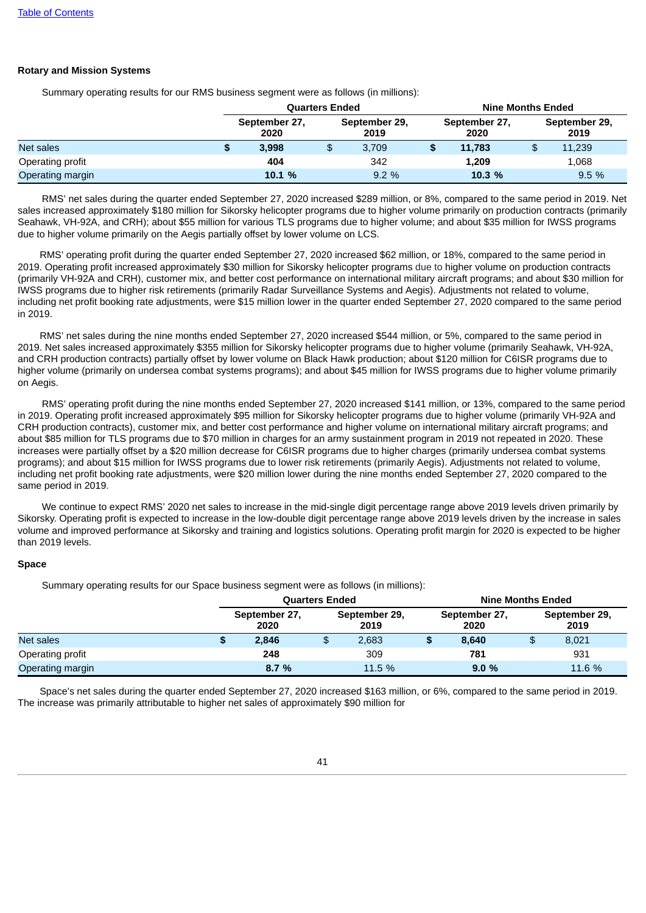# **Rotary and Mission Systems**

Summary operating results for our RMS business segment were as follows (in millions):

|                  | <b>Ouarters Ended</b>                          |    |         | Nine Months Ended     |                       |    |        |
|------------------|------------------------------------------------|----|---------|-----------------------|-----------------------|----|--------|
|                  | September 29,<br>September 27,<br>2020<br>2019 |    |         | September 27,<br>2020 | September 29,<br>2019 |    |        |
| Net sales        | 3,998                                          | \$ | 3.709   |                       | 11.783                | \$ | 11,239 |
| Operating profit | 404                                            |    | 342     |                       | 1,209                 |    | 1,068  |
| Operating margin | 10.1 %                                         |    | $9.2\%$ |                       | 10.3 %                |    | 9.5%   |

RMS' net sales during the quarter ended September 27, 2020 increased \$289 million, or 8%, compared to the same period in 2019. Net sales increased approximately \$180 million for Sikorsky helicopter programs due to higher volume primarily on production contracts (primarily Seahawk, VH-92A, and CRH); about \$55 million for various TLS programs due to higher volume; and about \$35 million for IWSS programs due to higher volume primarily on the Aegis partially offset by lower volume on LCS.

RMS' operating profit during the quarter ended September 27, 2020 increased \$62 million, or 18%, compared to the same period in 2019. Operating profit increased approximately \$30 million for Sikorsky helicopter programs due to higher volume on production contracts (primarily VH-92A and CRH), customer mix, and better cost performance on international military aircraft programs; and about \$30 million for IWSS programs due to higher risk retirements (primarily Radar Surveillance Systems and Aegis). Adjustments not related to volume, including net profit booking rate adjustments, were \$15 million lower in the quarter ended September 27, 2020 compared to the same period in 2019.

RMS' net sales during the nine months ended September 27, 2020 increased \$544 million, or 5%, compared to the same period in 2019. Net sales increased approximately \$355 million for Sikorsky helicopter programs due to higher volume (primarily Seahawk, VH-92A, and CRH production contracts) partially offset by lower volume on Black Hawk production; about \$120 million for C6ISR programs due to higher volume (primarily on undersea combat systems programs); and about \$45 million for IWSS programs due to higher volume primarily on Aegis.

RMS' operating profit during the nine months ended September 27, 2020 increased \$141 million, or 13%, compared to the same period in 2019. Operating profit increased approximately \$95 million for Sikorsky helicopter programs due to higher volume (primarily VH-92A and CRH production contracts), customer mix, and better cost performance and higher volume on international military aircraft programs; and about \$85 million for TLS programs due to \$70 million in charges for an army sustainment program in 2019 not repeated in 2020. These increases were partially offset by a \$20 million decrease for C6ISR programs due to higher charges (primarily undersea combat systems programs); and about \$15 million for IWSS programs due to lower risk retirements (primarily Aegis). Adjustments not related to volume, including net profit booking rate adjustments, were \$20 million lower during the nine months ended September 27, 2020 compared to the same period in 2019.

We continue to expect RMS' 2020 net sales to increase in the mid-single digit percentage range above 2019 levels driven primarily by Sikorsky. Operating profit is expected to increase in the low-double digit percentage range above 2019 levels driven by the increase in sales volume and improved performance at Sikorsky and training and logistics solutions. Operating profit margin for 2020 is expected to be higher than 2019 levels.

### **Space**

Summary operating results for our Space business segment were as follows (in millions):

|                  |                       | <b>Ouarters Ended</b> |                                                |      |                       | Nine Months Ended |        |  |  |
|------------------|-----------------------|-----------------------|------------------------------------------------|------|-----------------------|-------------------|--------|--|--|
|                  | September 27,<br>2020 |                       | September 29,<br>September 27,<br>2020<br>2019 |      | September 29,<br>2019 |                   |        |  |  |
| Net sales        | 2,846                 | \$                    | 2,683                                          | w    | 8.640                 | \$                | 8,021  |  |  |
| Operating profit | 248                   |                       | 309                                            |      | 781                   |                   | 931    |  |  |
| Operating margin | 8.7%                  | 11.5 %                |                                                | 9.0% |                       |                   | 11.6 % |  |  |

Space's net sales during the quarter ended September 27, 2020 increased \$163 million, or 6%, compared to the same period in 2019. The increase was primarily attributable to higher net sales of approximately \$90 million for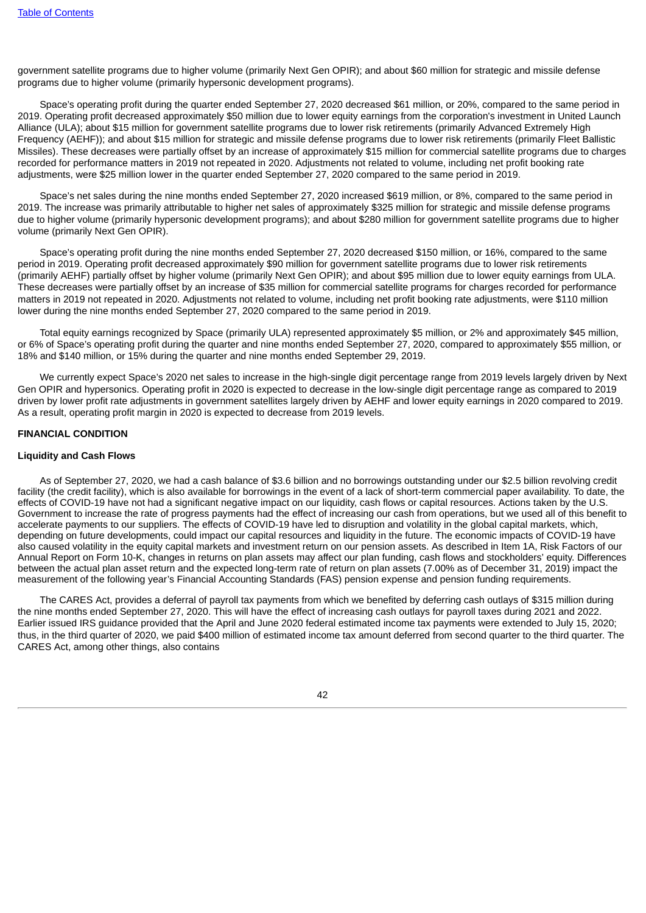government satellite programs due to higher volume (primarily Next Gen OPIR); and about \$60 million for strategic and missile defense programs due to higher volume (primarily hypersonic development programs).

Space's operating profit during the quarter ended September 27, 2020 decreased \$61 million, or 20%, compared to the same period in 2019. Operating profit decreased approximately \$50 million due to lower equity earnings from the corporation's investment in United Launch Alliance (ULA); about \$15 million for government satellite programs due to lower risk retirements (primarily Advanced Extremely High Frequency (AEHF)); and about \$15 million for strategic and missile defense programs due to lower risk retirements (primarily Fleet Ballistic Missiles). These decreases were partially offset by an increase of approximately \$15 million for commercial satellite programs due to charges recorded for performance matters in 2019 not repeated in 2020. Adjustments not related to volume, including net profit booking rate adjustments, were \$25 million lower in the quarter ended September 27, 2020 compared to the same period in 2019.

Space's net sales during the nine months ended September 27, 2020 increased \$619 million, or 8%, compared to the same period in 2019. The increase was primarily attributable to higher net sales of approximately \$325 million for strategic and missile defense programs due to higher volume (primarily hypersonic development programs); and about \$280 million for government satellite programs due to higher volume (primarily Next Gen OPIR).

Space's operating profit during the nine months ended September 27, 2020 decreased \$150 million, or 16%, compared to the same period in 2019. Operating profit decreased approximately \$90 million for government satellite programs due to lower risk retirements (primarily AEHF) partially offset by higher volume (primarily Next Gen OPIR); and about \$95 million due to lower equity earnings from ULA. These decreases were partially offset by an increase of \$35 million for commercial satellite programs for charges recorded for performance matters in 2019 not repeated in 2020. Adjustments not related to volume, including net profit booking rate adjustments, were \$110 million lower during the nine months ended September 27, 2020 compared to the same period in 2019.

Total equity earnings recognized by Space (primarily ULA) represented approximately \$5 million, or 2% and approximately \$45 million, or 6% of Space's operating profit during the quarter and nine months ended September 27, 2020, compared to approximately \$55 million, or 18% and \$140 million, or 15% during the quarter and nine months ended September 29, 2019.

We currently expect Space's 2020 net sales to increase in the high-single digit percentage range from 2019 levels largely driven by Next Gen OPIR and hypersonics. Operating profit in 2020 is expected to decrease in the low-single digit percentage range as compared to 2019 driven by lower profit rate adjustments in government satellites largely driven by AEHF and lower equity earnings in 2020 compared to 2019. As a result, operating profit margin in 2020 is expected to decrease from 2019 levels.

#### **FINANCIAL CONDITION**

#### **Liquidity and Cash Flows**

As of September 27, 2020, we had a cash balance of \$3.6 billion and no borrowings outstanding under our \$2.5 billion revolving credit facility (the credit facility), which is also available for borrowings in the event of a lack of short-term commercial paper availability. To date, the effects of COVID-19 have not had a significant negative impact on our liquidity, cash flows or capital resources. Actions taken by the U.S. Government to increase the rate of progress payments had the effect of increasing our cash from operations, but we used all of this benefit to accelerate payments to our suppliers. The effects of COVID-19 have led to disruption and volatility in the global capital markets, which, depending on future developments, could impact our capital resources and liquidity in the future. The economic impacts of COVID-19 have also caused volatility in the equity capital markets and investment return on our pension assets. As described in Item 1A, Risk Factors of our Annual Report on Form 10-K, changes in returns on plan assets may affect our plan funding, cash flows and stockholders' equity. Differences between the actual plan asset return and the expected long-term rate of return on plan assets (7.00% as of December 31, 2019) impact the measurement of the following year's Financial Accounting Standards (FAS) pension expense and pension funding requirements.

The CARES Act, provides a deferral of payroll tax payments from which we benefited by deferring cash outlays of \$315 million during the nine months ended September 27, 2020. This will have the effect of increasing cash outlays for payroll taxes during 2021 and 2022. Earlier issued IRS guidance provided that the April and June 2020 federal estimated income tax payments were extended to July 15, 2020; thus, in the third quarter of 2020, we paid \$400 million of estimated income tax amount deferred from second quarter to the third quarter. The CARES Act, among other things, also contains

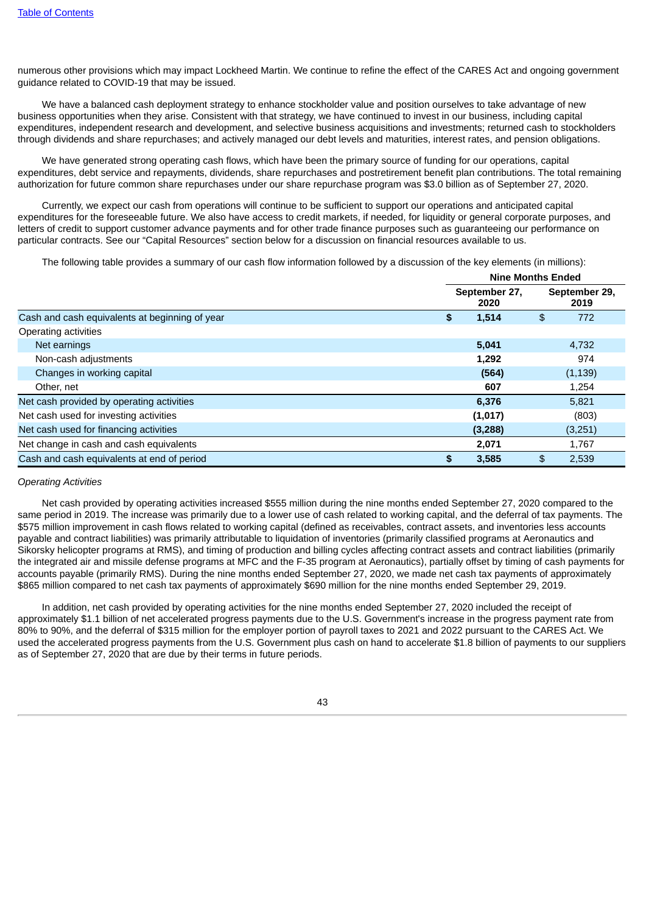numerous other provisions which may impact Lockheed Martin. We continue to refine the effect of the CARES Act and ongoing government guidance related to COVID-19 that may be issued.

We have a balanced cash deployment strategy to enhance stockholder value and position ourselves to take advantage of new business opportunities when they arise. Consistent with that strategy, we have continued to invest in our business, including capital expenditures, independent research and development, and selective business acquisitions and investments; returned cash to stockholders through dividends and share repurchases; and actively managed our debt levels and maturities, interest rates, and pension obligations.

We have generated strong operating cash flows, which have been the primary source of funding for our operations, capital expenditures, debt service and repayments, dividends, share repurchases and postretirement benefit plan contributions. The total remaining authorization for future common share repurchases under our share repurchase program was \$3.0 billion as of September 27, 2020.

Currently, we expect our cash from operations will continue to be sufficient to support our operations and anticipated capital expenditures for the foreseeable future. We also have access to credit markets, if needed, for liquidity or general corporate purposes, and letters of credit to support customer advance payments and for other trade finance purposes such as guaranteeing our performance on particular contracts. See our "Capital Resources" section below for a discussion on financial resources available to us.

The following table provides a summary of our cash flow information followed by a discussion of the key elements (in millions):

|                                                | <b>Nine Months Ended</b> |                       |    |                       |
|------------------------------------------------|--------------------------|-----------------------|----|-----------------------|
|                                                |                          | September 27,<br>2020 |    | September 29,<br>2019 |
| Cash and cash equivalents at beginning of year | S                        | 1,514                 | \$ | 772                   |
| Operating activities                           |                          |                       |    |                       |
| Net earnings                                   |                          | 5,041                 |    | 4,732                 |
| Non-cash adjustments                           |                          | 1,292                 |    | 974                   |
| Changes in working capital                     |                          | (564)                 |    | (1, 139)              |
| Other, net                                     |                          | 607                   |    | 1,254                 |
| Net cash provided by operating activities      |                          | 6,376                 |    | 5,821                 |
| Net cash used for investing activities         |                          | (1,017)               |    | (803)                 |
| Net cash used for financing activities         |                          | (3,288)               |    | (3,251)               |
| Net change in cash and cash equivalents        |                          | 2,071                 |    | 1,767                 |
| Cash and cash equivalents at end of period     | S                        | 3.585                 | \$ | 2,539                 |

#### *Operating Activities*

Net cash provided by operating activities increased \$555 million during the nine months ended September 27, 2020 compared to the same period in 2019. The increase was primarily due to a lower use of cash related to working capital, and the deferral of tax payments. The \$575 million improvement in cash flows related to working capital (defined as receivables, contract assets, and inventories less accounts payable and contract liabilities) was primarily attributable to liquidation of inventories (primarily classified programs at Aeronautics and Sikorsky helicopter programs at RMS), and timing of production and billing cycles affecting contract assets and contract liabilities (primarily the integrated air and missile defense programs at MFC and the F-35 program at Aeronautics), partially offset by timing of cash payments for accounts payable (primarily RMS). During the nine months ended September 27, 2020, we made net cash tax payments of approximately \$865 million compared to net cash tax payments of approximately \$690 million for the nine months ended September 29, 2019.

In addition, net cash provided by operating activities for the nine months ended September 27, 2020 included the receipt of approximately \$1.1 billion of net accelerated progress payments due to the U.S. Government's increase in the progress payment rate from 80% to 90%, and the deferral of \$315 million for the employer portion of payroll taxes to 2021 and 2022 pursuant to the CARES Act. We used the accelerated progress payments from the U.S. Government plus cash on hand to accelerate \$1.8 billion of payments to our suppliers as of September 27, 2020 that are due by their terms in future periods.

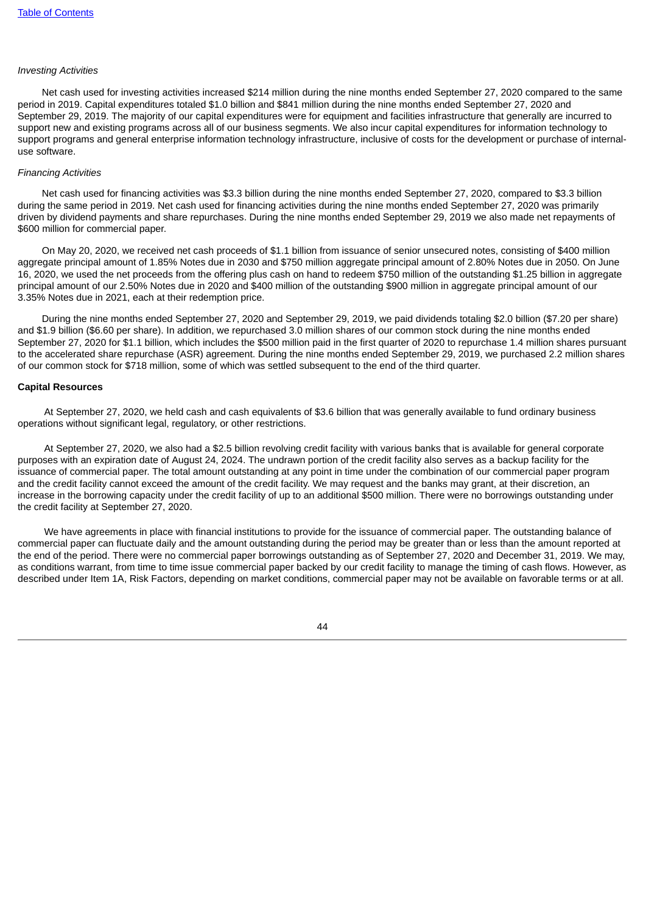#### *Investing Activities*

Net cash used for investing activities increased \$214 million during the nine months ended September 27, 2020 compared to the same period in 2019. Capital expenditures totaled \$1.0 billion and \$841 million during the nine months ended September 27, 2020 and September 29, 2019. The majority of our capital expenditures were for equipment and facilities infrastructure that generally are incurred to support new and existing programs across all of our business segments. We also incur capital expenditures for information technology to support programs and general enterprise information technology infrastructure, inclusive of costs for the development or purchase of internaluse software.

#### *Financing Activities*

Net cash used for financing activities was \$3.3 billion during the nine months ended September 27, 2020, compared to \$3.3 billion during the same period in 2019. Net cash used for financing activities during the nine months ended September 27, 2020 was primarily driven by dividend payments and share repurchases. During the nine months ended September 29, 2019 we also made net repayments of \$600 million for commercial paper.

On May 20, 2020, we received net cash proceeds of \$1.1 billion from issuance of senior unsecured notes, consisting of \$400 million aggregate principal amount of 1.85% Notes due in 2030 and \$750 million aggregate principal amount of 2.80% Notes due in 2050. On June 16, 2020, we used the net proceeds from the offering plus cash on hand to redeem \$750 million of the outstanding \$1.25 billion in aggregate principal amount of our 2.50% Notes due in 2020 and \$400 million of the outstanding \$900 million in aggregate principal amount of our 3.35% Notes due in 2021, each at their redemption price.

During the nine months ended September 27, 2020 and September 29, 2019, we paid dividends totaling \$2.0 billion (\$7.20 per share) and \$1.9 billion (\$6.60 per share). In addition, we repurchased 3.0 million shares of our common stock during the nine months ended September 27, 2020 for \$1.1 billion, which includes the \$500 million paid in the first quarter of 2020 to repurchase 1.4 million shares pursuant to the accelerated share repurchase (ASR) agreement. During the nine months ended September 29, 2019, we purchased 2.2 million shares of our common stock for \$718 million, some of which was settled subsequent to the end of the third quarter.

#### **Capital Resources**

At September 27, 2020, we held cash and cash equivalents of \$3.6 billion that was generally available to fund ordinary business operations without significant legal, regulatory, or other restrictions.

At September 27, 2020, we also had a \$2.5 billion revolving credit facility with various banks that is available for general corporate purposes with an expiration date of August 24, 2024. The undrawn portion of the credit facility also serves as a backup facility for the issuance of commercial paper. The total amount outstanding at any point in time under the combination of our commercial paper program and the credit facility cannot exceed the amount of the credit facility. We may request and the banks may grant, at their discretion, an increase in the borrowing capacity under the credit facility of up to an additional \$500 million. There were no borrowings outstanding under the credit facility at September 27, 2020.

We have agreements in place with financial institutions to provide for the issuance of commercial paper. The outstanding balance of commercial paper can fluctuate daily and the amount outstanding during the period may be greater than or less than the amount reported at the end of the period. There were no commercial paper borrowings outstanding as of September 27, 2020 and December 31, 2019. We may, as conditions warrant, from time to time issue commercial paper backed by our credit facility to manage the timing of cash flows. However, as described under Item 1A, Risk Factors, depending on market conditions, commercial paper may not be available on favorable terms or at all.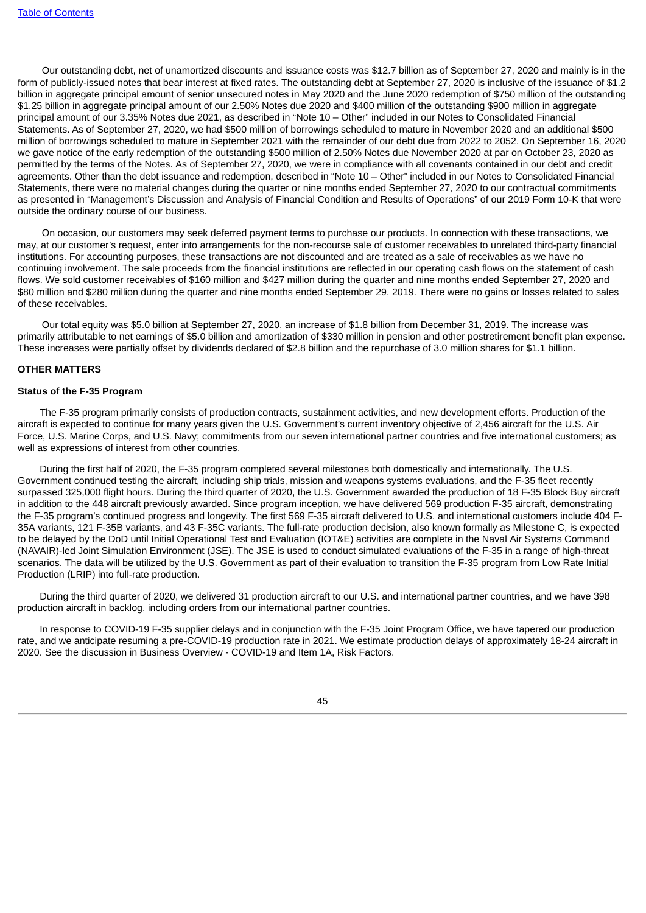Our outstanding debt, net of unamortized discounts and issuance costs was \$12.7 billion as of September 27, 2020 and mainly is in the form of publicly-issued notes that bear interest at fixed rates. The outstanding debt at September 27, 2020 is inclusive of the issuance of \$1.2 billion in aggregate principal amount of senior unsecured notes in May 2020 and the June 2020 redemption of \$750 million of the outstanding \$1.25 billion in aggregate principal amount of our 2.50% Notes due 2020 and \$400 million of the outstanding \$900 million in aggregate principal amount of our 3.35% Notes due 2021, as described in "Note 10 – Other" included in our Notes to Consolidated Financial Statements. As of September 27, 2020, we had \$500 million of borrowings scheduled to mature in November 2020 and an additional \$500 million of borrowings scheduled to mature in September 2021 with the remainder of our debt due from 2022 to 2052. On September 16, 2020 we gave notice of the early redemption of the outstanding \$500 million of 2.50% Notes due November 2020 at par on October 23, 2020 as permitted by the terms of the Notes. As of September 27, 2020, we were in compliance with all covenants contained in our debt and credit agreements. Other than the debt issuance and redemption, described in "Note 10 – Other" included in our Notes to Consolidated Financial Statements, there were no material changes during the quarter or nine months ended September 27, 2020 to our contractual commitments as presented in "Management's Discussion and Analysis of Financial Condition and Results of Operations" of our 2019 Form 10-K that were outside the ordinary course of our business.

On occasion, our customers may seek deferred payment terms to purchase our products. In connection with these transactions, we may, at our customer's request, enter into arrangements for the non-recourse sale of customer receivables to unrelated third-party financial institutions. For accounting purposes, these transactions are not discounted and are treated as a sale of receivables as we have no continuing involvement. The sale proceeds from the financial institutions are reflected in our operating cash flows on the statement of cash flows. We sold customer receivables of \$160 million and \$427 million during the quarter and nine months ended September 27, 2020 and \$80 million and \$280 million during the quarter and nine months ended September 29, 2019. There were no gains or losses related to sales of these receivables.

Our total equity was \$5.0 billion at September 27, 2020, an increase of \$1.8 billion from December 31, 2019. The increase was primarily attributable to net earnings of \$5.0 billion and amortization of \$330 million in pension and other postretirement benefit plan expense. These increases were partially offset by dividends declared of \$2.8 billion and the repurchase of 3.0 million shares for \$1.1 billion.

#### **OTHER MATTERS**

#### **Status of the F-35 Program**

The F-35 program primarily consists of production contracts, sustainment activities, and new development efforts. Production of the aircraft is expected to continue for many years given the U.S. Government's current inventory objective of 2,456 aircraft for the U.S. Air Force, U.S. Marine Corps, and U.S. Navy; commitments from our seven international partner countries and five international customers; as well as expressions of interest from other countries.

During the first half of 2020, the F-35 program completed several milestones both domestically and internationally. The U.S. Government continued testing the aircraft, including ship trials, mission and weapons systems evaluations, and the F-35 fleet recently surpassed 325,000 flight hours. During the third quarter of 2020, the U.S. Government awarded the production of 18 F-35 Block Buy aircraft in addition to the 448 aircraft previously awarded. Since program inception, we have delivered 569 production F-35 aircraft, demonstrating the F-35 program's continued progress and longevity. The first 569 F-35 aircraft delivered to U.S. and international customers include 404 F-35A variants, 121 F-35B variants, and 43 F-35C variants. The full-rate production decision, also known formally as Milestone C, is expected to be delayed by the DoD until Initial Operational Test and Evaluation (IOT&E) activities are complete in the Naval Air Systems Command (NAVAIR)-led Joint Simulation Environment (JSE). The JSE is used to conduct simulated evaluations of the F-35 in a range of high-threat scenarios. The data will be utilized by the U.S. Government as part of their evaluation to transition the F-35 program from Low Rate Initial Production (LRIP) into full-rate production.

During the third quarter of 2020, we delivered 31 production aircraft to our U.S. and international partner countries, and we have 398 production aircraft in backlog, including orders from our international partner countries.

In response to COVID-19 F-35 supplier delays and in conjunction with the F-35 Joint Program Office, we have tapered our production rate, and we anticipate resuming a pre-COVID-19 production rate in 2021. We estimate production delays of approximately 18-24 aircraft in 2020. See the discussion in Business Overview - COVID-19 and Item 1A, Risk Factors.

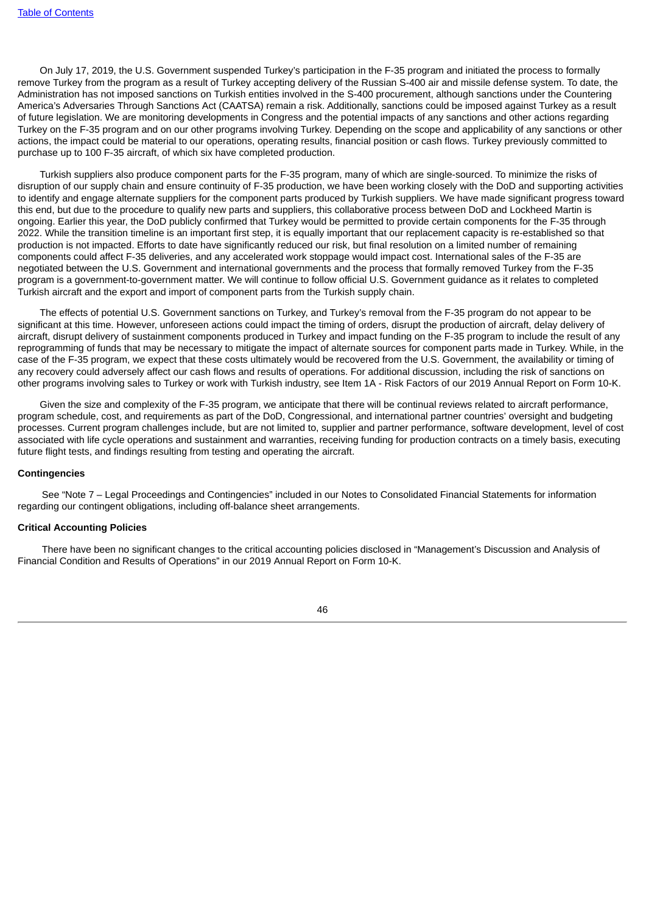On July 17, 2019, the U.S. Government suspended Turkey's participation in the F-35 program and initiated the process to formally remove Turkey from the program as a result of Turkey accepting delivery of the Russian S-400 air and missile defense system. To date, the Administration has not imposed sanctions on Turkish entities involved in the S-400 procurement, although sanctions under the Countering America's Adversaries Through Sanctions Act (CAATSA) remain a risk. Additionally, sanctions could be imposed against Turkey as a result of future legislation. We are monitoring developments in Congress and the potential impacts of any sanctions and other actions regarding Turkey on the F-35 program and on our other programs involving Turkey. Depending on the scope and applicability of any sanctions or other actions, the impact could be material to our operations, operating results, financial position or cash flows. Turkey previously committed to purchase up to 100 F-35 aircraft, of which six have completed production.

Turkish suppliers also produce component parts for the F-35 program, many of which are single-sourced. To minimize the risks of disruption of our supply chain and ensure continuity of F-35 production, we have been working closely with the DoD and supporting activities to identify and engage alternate suppliers for the component parts produced by Turkish suppliers. We have made significant progress toward this end, but due to the procedure to qualify new parts and suppliers, this collaborative process between DoD and Lockheed Martin is ongoing. Earlier this year, the DoD publicly confirmed that Turkey would be permitted to provide certain components for the F-35 through 2022. While the transition timeline is an important first step, it is equally important that our replacement capacity is re-established so that production is not impacted. Efforts to date have significantly reduced our risk, but final resolution on a limited number of remaining components could affect F-35 deliveries, and any accelerated work stoppage would impact cost. International sales of the F-35 are negotiated between the U.S. Government and international governments and the process that formally removed Turkey from the F-35 program is a government-to-government matter. We will continue to follow official U.S. Government guidance as it relates to completed Turkish aircraft and the export and import of component parts from the Turkish supply chain.

The effects of potential U.S. Government sanctions on Turkey, and Turkey's removal from the F-35 program do not appear to be significant at this time. However, unforeseen actions could impact the timing of orders, disrupt the production of aircraft, delay delivery of aircraft, disrupt delivery of sustainment components produced in Turkey and impact funding on the F-35 program to include the result of any reprogramming of funds that may be necessary to mitigate the impact of alternate sources for component parts made in Turkey. While, in the case of the F-35 program, we expect that these costs ultimately would be recovered from the U.S. Government, the availability or timing of any recovery could adversely affect our cash flows and results of operations. For additional discussion, including the risk of sanctions on other programs involving sales to Turkey or work with Turkish industry, see Item 1A - Risk Factors of our 2019 Annual Report on Form 10-K.

Given the size and complexity of the F-35 program, we anticipate that there will be continual reviews related to aircraft performance, program schedule, cost, and requirements as part of the DoD, Congressional, and international partner countries' oversight and budgeting processes. Current program challenges include, but are not limited to, supplier and partner performance, software development, level of cost associated with life cycle operations and sustainment and warranties, receiving funding for production contracts on a timely basis, executing future flight tests, and findings resulting from testing and operating the aircraft.

#### **Contingencies**

See "Note 7 – Legal Proceedings and Contingencies" included in our Notes to Consolidated Financial Statements for information regarding our contingent obligations, including off-balance sheet arrangements.

### **Critical Accounting Policies**

There have been no significant changes to the critical accounting policies disclosed in "Management's Discussion and Analysis of Financial Condition and Results of Operations" in our 2019 Annual Report on Form 10-K.

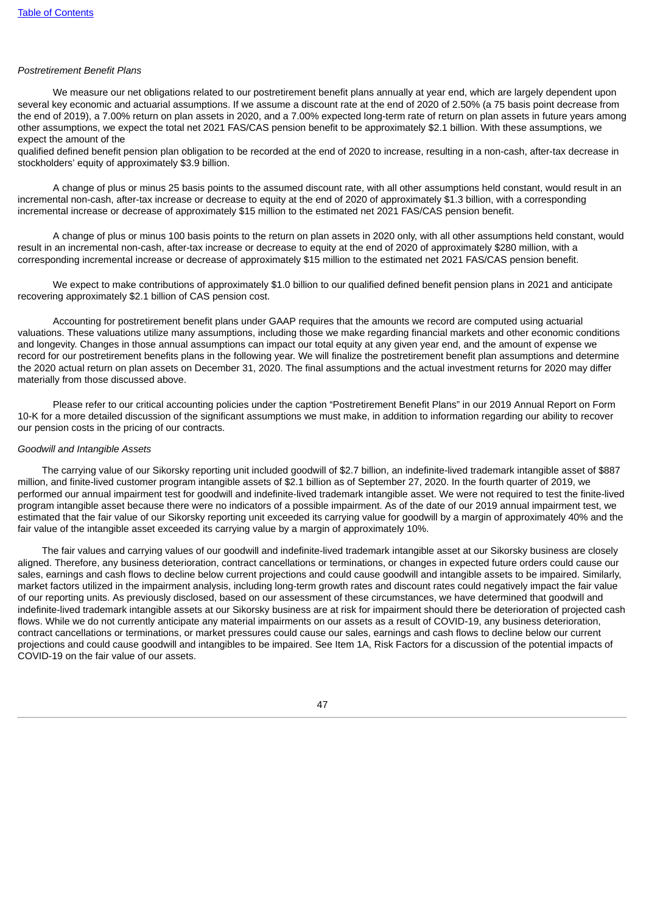#### *Postretirement Benefit Plans*

We measure our net obligations related to our postretirement benefit plans annually at year end, which are largely dependent upon several key economic and actuarial assumptions. If we assume a discount rate at the end of 2020 of 2.50% (a 75 basis point decrease from the end of 2019), a 7.00% return on plan assets in 2020, and a 7.00% expected long-term rate of return on plan assets in future years among other assumptions, we expect the total net 2021 FAS/CAS pension benefit to be approximately \$2.1 billion. With these assumptions, we expect the amount of the

qualified defined benefit pension plan obligation to be recorded at the end of 2020 to increase, resulting in a non-cash, after-tax decrease in stockholders' equity of approximately \$3.9 billion.

A change of plus or minus 25 basis points to the assumed discount rate, with all other assumptions held constant, would result in an incremental non-cash, after-tax increase or decrease to equity at the end of 2020 of approximately \$1.3 billion, with a corresponding incremental increase or decrease of approximately \$15 million to the estimated net 2021 FAS/CAS pension benefit.

A change of plus or minus 100 basis points to the return on plan assets in 2020 only, with all other assumptions held constant, would result in an incremental non-cash, after-tax increase or decrease to equity at the end of 2020 of approximately \$280 million, with a corresponding incremental increase or decrease of approximately \$15 million to the estimated net 2021 FAS/CAS pension benefit.

We expect to make contributions of approximately \$1.0 billion to our qualified defined benefit pension plans in 2021 and anticipate recovering approximately \$2.1 billion of CAS pension cost.

Accounting for postretirement benefit plans under GAAP requires that the amounts we record are computed using actuarial valuations. These valuations utilize many assumptions, including those we make regarding financial markets and other economic conditions and longevity. Changes in those annual assumptions can impact our total equity at any given year end, and the amount of expense we record for our postretirement benefits plans in the following year. We will finalize the postretirement benefit plan assumptions and determine the 2020 actual return on plan assets on December 31, 2020. The final assumptions and the actual investment returns for 2020 may differ materially from those discussed above.

Please refer to our critical accounting policies under the caption "Postretirement Benefit Plans" in our 2019 Annual Report on Form 10-K for a more detailed discussion of the significant assumptions we must make, in addition to information regarding our ability to recover our pension costs in the pricing of our contracts.

#### *Goodwill and Intangible Assets*

The carrying value of our Sikorsky reporting unit included goodwill of \$2.7 billion, an indefinite-lived trademark intangible asset of \$887 million, and finite-lived customer program intangible assets of \$2.1 billion as of September 27, 2020. In the fourth quarter of 2019, we performed our annual impairment test for goodwill and indefinite-lived trademark intangible asset. We were not required to test the finite-lived program intangible asset because there were no indicators of a possible impairment. As of the date of our 2019 annual impairment test, we estimated that the fair value of our Sikorsky reporting unit exceeded its carrying value for goodwill by a margin of approximately 40% and the fair value of the intangible asset exceeded its carrying value by a margin of approximately 10%.

The fair values and carrying values of our goodwill and indefinite-lived trademark intangible asset at our Sikorsky business are closely aligned. Therefore, any business deterioration, contract cancellations or terminations, or changes in expected future orders could cause our sales, earnings and cash flows to decline below current projections and could cause goodwill and intangible assets to be impaired. Similarly, market factors utilized in the impairment analysis, including long-term growth rates and discount rates could negatively impact the fair value of our reporting units. As previously disclosed, based on our assessment of these circumstances, we have determined that goodwill and indefinite-lived trademark intangible assets at our Sikorsky business are at risk for impairment should there be deterioration of projected cash flows. While we do not currently anticipate any material impairments on our assets as a result of COVID-19, any business deterioration, contract cancellations or terminations, or market pressures could cause our sales, earnings and cash flows to decline below our current projections and could cause goodwill and intangibles to be impaired. See Item 1A, Risk Factors for a discussion of the potential impacts of COVID-19 on the fair value of our assets.

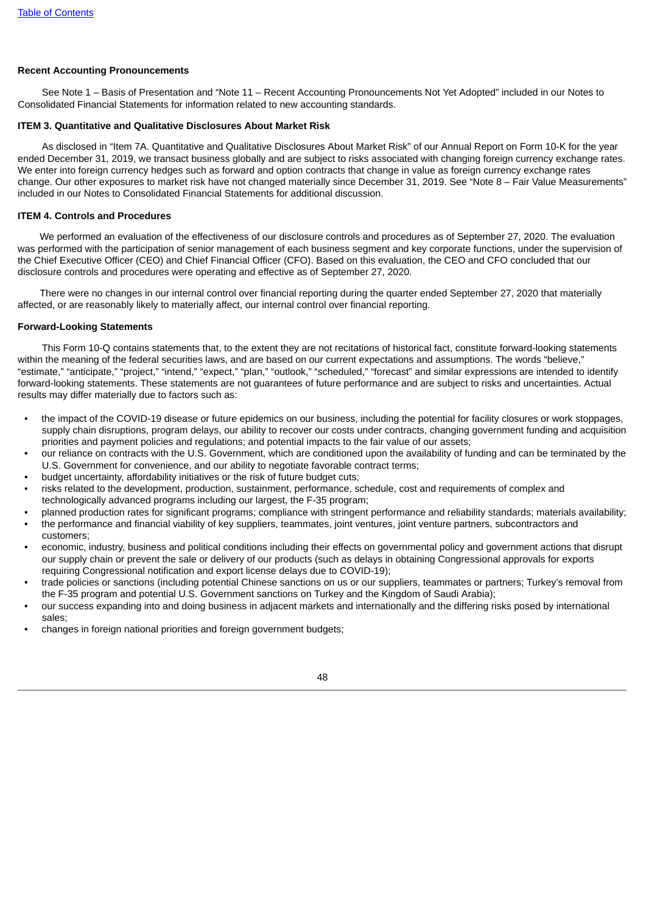### **Recent Accounting Pronouncements**

See Note 1 – Basis of Presentation and "Note 11 – Recent Accounting Pronouncements Not Yet Adopted" included in our Notes to Consolidated Financial Statements for information related to new accounting standards.

### <span id="page-47-0"></span>**ITEM 3. Quantitative and Qualitative Disclosures About Market Risk**

As disclosed in "Item 7A. Quantitative and Qualitative Disclosures About Market Risk" of our Annual Report on Form 10-K for the year ended December 31, 2019, we transact business globally and are subject to risks associated with changing foreign currency exchange rates. We enter into foreign currency hedges such as forward and option contracts that change in value as foreign currency exchange rates change. Our other exposures to market risk have not changed materially since December 31, 2019. See "Note 8 – Fair Value Measurements" included in our Notes to Consolidated Financial Statements for additional discussion.

### <span id="page-47-1"></span>**ITEM 4. Controls and Procedures**

We performed an evaluation of the effectiveness of our disclosure controls and procedures as of September 27, 2020. The evaluation was performed with the participation of senior management of each business segment and key corporate functions, under the supervision of the Chief Executive Officer (CEO) and Chief Financial Officer (CFO). Based on this evaluation, the CEO and CFO concluded that our disclosure controls and procedures were operating and effective as of September 27, 2020.

There were no changes in our internal control over financial reporting during the quarter ended September 27, 2020 that materially affected, or are reasonably likely to materially affect, our internal control over financial reporting.

### **Forward-Looking Statements**

This Form 10-Q contains statements that, to the extent they are not recitations of historical fact, constitute forward-looking statements within the meaning of the federal securities laws, and are based on our current expectations and assumptions. The words "believe," "estimate," "anticipate," "project," "intend," "expect," "plan," "outlook," "scheduled," "forecast" and similar expressions are intended to identify forward-looking statements. These statements are not guarantees of future performance and are subject to risks and uncertainties. Actual results may differ materially due to factors such as:

- the impact of the COVID-19 disease or future epidemics on our business, including the potential for facility closures or work stoppages, supply chain disruptions, program delays, our ability to recover our costs under contracts, changing government funding and acquisition priorities and payment policies and regulations; and potential impacts to the fair value of our assets;
- our reliance on contracts with the U.S. Government, which are conditioned upon the availability of funding and can be terminated by the U.S. Government for convenience, and our ability to negotiate favorable contract terms;
- budget uncertainty, affordability initiatives or the risk of future budget cuts;
- risks related to the development, production, sustainment, performance, schedule, cost and requirements of complex and technologically advanced programs including our largest, the F-35 program;
- planned production rates for significant programs; compliance with stringent performance and reliability standards; materials availability;
- the performance and financial viability of key suppliers, teammates, joint ventures, joint venture partners, subcontractors and customers;
- economic, industry, business and political conditions including their effects on governmental policy and government actions that disrupt our supply chain or prevent the sale or delivery of our products (such as delays in obtaining Congressional approvals for exports requiring Congressional notification and export license delays due to COVID-19);
- trade policies or sanctions (including potential Chinese sanctions on us or our suppliers, teammates or partners; Turkey's removal from the F-35 program and potential U.S. Government sanctions on Turkey and the Kingdom of Saudi Arabia);
- our success expanding into and doing business in adjacent markets and internationally and the differing risks posed by international sales;
- changes in foreign national priorities and foreign government budgets;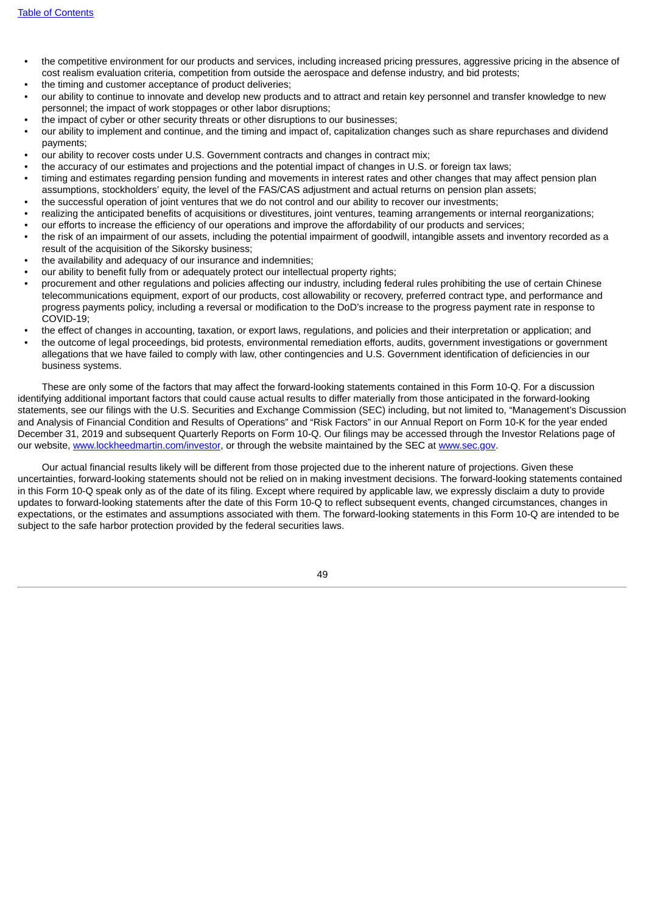- the competitive environment for our products and services, including increased pricing pressures, aggressive pricing in the absence of cost realism evaluation criteria, competition from outside the aerospace and defense industry, and bid protests;
- the timing and customer acceptance of product deliveries;
- our ability to continue to innovate and develop new products and to attract and retain key personnel and transfer knowledge to new personnel; the impact of work stoppages or other labor disruptions;
- the impact of cyber or other security threats or other disruptions to our businesses;
- our ability to implement and continue, and the timing and impact of, capitalization changes such as share repurchases and dividend payments;
- our ability to recover costs under U.S. Government contracts and changes in contract mix;
- the accuracy of our estimates and projections and the potential impact of changes in U.S. or foreign tax laws;
- timing and estimates regarding pension funding and movements in interest rates and other changes that may affect pension plan assumptions, stockholders' equity, the level of the FAS/CAS adjustment and actual returns on pension plan assets;
- the successful operation of joint ventures that we do not control and our ability to recover our investments;
- realizing the anticipated benefits of acquisitions or divestitures, joint ventures, teaming arrangements or internal reorganizations;
- our efforts to increase the efficiency of our operations and improve the affordability of our products and services;
- the risk of an impairment of our assets, including the potential impairment of goodwill, intangible assets and inventory recorded as a result of the acquisition of the Sikorsky business;
- the availability and adequacy of our insurance and indemnities:
- our ability to benefit fully from or adequately protect our intellectual property rights;
- procurement and other regulations and policies affecting our industry, including federal rules prohibiting the use of certain Chinese telecommunications equipment, export of our products, cost allowability or recovery, preferred contract type, and performance and progress payments policy, including a reversal or modification to the DoD's increase to the progress payment rate in response to COVID-19;
- the effect of changes in accounting, taxation, or export laws, regulations, and policies and their interpretation or application; and
- the outcome of legal proceedings, bid protests, environmental remediation efforts, audits, government investigations or government allegations that we have failed to comply with law, other contingencies and U.S. Government identification of deficiencies in our business systems.

These are only some of the factors that may affect the forward-looking statements contained in this Form 10-Q. For a discussion identifying additional important factors that could cause actual results to differ materially from those anticipated in the forward-looking statements, see our filings with the U.S. Securities and Exchange Commission (SEC) including, but not limited to, "Management's Discussion and Analysis of Financial Condition and Results of Operations" and "Risk Factors" in our Annual Report on Form 10-K for the year ended December 31, 2019 and subsequent Quarterly Reports on Form 10-Q. Our filings may be accessed through the Investor Relations page of our website, www.lockheedmartin.com/investor, or through the website maintained by the SEC at www.sec.gov.

<span id="page-48-0"></span>Our actual financial results likely will be different from those projected due to the inherent nature of projections. Given these uncertainties, forward-looking statements should not be relied on in making investment decisions. The forward-looking statements contained in this Form 10-Q speak only as of the date of its filing. Except where required by applicable law, we expressly disclaim a duty to provide updates to forward-looking statements after the date of this Form 10-Q to reflect subsequent events, changed circumstances, changes in expectations, or the estimates and assumptions associated with them. The forward-looking statements in this Form 10-Q are intended to be subject to the safe harbor protection provided by the federal securities laws.

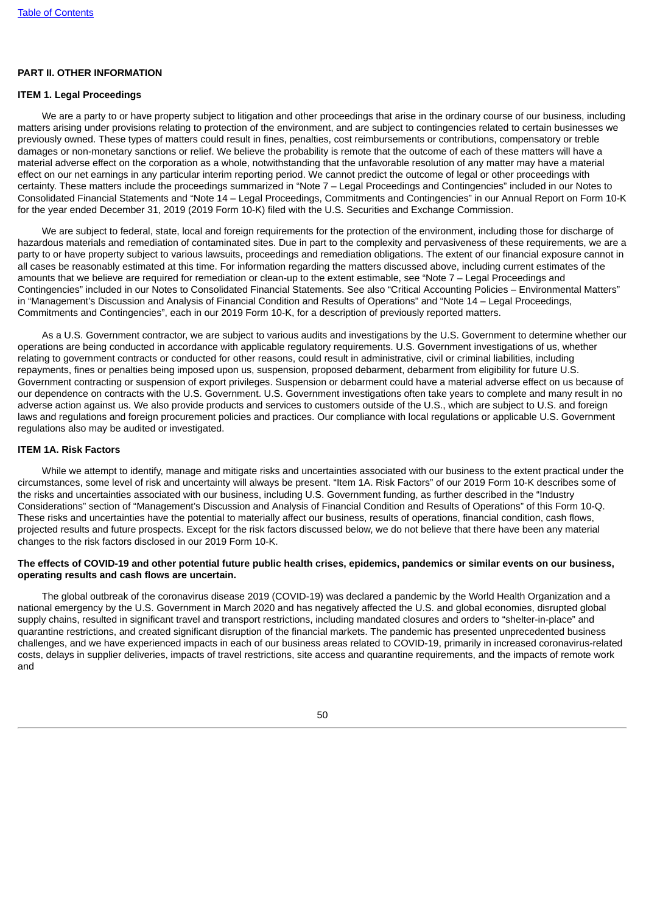#### <span id="page-49-0"></span>**PART II. OTHER INFORMATION**

#### **ITEM 1. Legal Proceedings**

We are a party to or have property subject to litigation and other proceedings that arise in the ordinary course of our business, including matters arising under provisions relating to protection of the environment, and are subject to contingencies related to certain businesses we previously owned. These types of matters could result in fines, penalties, cost reimbursements or contributions, compensatory or treble damages or non-monetary sanctions or relief. We believe the probability is remote that the outcome of each of these matters will have a material adverse effect on the corporation as a whole, notwithstanding that the unfavorable resolution of any matter may have a material effect on our net earnings in any particular interim reporting period. We cannot predict the outcome of legal or other proceedings with certainty. These matters include the proceedings summarized in "Note 7 – Legal Proceedings and Contingencies" included in our Notes to Consolidated Financial Statements and "Note 14 – Legal Proceedings, Commitments and Contingencies" in our Annual Report on Form 10-K for the year ended December 31, 2019 (2019 Form 10-K) filed with the U.S. Securities and Exchange Commission.

We are subject to federal, state, local and foreign requirements for the protection of the environment, including those for discharge of hazardous materials and remediation of contaminated sites. Due in part to the complexity and pervasiveness of these requirements, we are a party to or have property subject to various lawsuits, proceedings and remediation obligations. The extent of our financial exposure cannot in all cases be reasonably estimated at this time. For information regarding the matters discussed above, including current estimates of the amounts that we believe are required for remediation or clean-up to the extent estimable, see "Note 7 – Legal Proceedings and Contingencies" included in our Notes to Consolidated Financial Statements. See also "Critical Accounting Policies – Environmental Matters" in "Management's Discussion and Analysis of Financial Condition and Results of Operations" and "Note 14 – Legal Proceedings, Commitments and Contingencies", each in our 2019 Form 10-K, for a description of previously reported matters.

As a U.S. Government contractor, we are subject to various audits and investigations by the U.S. Government to determine whether our operations are being conducted in accordance with applicable regulatory requirements. U.S. Government investigations of us, whether relating to government contracts or conducted for other reasons, could result in administrative, civil or criminal liabilities, including repayments, fines or penalties being imposed upon us, suspension, proposed debarment, debarment from eligibility for future U.S. Government contracting or suspension of export privileges. Suspension or debarment could have a material adverse effect on us because of our dependence on contracts with the U.S. Government. U.S. Government investigations often take years to complete and many result in no adverse action against us. We also provide products and services to customers outside of the U.S., which are subject to U.S. and foreign laws and regulations and foreign procurement policies and practices. Our compliance with local regulations or applicable U.S. Government regulations also may be audited or investigated.

#### <span id="page-49-1"></span>**ITEM 1A. Risk Factors**

While we attempt to identify, manage and mitigate risks and uncertainties associated with our business to the extent practical under the circumstances, some level of risk and uncertainty will always be present. "Item 1A. Risk Factors" of our 2019 Form 10-K describes some of the risks and uncertainties associated with our business, including U.S. Government funding, as further described in the "Industry Considerations" section of "Management's Discussion and Analysis of Financial Condition and Results of Operations" of this Form 10-Q. These risks and uncertainties have the potential to materially affect our business, results of operations, financial condition, cash flows, projected results and future prospects. Except for the risk factors discussed below, we do not believe that there have been any material changes to the risk factors disclosed in our 2019 Form 10-K.

### The effects of COVID-19 and other potential future public health crises, epidemics, pandemics or similar events on our business, **operating results and cash flows are uncertain.**

The global outbreak of the coronavirus disease 2019 (COVID-19) was declared a pandemic by the World Health Organization and a national emergency by the U.S. Government in March 2020 and has negatively affected the U.S. and global economies, disrupted global supply chains, resulted in significant travel and transport restrictions, including mandated closures and orders to "shelter-in-place" and quarantine restrictions, and created significant disruption of the financial markets. The pandemic has presented unprecedented business challenges, and we have experienced impacts in each of our business areas related to COVID-19, primarily in increased coronavirus-related costs, delays in supplier deliveries, impacts of travel restrictions, site access and quarantine requirements, and the impacts of remote work and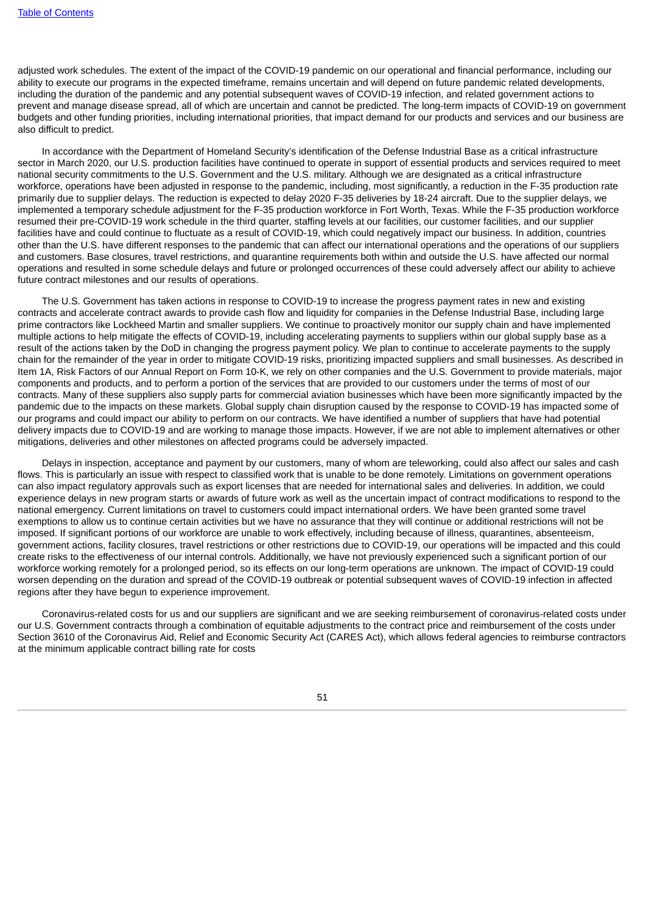adjusted work schedules. The extent of the impact of the COVID-19 pandemic on our operational and financial performance, including our ability to execute our programs in the expected timeframe, remains uncertain and will depend on future pandemic related developments, including the duration of the pandemic and any potential subsequent waves of COVID-19 infection, and related government actions to prevent and manage disease spread, all of which are uncertain and cannot be predicted. The long-term impacts of COVID-19 on government budgets and other funding priorities, including international priorities, that impact demand for our products and services and our business are also difficult to predict.

In accordance with the Department of Homeland Security's identification of the Defense Industrial Base as a critical infrastructure sector in March 2020, our U.S. production facilities have continued to operate in support of essential products and services required to meet national security commitments to the U.S. Government and the U.S. military. Although we are designated as a critical infrastructure workforce, operations have been adjusted in response to the pandemic, including, most significantly, a reduction in the F-35 production rate primarily due to supplier delays. The reduction is expected to delay 2020 F-35 deliveries by 18-24 aircraft. Due to the supplier delays, we implemented a temporary schedule adjustment for the F-35 production workforce in Fort Worth, Texas. While the F-35 production workforce resumed their pre-COVID-19 work schedule in the third quarter, staffing levels at our facilities, our customer facilities, and our supplier facilities have and could continue to fluctuate as a result of COVID-19, which could negatively impact our business. In addition, countries other than the U.S. have different responses to the pandemic that can affect our international operations and the operations of our suppliers and customers. Base closures, travel restrictions, and quarantine requirements both within and outside the U.S. have affected our normal operations and resulted in some schedule delays and future or prolonged occurrences of these could adversely affect our ability to achieve future contract milestones and our results of operations.

The U.S. Government has taken actions in response to COVID-19 to increase the progress payment rates in new and existing contracts and accelerate contract awards to provide cash flow and liquidity for companies in the Defense Industrial Base, including large prime contractors like Lockheed Martin and smaller suppliers. We continue to proactively monitor our supply chain and have implemented multiple actions to help mitigate the effects of COVID-19, including accelerating payments to suppliers within our global supply base as a result of the actions taken by the DoD in changing the progress payment policy. We plan to continue to accelerate payments to the supply chain for the remainder of the year in order to mitigate COVID-19 risks, prioritizing impacted suppliers and small businesses. As described in Item 1A, Risk Factors of our Annual Report on Form 10-K, we rely on other companies and the U.S. Government to provide materials, major components and products, and to perform a portion of the services that are provided to our customers under the terms of most of our contracts. Many of these suppliers also supply parts for commercial aviation businesses which have been more significantly impacted by the pandemic due to the impacts on these markets. Global supply chain disruption caused by the response to COVID-19 has impacted some of our programs and could impact our ability to perform on our contracts. We have identified a number of suppliers that have had potential delivery impacts due to COVID-19 and are working to manage those impacts. However, if we are not able to implement alternatives or other mitigations, deliveries and other milestones on affected programs could be adversely impacted.

Delays in inspection, acceptance and payment by our customers, many of whom are teleworking, could also affect our sales and cash flows. This is particularly an issue with respect to classified work that is unable to be done remotely. Limitations on government operations can also impact regulatory approvals such as export licenses that are needed for international sales and deliveries. In addition, we could experience delays in new program starts or awards of future work as well as the uncertain impact of contract modifications to respond to the national emergency. Current limitations on travel to customers could impact international orders. We have been granted some travel exemptions to allow us to continue certain activities but we have no assurance that they will continue or additional restrictions will not be imposed. If significant portions of our workforce are unable to work effectively, including because of illness, quarantines, absenteeism, government actions, facility closures, travel restrictions or other restrictions due to COVID-19, our operations will be impacted and this could create risks to the effectiveness of our internal controls. Additionally, we have not previously experienced such a significant portion of our workforce working remotely for a prolonged period, so its effects on our long-term operations are unknown. The impact of COVID-19 could worsen depending on the duration and spread of the COVID-19 outbreak or potential subsequent waves of COVID-19 infection in affected regions after they have begun to experience improvement.

Coronavirus-related costs for us and our suppliers are significant and we are seeking reimbursement of coronavirus-related costs under our U.S. Government contracts through a combination of equitable adjustments to the contract price and reimbursement of the costs under Section 3610 of the Coronavirus Aid, Relief and Economic Security Act (CARES Act), which allows federal agencies to reimburse contractors at the minimum applicable contract billing rate for costs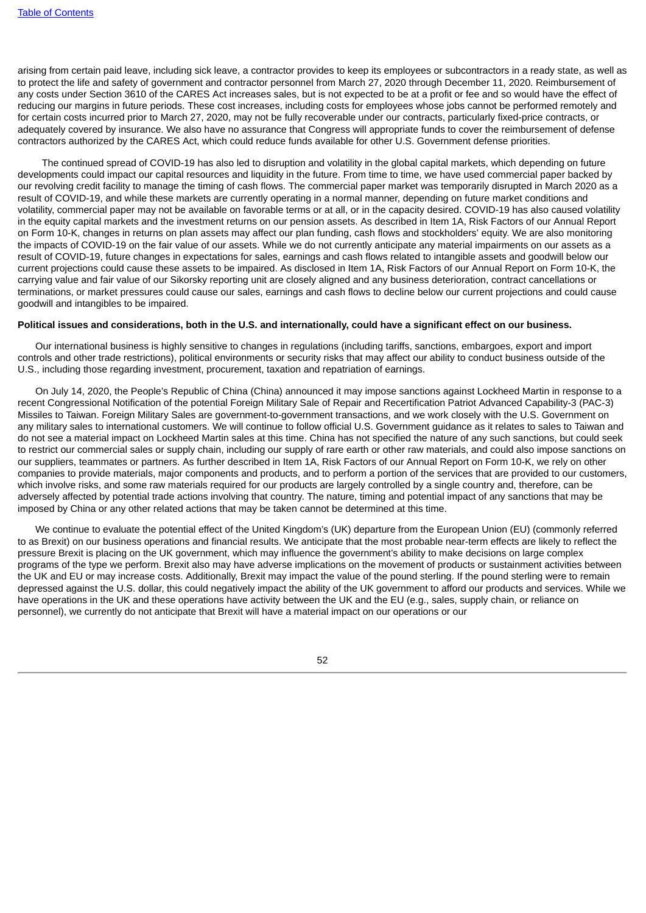arising from certain paid leave, including sick leave, a contractor provides to keep its employees or subcontractors in a ready state, as well as to protect the life and safety of government and contractor personnel from March 27, 2020 through December 11, 2020. Reimbursement of any costs under Section 3610 of the CARES Act increases sales, but is not expected to be at a profit or fee and so would have the effect of reducing our margins in future periods. These cost increases, including costs for employees whose jobs cannot be performed remotely and for certain costs incurred prior to March 27, 2020, may not be fully recoverable under our contracts, particularly fixed-price contracts, or adequately covered by insurance. We also have no assurance that Congress will appropriate funds to cover the reimbursement of defense contractors authorized by the CARES Act, which could reduce funds available for other U.S. Government defense priorities.

The continued spread of COVID-19 has also led to disruption and volatility in the global capital markets, which depending on future developments could impact our capital resources and liquidity in the future. From time to time, we have used commercial paper backed by our revolving credit facility to manage the timing of cash flows. The commercial paper market was temporarily disrupted in March 2020 as a result of COVID-19, and while these markets are currently operating in a normal manner, depending on future market conditions and volatility, commercial paper may not be available on favorable terms or at all, or in the capacity desired. COVID-19 has also caused volatility in the equity capital markets and the investment returns on our pension assets. As described in Item 1A, Risk Factors of our Annual Report on Form 10-K, changes in returns on plan assets may affect our plan funding, cash flows and stockholders' equity. We are also monitoring the impacts of COVID-19 on the fair value of our assets. While we do not currently anticipate any material impairments on our assets as a result of COVID-19, future changes in expectations for sales, earnings and cash flows related to intangible assets and goodwill below our current projections could cause these assets to be impaired. As disclosed in Item 1A, Risk Factors of our Annual Report on Form 10-K, the carrying value and fair value of our Sikorsky reporting unit are closely aligned and any business deterioration, contract cancellations or terminations, or market pressures could cause our sales, earnings and cash flows to decline below our current projections and could cause goodwill and intangibles to be impaired.

### Political issues and considerations, both in the U.S. and internationally, could have a significant effect on our business.

Our international business is highly sensitive to changes in regulations (including tariffs, sanctions, embargoes, export and import controls and other trade restrictions), political environments or security risks that may affect our ability to conduct business outside of the U.S., including those regarding investment, procurement, taxation and repatriation of earnings.

On July 14, 2020, the People's Republic of China (China) announced it may impose sanctions against Lockheed Martin in response to a recent Congressional Notification of the potential Foreign Military Sale of Repair and Recertification Patriot Advanced Capability-3 (PAC-3) Missiles to Taiwan. Foreign Military Sales are government-to-government transactions, and we work closely with the U.S. Government on any military sales to international customers. We will continue to follow official U.S. Government guidance as it relates to sales to Taiwan and do not see a material impact on Lockheed Martin sales at this time. China has not specified the nature of any such sanctions, but could seek to restrict our commercial sales or supply chain, including our supply of rare earth or other raw materials, and could also impose sanctions on our suppliers, teammates or partners. As further described in Item 1A, Risk Factors of our Annual Report on Form 10-K, we rely on other companies to provide materials, major components and products, and to perform a portion of the services that are provided to our customers, which involve risks, and some raw materials required for our products are largely controlled by a single country and, therefore, can be adversely affected by potential trade actions involving that country. The nature, timing and potential impact of any sanctions that may be imposed by China or any other related actions that may be taken cannot be determined at this time.

We continue to evaluate the potential effect of the United Kingdom's (UK) departure from the European Union (EU) (commonly referred to as Brexit) on our business operations and financial results. We anticipate that the most probable near-term effects are likely to reflect the pressure Brexit is placing on the UK government, which may influence the government's ability to make decisions on large complex programs of the type we perform. Brexit also may have adverse implications on the movement of products or sustainment activities between the UK and EU or may increase costs. Additionally, Brexit may impact the value of the pound sterling. If the pound sterling were to remain depressed against the U.S. dollar, this could negatively impact the ability of the UK government to afford our products and services. While we have operations in the UK and these operations have activity between the UK and the EU (e.g., sales, supply chain, or reliance on personnel), we currently do not anticipate that Brexit will have a material impact on our operations or our

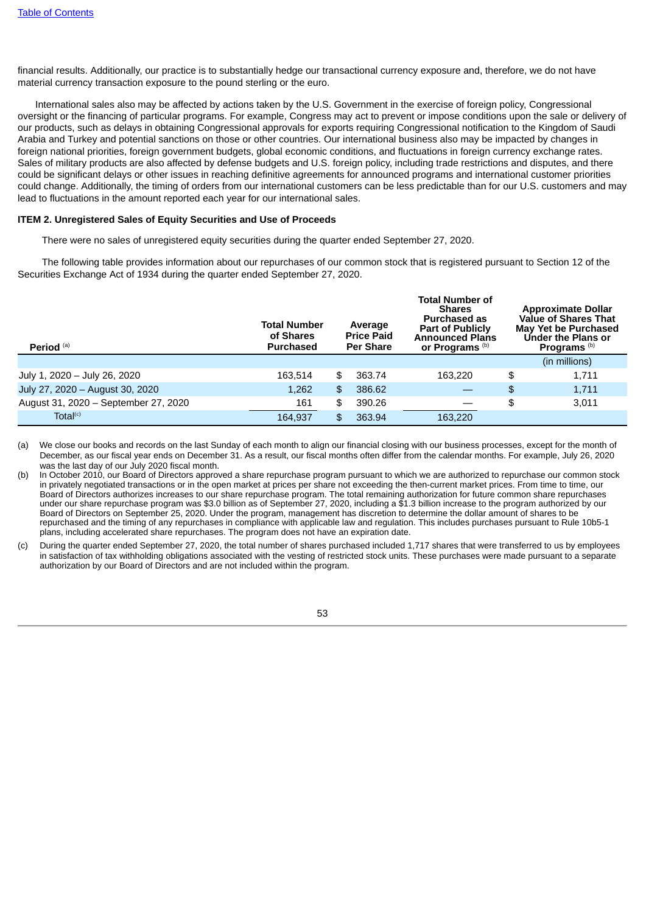financial results. Additionally, our practice is to substantially hedge our transactional currency exposure and, therefore, we do not have material currency transaction exposure to the pound sterling or the euro.

International sales also may be affected by actions taken by the U.S. Government in the exercise of foreign policy, Congressional oversight or the financing of particular programs. For example, Congress may act to prevent or impose conditions upon the sale or delivery of our products, such as delays in obtaining Congressional approvals for exports requiring Congressional notification to the Kingdom of Saudi Arabia and Turkey and potential sanctions on those or other countries. Our international business also may be impacted by changes in foreign national priorities, foreign government budgets, global economic conditions, and fluctuations in foreign currency exchange rates. Sales of military products are also affected by defense budgets and U.S. foreign policy, including trade restrictions and disputes, and there could be significant delays or other issues in reaching definitive agreements for announced programs and international customer priorities could change. Additionally, the timing of orders from our international customers can be less predictable than for our U.S. customers and may lead to fluctuations in the amount reported each year for our international sales.

#### <span id="page-52-0"></span>**ITEM 2. Unregistered Sales of Equity Securities and Use of Proceeds**

There were no sales of unregistered equity securities during the quarter ended September 27, 2020.

The following table provides information about our repurchases of our common stock that is registered pursuant to Section 12 of the Securities Exchange Act of 1934 during the quarter ended September 27, 2020.

| Period <sup>(a)</sup>                | <b>Total Number</b><br>of Shares<br><b>Purchased</b> |    |        | <b>Total Number of</b><br><b>Shares</b><br><b>Purchased as</b><br>Average<br><b>Part of Publicly</b><br><b>Price Paid</b><br><b>Announced Plans</b><br><b>Per Share</b><br>or Programs <sup>(b)</sup> |               | <b>Approximate Dollar</b><br><b>Value of Shares That</b><br>May Yet be Purchased<br>Under the Plans or<br>Programs <sup>(b)</sup> |
|--------------------------------------|------------------------------------------------------|----|--------|-------------------------------------------------------------------------------------------------------------------------------------------------------------------------------------------------------|---------------|-----------------------------------------------------------------------------------------------------------------------------------|
|                                      |                                                      |    |        |                                                                                                                                                                                                       |               | (in millions)                                                                                                                     |
| July 1, 2020 - July 26, 2020         | 163,514                                              | \$ | 363.74 | 163.220                                                                                                                                                                                               | \$            | 1,711                                                                                                                             |
| July 27, 2020 - August 30, 2020      | 1,262                                                | \$ | 386.62 |                                                                                                                                                                                                       | $\frac{1}{2}$ | 1,711                                                                                                                             |
| August 31, 2020 - September 27, 2020 | 161                                                  | \$ | 390.26 |                                                                                                                                                                                                       | \$            | 3.011                                                                                                                             |
| Total $(c)$                          | 164.937                                              | \$ | 363.94 | 163,220                                                                                                                                                                                               |               |                                                                                                                                   |

(a) We close our books and records on the last Sunday of each month to align our financial closing with our business processes, except for the month of December, as our fiscal year ends on December 31. As a result, our fiscal months often differ from the calendar months. For example, July 26, 2020 was the last day of our July 2020 fiscal month.

(b) In October 2010, our Board of Directors approved a share repurchase program pursuant to which we are authorized to repurchase our common stock in privately negotiated transactions or in the open market at prices per share not exceeding the then-current market prices. From time to time, our Board of Directors authorizes increases to our share repurchase program. The total remaining authorization for future common share repurchases under our share repurchase program was \$3.0 billion as of September 27, 2020, including a \$1.3 billion increase to the program authorized by our Board of Directors on September 25, 2020. Under the program, management has discretion to determine the dollar amount of shares to be repurchased and the timing of any repurchases in compliance with applicable law and regulation. This includes purchases pursuant to Rule 10b5-1 plans, including accelerated share repurchases. The program does not have an expiration date.

<span id="page-52-1"></span>(c) During the quarter ended September 27, 2020, the total number of shares purchased included 1,717 shares that were transferred to us by employees in satisfaction of tax withholding obligations associated with the vesting of restricted stock units. These purchases were made pursuant to a separate authorization by our Board of Directors and are not included within the program.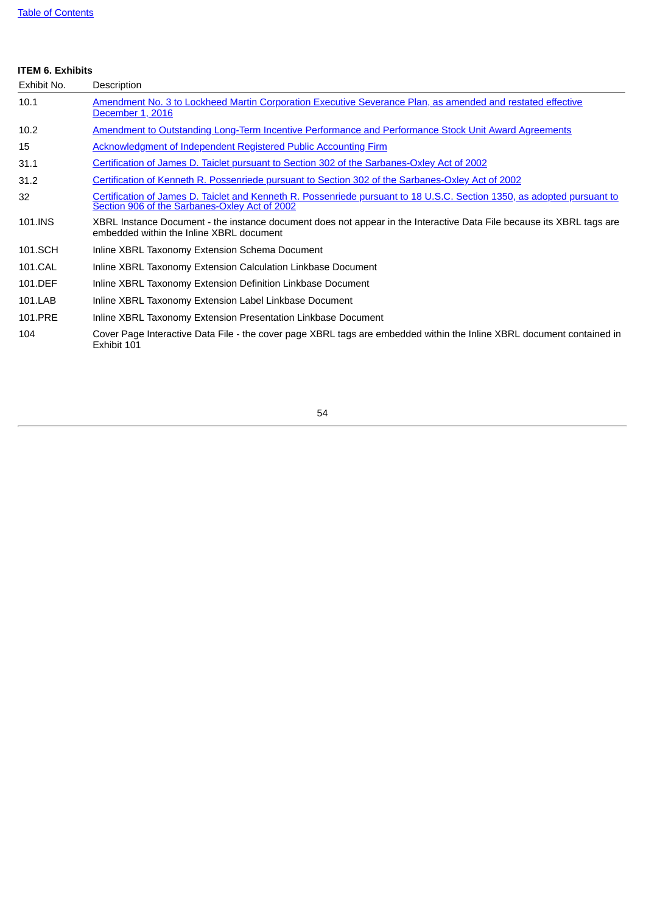<span id="page-53-0"></span>

| <b>ITEM 6. Exhibits</b> |                                                                                                                                                                          |
|-------------------------|--------------------------------------------------------------------------------------------------------------------------------------------------------------------------|
| Exhibit No.             | Description                                                                                                                                                              |
| 10.1                    | Amendment No. 3 to Lockheed Martin Corporation Executive Severance Plan, as amended and restated effective<br>December 1, 2016                                           |
| 10.2                    | Amendment to Outstanding Long-Term Incentive Performance and Performance Stock Unit Award Agreements                                                                     |
| 15                      | <b>Acknowledgment of Independent Registered Public Accounting Firm</b>                                                                                                   |
| 31.1                    | Certification of James D. Taiclet pursuant to Section 302 of the Sarbanes-Oxley Act of 2002                                                                              |
| 31.2                    | Certification of Kenneth R. Possenriede pursuant to Section 302 of the Sarbanes-Oxley Act of 2002                                                                        |
| 32                      | Certification of James D. Taiclet and Kenneth R. Possenriede pursuant to 18 U.S.C. Section 1350, as adopted pursuant to<br>Section 906 of the Sarbanes-Oxley Act of 2002 |
| 101.INS                 | XBRL Instance Document - the instance document does not appear in the Interactive Data File because its XBRL tags are<br>embedded within the Inline XBRL document        |
| 101.SCH                 | Inline XBRL Taxonomy Extension Schema Document                                                                                                                           |
| 101.CAL                 | Inline XBRL Taxonomy Extension Calculation Linkbase Document                                                                                                             |
| 101.DEF                 | Inline XBRL Taxonomy Extension Definition Linkbase Document                                                                                                              |
| 101.LAB                 | Inline XBRL Taxonomy Extension Label Linkbase Document                                                                                                                   |
| 101.PRE                 | Inline XBRL Taxonomy Extension Presentation Linkbase Document                                                                                                            |
| 104                     | Cover Page Interactive Data File - the cover page XBRL tags are embedded within the Inline XBRL document contained in<br>Exhibit 101                                     |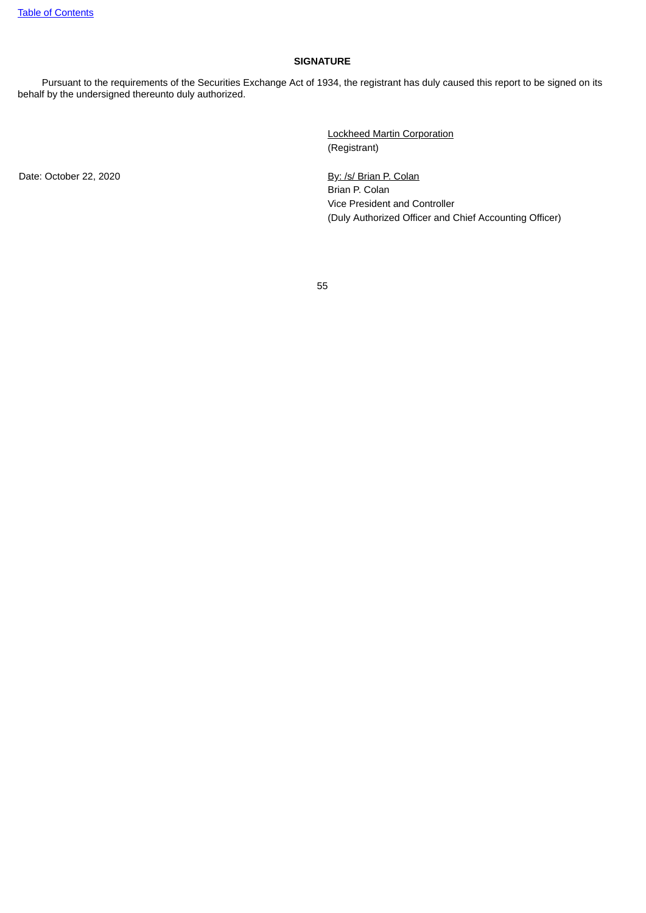### **SIGNATURE**

Pursuant to the requirements of the Securities Exchange Act of 1934, the registrant has duly caused this report to be signed on its behalf by the undersigned thereunto duly authorized.

> Lockheed Martin Corporation (Registrant)

Brian P. Colan Vice President and Controller (Duly Authorized Officer and Chief Accounting Officer)

55

Date: October 22, 2020 By: /s/ Brian P. Colan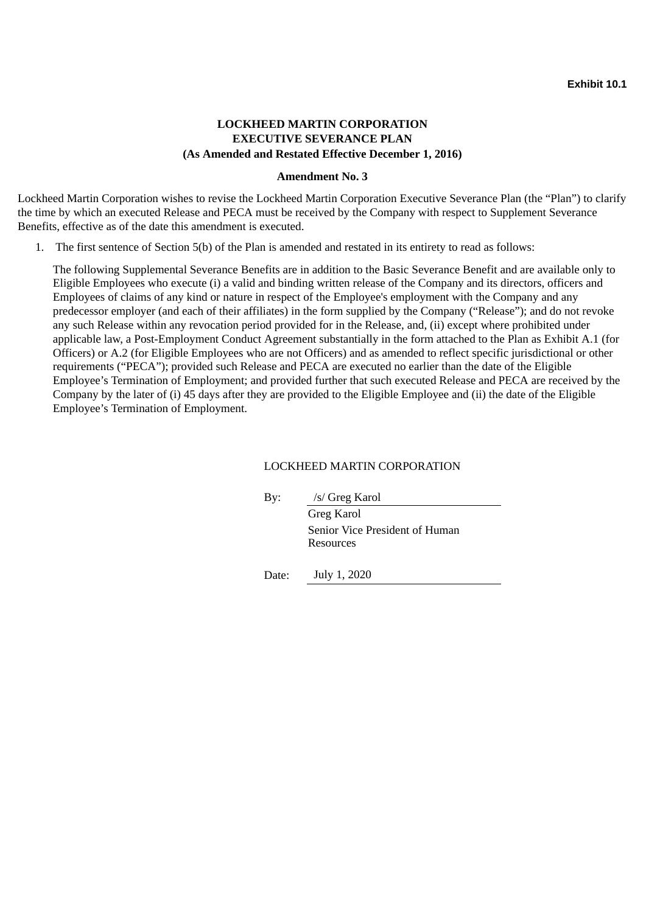# **LOCKHEED MARTIN CORPORATION EXECUTIVE SEVERANCE PLAN (As Amended and Restated Effective December 1, 2016)**

# **Amendment No. 3**

<span id="page-55-0"></span>Lockheed Martin Corporation wishes to revise the Lockheed Martin Corporation Executive Severance Plan (the "Plan") to clarify the time by which an executed Release and PECA must be received by the Company with respect to Supplement Severance Benefits, effective as of the date this amendment is executed.

1. The first sentence of Section 5(b) of the Plan is amended and restated in its entirety to read as follows:

The following Supplemental Severance Benefits are in addition to the Basic Severance Benefit and are available only to Eligible Employees who execute (i) a valid and binding written release of the Company and its directors, officers and Employees of claims of any kind or nature in respect of the Employee's employment with the Company and any predecessor employer (and each of their affiliates) in the form supplied by the Company ("Release"); and do not revoke any such Release within any revocation period provided for in the Release, and, (ii) except where prohibited under applicable law, a Post-Employment Conduct Agreement substantially in the form attached to the Plan as Exhibit A.1 (for Officers) or A.2 (for Eligible Employees who are not Officers) and as amended to reflect specific jurisdictional or other requirements ("PECA"); provided such Release and PECA are executed no earlier than the date of the Eligible Employee's Termination of Employment; and provided further that such executed Release and PECA are received by the Company by the later of (i) 45 days after they are provided to the Eligible Employee and (ii) the date of the Eligible Employee's Termination of Employment.

# LOCKHEED MARTIN CORPORATION

By: /s/ Greg Karol

Greg Karol Senior Vice President of Human Resources

Date: July 1, 2020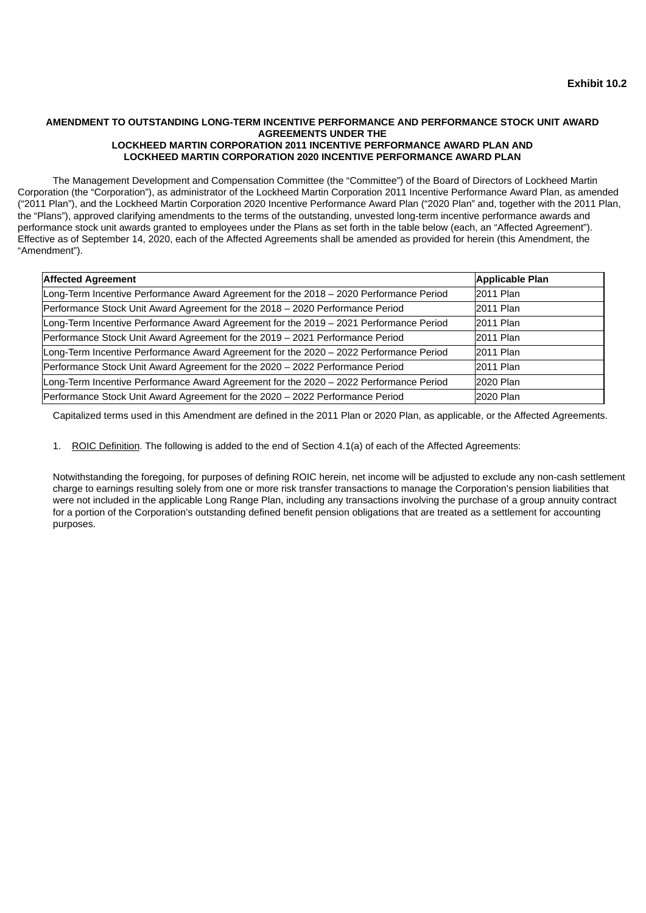### <span id="page-56-0"></span>**AMENDMENT TO OUTSTANDING LONG-TERM INCENTIVE PERFORMANCE AND PERFORMANCE STOCK UNIT AWARD AGREEMENTS UNDER THE LOCKHEED MARTIN CORPORATION 2011 INCENTIVE PERFORMANCE AWARD PLAN AND LOCKHEED MARTIN CORPORATION 2020 INCENTIVE PERFORMANCE AWARD PLAN**

The Management Development and Compensation Committee (the "Committee") of the Board of Directors of Lockheed Martin Corporation (the "Corporation"), as administrator of the Lockheed Martin Corporation 2011 Incentive Performance Award Plan, as amended ("2011 Plan"), and the Lockheed Martin Corporation 2020 Incentive Performance Award Plan ("2020 Plan" and, together with the 2011 Plan, the "Plans"), approved clarifying amendments to the terms of the outstanding, unvested long-term incentive performance awards and performance stock unit awards granted to employees under the Plans as set forth in the table below (each, an "Affected Agreement"). Effective as of September 14, 2020, each of the Affected Agreements shall be amended as provided for herein (this Amendment, the "Amendment").

| <b>Affected Agreement</b>                                                              | Applicable Plan |
|----------------------------------------------------------------------------------------|-----------------|
| Long-Term Incentive Performance Award Agreement for the 2018 - 2020 Performance Period | 2011 Plan       |
| Performance Stock Unit Award Agreement for the 2018 - 2020 Performance Period          | 2011 Plan       |
| Long-Term Incentive Performance Award Agreement for the 2019 - 2021 Performance Period | 2011 Plan       |
| Performance Stock Unit Award Agreement for the 2019 - 2021 Performance Period          | 2011 Plan       |
| Long-Term Incentive Performance Award Agreement for the 2020 - 2022 Performance Period | 2011 Plan       |
| Performance Stock Unit Award Agreement for the 2020 - 2022 Performance Period          | 2011 Plan       |
| Long-Term Incentive Performance Award Agreement for the 2020 - 2022 Performance Period | 2020 Plan       |
| Performance Stock Unit Award Agreement for the 2020 - 2022 Performance Period          | 2020 Plan       |

Capitalized terms used in this Amendment are defined in the 2011 Plan or 2020 Plan, as applicable, or the Affected Agreements.

1. ROIC Definition. The following is added to the end of Section 4.1(a) of each of the Affected Agreements:

Notwithstanding the foregoing, for purposes of defining ROIC herein, net income will be adjusted to exclude any non-cash settlement charge to earnings resulting solely from one or more risk transfer transactions to manage the Corporation's pension liabilities that were not included in the applicable Long Range Plan, including any transactions involving the purchase of a group annuity contract for a portion of the Corporation's outstanding defined benefit pension obligations that are treated as a settlement for accounting purposes.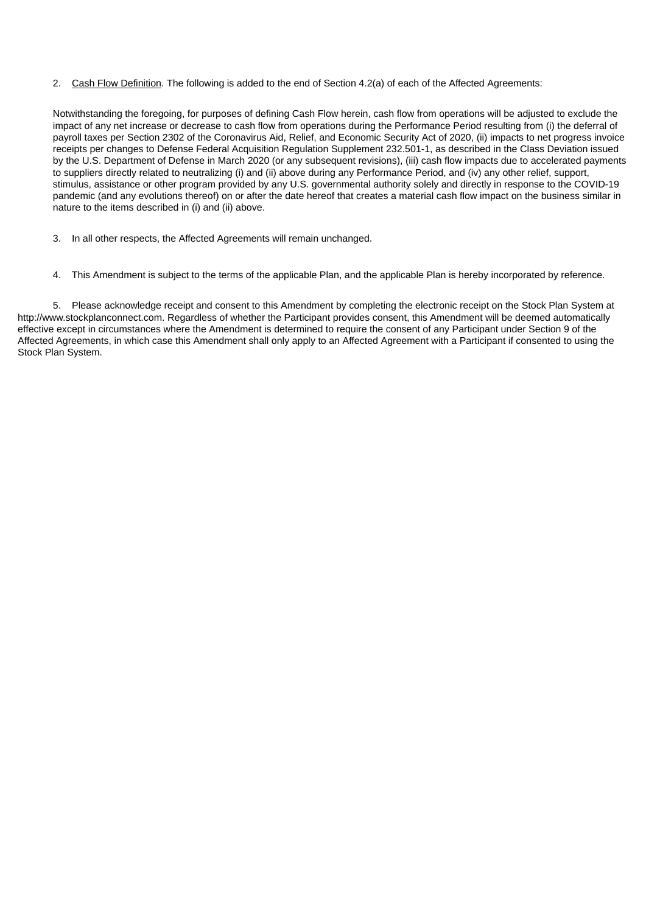2. Cash Flow Definition. The following is added to the end of Section 4.2(a) of each of the Affected Agreements:

Notwithstanding the foregoing, for purposes of defining Cash Flow herein, cash flow from operations will be adjusted to exclude the impact of any net increase or decrease to cash flow from operations during the Performance Period resulting from (i) the deferral of payroll taxes per Section 2302 of the Coronavirus Aid, Relief, and Economic Security Act of 2020, (ii) impacts to net progress invoice receipts per changes to Defense Federal Acquisition Regulation Supplement 232.501-1, as described in the Class Deviation issued by the U.S. Department of Defense in March 2020 (or any subsequent revisions), (iii) cash flow impacts due to accelerated payments to suppliers directly related to neutralizing (i) and (ii) above during any Performance Period, and (iv) any other relief, support, stimulus, assistance or other program provided by any U.S. governmental authority solely and directly in response to the COVID-19 pandemic (and any evolutions thereof) on or after the date hereof that creates a material cash flow impact on the business similar in nature to the items described in (i) and (ii) above.

- 3. In all other respects, the Affected Agreements will remain unchanged.
- 4. This Amendment is subject to the terms of the applicable Plan, and the applicable Plan is hereby incorporated by reference.

5. Please acknowledge receipt and consent to this Amendment by completing the electronic receipt on the Stock Plan System at http://www.stockplanconnect.com. Regardless of whether the Participant provides consent, this Amendment will be deemed automatically effective except in circumstances where the Amendment is determined to require the consent of any Participant under Section 9 of the Affected Agreements, in which case this Amendment shall only apply to an Affected Agreement with a Participant if consented to using the Stock Plan System.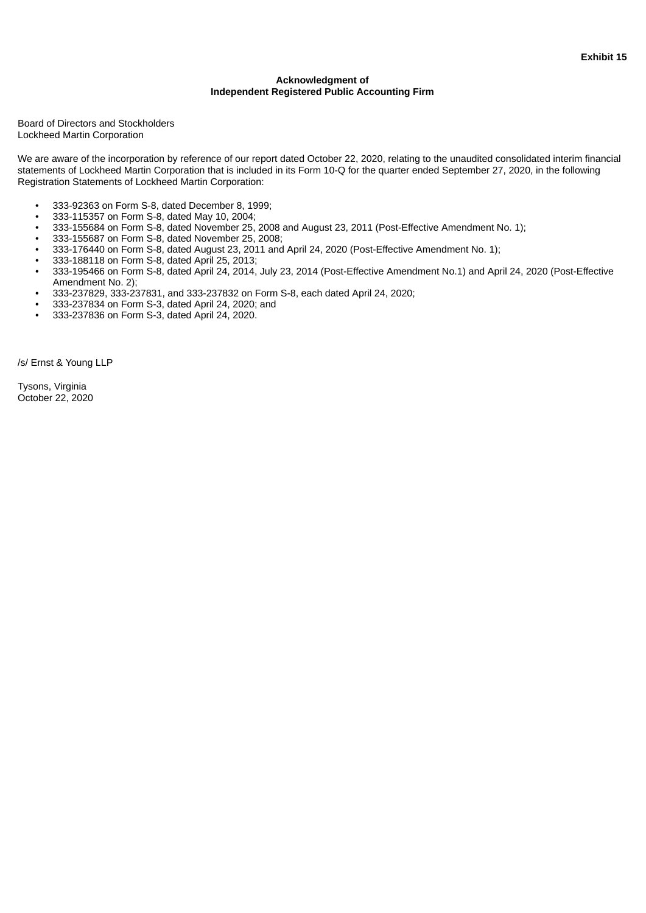### **Acknowledgment of Independent Registered Public Accounting Firm**

<span id="page-58-0"></span>Board of Directors and Stockholders Lockheed Martin Corporation

We are aware of the incorporation by reference of our report dated October 22, 2020, relating to the unaudited consolidated interim financial statements of Lockheed Martin Corporation that is included in its Form 10-Q for the quarter ended September 27, 2020, in the following Registration Statements of Lockheed Martin Corporation:

- 333-92363 on Form S-8, dated December 8, 1999;
- 333-115357 on Form S-8, dated May 10, 2004;
- 333-155684 on Form S-8, dated November 25, 2008 and August 23, 2011 (Post-Effective Amendment No. 1);
- 333-155687 on Form S-8, dated November 25, 2008;
- 333-176440 on Form S-8, dated August 23, 2011 and April 24, 2020 (Post-Effective Amendment No. 1);
- 333-188118 on Form S-8, dated April 25, 2013;
- 333-195466 on Form S-8, dated April 24, 2014, July 23, 2014 (Post-Effective Amendment No.1) and April 24, 2020 (Post-Effective Amendment No. 2);
- 333-237829, 333-237831, and 333-237832 on Form S-8, each dated April 24, 2020;
- 333-237834 on Form S-3, dated April 24, 2020; and
- 333-237836 on Form S-3, dated April 24, 2020.

/s/ Ernst & Young LLP

Tysons, Virginia October 22, 2020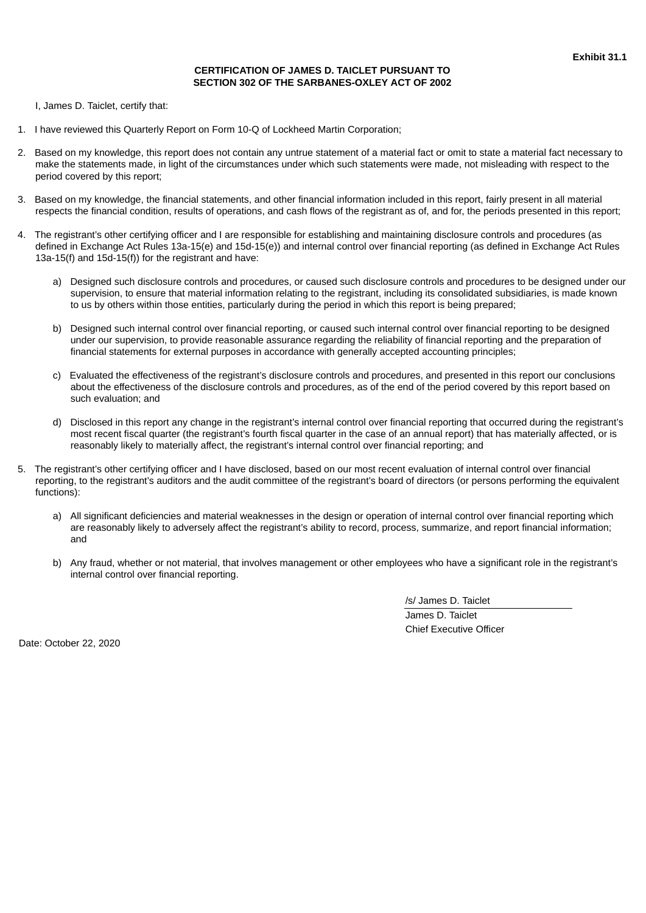#### **CERTIFICATION OF JAMES D. TAICLET PURSUANT TO SECTION 302 OF THE SARBANES-OXLEY ACT OF 2002**

<span id="page-59-0"></span>I, James D. Taiclet, certify that:

- 1. I have reviewed this Quarterly Report on Form 10-Q of Lockheed Martin Corporation;
- 2. Based on my knowledge, this report does not contain any untrue statement of a material fact or omit to state a material fact necessary to make the statements made, in light of the circumstances under which such statements were made, not misleading with respect to the period covered by this report;
- 3. Based on my knowledge, the financial statements, and other financial information included in this report, fairly present in all material respects the financial condition, results of operations, and cash flows of the registrant as of, and for, the periods presented in this report;
- 4. The registrant's other certifying officer and I are responsible for establishing and maintaining disclosure controls and procedures (as defined in Exchange Act Rules 13a-15(e) and 15d-15(e)) and internal control over financial reporting (as defined in Exchange Act Rules 13a-15(f) and 15d-15(f)) for the registrant and have:
	- a) Designed such disclosure controls and procedures, or caused such disclosure controls and procedures to be designed under our supervision, to ensure that material information relating to the registrant, including its consolidated subsidiaries, is made known to us by others within those entities, particularly during the period in which this report is being prepared;
	- b) Designed such internal control over financial reporting, or caused such internal control over financial reporting to be designed under our supervision, to provide reasonable assurance regarding the reliability of financial reporting and the preparation of financial statements for external purposes in accordance with generally accepted accounting principles;
	- c) Evaluated the effectiveness of the registrant's disclosure controls and procedures, and presented in this report our conclusions about the effectiveness of the disclosure controls and procedures, as of the end of the period covered by this report based on such evaluation; and
	- d) Disclosed in this report any change in the registrant's internal control over financial reporting that occurred during the registrant's most recent fiscal quarter (the registrant's fourth fiscal quarter in the case of an annual report) that has materially affected, or is reasonably likely to materially affect, the registrant's internal control over financial reporting; and
- 5. The registrant's other certifying officer and I have disclosed, based on our most recent evaluation of internal control over financial reporting, to the registrant's auditors and the audit committee of the registrant's board of directors (or persons performing the equivalent functions):
	- a) All significant deficiencies and material weaknesses in the design or operation of internal control over financial reporting which are reasonably likely to adversely affect the registrant's ability to record, process, summarize, and report financial information; and
	- b) Any fraud, whether or not material, that involves management or other employees who have a significant role in the registrant's internal control over financial reporting.

| /s/ James D. Taiclet           |
|--------------------------------|
| James D. Taiclet               |
| <b>Chief Executive Officer</b> |

Date: October 22, 2020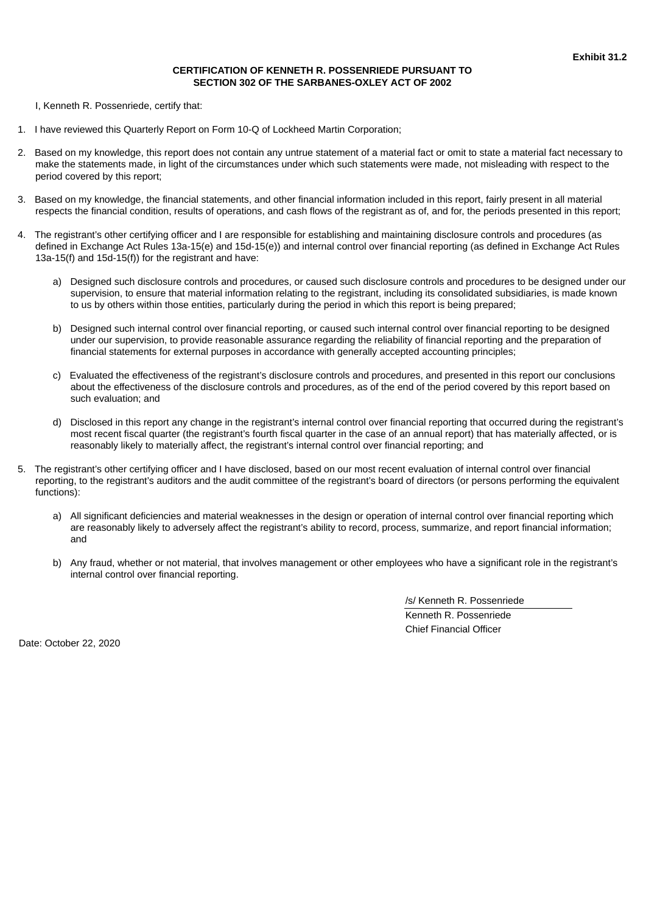#### **CERTIFICATION OF KENNETH R. POSSENRIEDE PURSUANT TO SECTION 302 OF THE SARBANES-OXLEY ACT OF 2002**

<span id="page-60-0"></span>I, Kenneth R. Possenriede, certify that:

- 1. I have reviewed this Quarterly Report on Form 10-Q of Lockheed Martin Corporation;
- 2. Based on my knowledge, this report does not contain any untrue statement of a material fact or omit to state a material fact necessary to make the statements made, in light of the circumstances under which such statements were made, not misleading with respect to the period covered by this report;
- 3. Based on my knowledge, the financial statements, and other financial information included in this report, fairly present in all material respects the financial condition, results of operations, and cash flows of the registrant as of, and for, the periods presented in this report;
- 4. The registrant's other certifying officer and I are responsible for establishing and maintaining disclosure controls and procedures (as defined in Exchange Act Rules 13a-15(e) and 15d-15(e)) and internal control over financial reporting (as defined in Exchange Act Rules 13a-15(f) and 15d-15(f)) for the registrant and have:
	- a) Designed such disclosure controls and procedures, or caused such disclosure controls and procedures to be designed under our supervision, to ensure that material information relating to the registrant, including its consolidated subsidiaries, is made known to us by others within those entities, particularly during the period in which this report is being prepared;
	- b) Designed such internal control over financial reporting, or caused such internal control over financial reporting to be designed under our supervision, to provide reasonable assurance regarding the reliability of financial reporting and the preparation of financial statements for external purposes in accordance with generally accepted accounting principles;
	- c) Evaluated the effectiveness of the registrant's disclosure controls and procedures, and presented in this report our conclusions about the effectiveness of the disclosure controls and procedures, as of the end of the period covered by this report based on such evaluation; and
	- d) Disclosed in this report any change in the registrant's internal control over financial reporting that occurred during the registrant's most recent fiscal quarter (the registrant's fourth fiscal quarter in the case of an annual report) that has materially affected, or is reasonably likely to materially affect, the registrant's internal control over financial reporting; and
- 5. The registrant's other certifying officer and I have disclosed, based on our most recent evaluation of internal control over financial reporting, to the registrant's auditors and the audit committee of the registrant's board of directors (or persons performing the equivalent functions):
	- a) All significant deficiencies and material weaknesses in the design or operation of internal control over financial reporting which are reasonably likely to adversely affect the registrant's ability to record, process, summarize, and report financial information; and
	- b) Any fraud, whether or not material, that involves management or other employees who have a significant role in the registrant's internal control over financial reporting.

/s/ Kenneth R. Possenriede Kenneth R. Possenriede Chief Financial Officer

Date: October 22, 2020